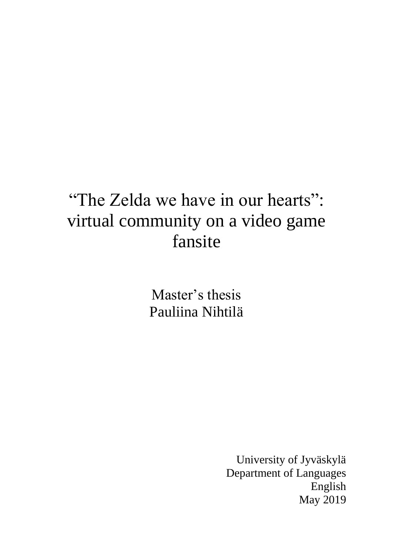# "The Zelda we have in our hearts": virtual community on a video game fansite

Master's thesis Pauliina Nihtilä

> University of Jyväskylä Department of Languages English May 2019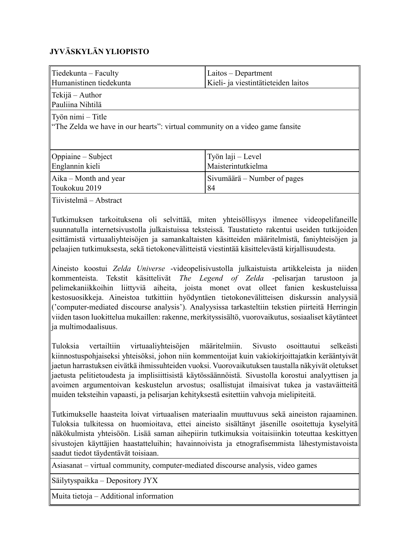### **JYVÄSKYLÄN YLIOPISTO**

| Tiedekunta – Faculty<br>Humanistinen tiedekunta                                                           | Laitos - Department<br>Kieli- ja viestintätieteiden laitos |  |  |  |
|-----------------------------------------------------------------------------------------------------------|------------------------------------------------------------|--|--|--|
| $\ $ Tekijä – Author<br>Pauliina Nihtilä                                                                  |                                                            |  |  |  |
| $\vert$ Työn nimi – Title<br>"The Zelda we have in our hearts": virtual community on a video game fansite |                                                            |  |  |  |
| Oppiaine – Subject                                                                                        | Työn laji – Level                                          |  |  |  |
| Englannin kieli                                                                                           | Maisterintutkielma                                         |  |  |  |
| $A$ ika – Month and year<br>Toukokuu 2019                                                                 | Sivumäärä – Number of pages<br>84                          |  |  |  |
| Tiivistelmä – Abstract                                                                                    |                                                            |  |  |  |

Tutkimuksen tarkoituksena oli selvittää, miten yhteisöllisyys ilmenee videopelifaneille suunnatulla internetsivustolla julkaistuissa teksteissä. Taustatieto rakentui useiden tutkijoiden esittämistä virtuaaliyhteisöjen ja samankaltaisten käsitteiden määritelmistä, faniyhteisöjen ja pelaajien tutkimuksesta, sekä tietokonevälitteistä viestintää käsittelevästä kirjallisuudesta.

Aineisto koostui *Zelda Universe* -videopelisivustolla julkaistuista artikkeleista ja niiden kommenteista. Tekstit käsittelivät *The Legend of Zelda* -pelisarjan tarustoon ja pelimekaniikkoihin liittyviä aiheita, joista monet ovat olleet fanien keskusteluissa kestosuosikkeja. Aineistoa tutkittiin hyödyntäen tietokonevälitteisen diskurssin analyysiä ('computer-mediated discourse analysis'). Analyysissa tarkasteltiin tekstien piirteitä Herringin viiden tason luokittelua mukaillen: rakenne, merkityssisältö, vuorovaikutus, sosiaaliset käytänteet ja multimodaalisuus.

Tuloksia vertailtiin virtuaaliyhteisöjen määritelmiin. Sivusto osoittautui selkeästi kiinnostuspohjaiseksi yhteisöksi, johon niin kommentoijat kuin vakiokirjoittajatkin kerääntyivät jaetun harrastuksen eivätkä ihmissuhteiden vuoksi. Vuorovaikutuksen taustalla näkyivät oletukset jaetusta pelitietoudesta ja implisiittisistä käytössäännöistä. Sivustolla korostui analyyttisen ja avoimen argumentoivan keskustelun arvostus; osallistujat ilmaisivat tukea ja vastaväitteitä muiden teksteihin vapaasti, ja pelisarjan kehityksestä esitettiin vahvoja mielipiteitä.

Tutkimukselle haasteita loivat virtuaalisen materiaalin muuttuvuus sekä aineiston rajaaminen. Tuloksia tulkitessa on huomioitava, ettei aineisto sisältänyt jäsenille osoitettuja kyselyitä näkökulmista yhteisöön. Lisää saman aihepiirin tutkimuksia voitaisiinkin toteuttaa keskittyen sivustojen käyttäjien haastatteluihin; havainnoivista ja etnografisemmista lähestymistavoista saadut tiedot täydentävät toisiaan.

Asiasanat – virtual community, computer-mediated discourse analysis, video games

Säilytyspaikka – Depository JYX

Muita tietoja – Additional information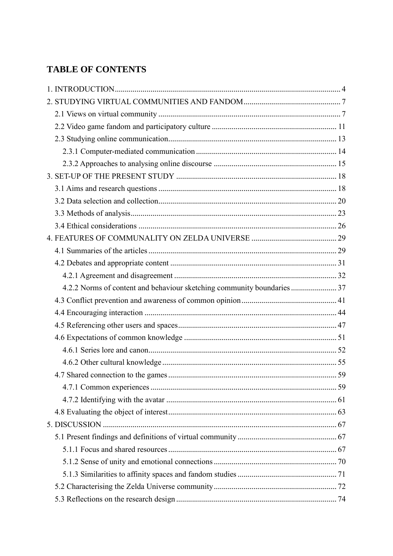## **TABLE OF CONTENTS**

| 4.2.2 Norms of content and behaviour sketching community boundaries  37 |  |
|-------------------------------------------------------------------------|--|
|                                                                         |  |
|                                                                         |  |
|                                                                         |  |
|                                                                         |  |
|                                                                         |  |
|                                                                         |  |
|                                                                         |  |
|                                                                         |  |
|                                                                         |  |
|                                                                         |  |
|                                                                         |  |
|                                                                         |  |
|                                                                         |  |
|                                                                         |  |
|                                                                         |  |
|                                                                         |  |
|                                                                         |  |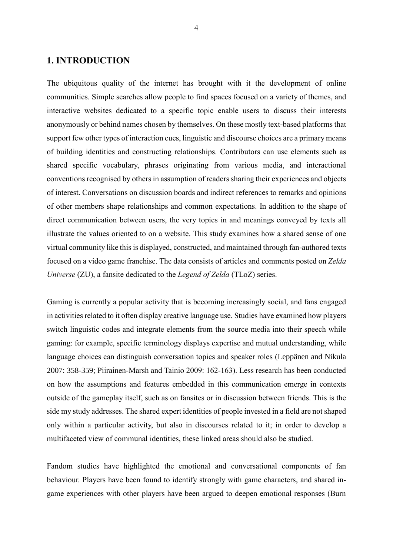#### <span id="page-4-0"></span>**1. INTRODUCTION**

The ubiquitous quality of the internet has brought with it the development of online communities. Simple searches allow people to find spaces focused on a variety of themes, and interactive websites dedicated to a specific topic enable users to discuss their interests anonymously or behind names chosen by themselves. On these mostly text-based platforms that support few other types of interaction cues, linguistic and discourse choices are a primary means of building identities and constructing relationships. Contributors can use elements such as shared specific vocabulary, phrases originating from various media, and interactional conventions recognised by others in assumption of readers sharing their experiences and objects of interest. Conversations on discussion boards and indirect references to remarks and opinions of other members shape relationships and common expectations. In addition to the shape of direct communication between users, the very topics in and meanings conveyed by texts all illustrate the values oriented to on a website. This study examines how a shared sense of one virtual community like this is displayed, constructed, and maintained through fan-authored texts focused on a video game franchise. The data consists of articles and comments posted on *Zelda Universe* (ZU), a fansite dedicated to the *Legend of Zelda* (TLoZ) series.

Gaming is currently a popular activity that is becoming increasingly social, and fans engaged in activities related to it often display creative language use. Studies have examined how players switch linguistic codes and integrate elements from the source media into their speech while gaming: for example, specific terminology displays expertise and mutual understanding, while language choices can distinguish conversation topics and speaker roles (Leppänen and Nikula 2007: 358-359; Piirainen-Marsh and Tainio 2009: 162-163). Less research has been conducted on how the assumptions and features embedded in this communication emerge in contexts outside of the gameplay itself, such as on fansites or in discussion between friends. This is the side my study addresses. The shared expert identities of people invested in a field are not shaped only within a particular activity, but also in discourses related to it; in order to develop a multifaceted view of communal identities, these linked areas should also be studied.

Fandom studies have highlighted the emotional and conversational components of fan behaviour. Players have been found to identify strongly with game characters, and shared ingame experiences with other players have been argued to deepen emotional responses (Burn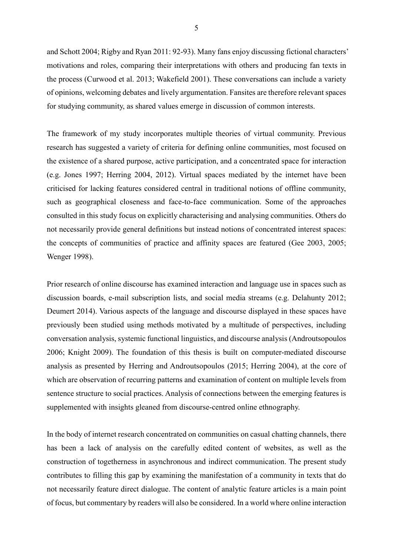and Schott 2004; Rigby and Ryan 2011: 92-93). Many fans enjoy discussing fictional characters' motivations and roles, comparing their interpretations with others and producing fan texts in the process (Curwood et al. 2013; Wakefield 2001). These conversations can include a variety of opinions, welcoming debates and lively argumentation. Fansites are therefore relevant spaces for studying community, as shared values emerge in discussion of common interests.

The framework of my study incorporates multiple theories of virtual community. Previous research has suggested a variety of criteria for defining online communities, most focused on the existence of a shared purpose, active participation, and a concentrated space for interaction (e.g. Jones 1997; Herring 2004, 2012). Virtual spaces mediated by the internet have been criticised for lacking features considered central in traditional notions of offline community, such as geographical closeness and face-to-face communication. Some of the approaches consulted in this study focus on explicitly characterising and analysing communities. Others do not necessarily provide general definitions but instead notions of concentrated interest spaces: the concepts of communities of practice and affinity spaces are featured (Gee 2003, 2005; Wenger 1998).

Prior research of online discourse has examined interaction and language use in spaces such as discussion boards, e-mail subscription lists, and social media streams (e.g. Delahunty 2012; Deumert 2014). Various aspects of the language and discourse displayed in these spaces have previously been studied using methods motivated by a multitude of perspectives, including conversation analysis, systemic functional linguistics, and discourse analysis (Androutsopoulos 2006; Knight 2009). The foundation of this thesis is built on computer-mediated discourse analysis as presented by Herring and Androutsopoulos (2015; Herring 2004), at the core of which are observation of recurring patterns and examination of content on multiple levels from sentence structure to social practices. Analysis of connections between the emerging features is supplemented with insights gleaned from discourse-centred online ethnography.

In the body of internet research concentrated on communities on casual chatting channels, there has been a lack of analysis on the carefully edited content of websites, as well as the construction of togetherness in asynchronous and indirect communication. The present study contributes to filling this gap by examining the manifestation of a community in texts that do not necessarily feature direct dialogue. The content of analytic feature articles is a main point of focus, but commentary by readers will also be considered. In a world where online interaction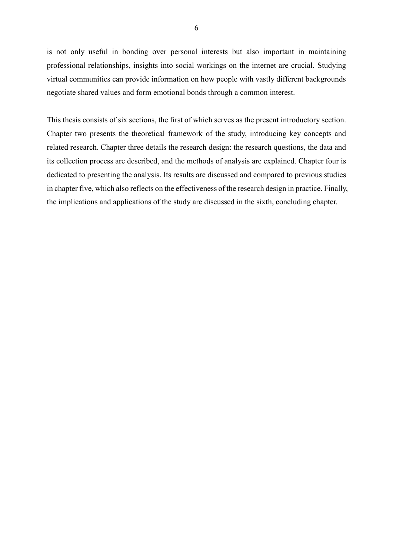is not only useful in bonding over personal interests but also important in maintaining professional relationships, insights into social workings on the internet are crucial. Studying virtual communities can provide information on how people with vastly different backgrounds negotiate shared values and form emotional bonds through a common interest.

This thesis consists of six sections, the first of which serves as the present introductory section. Chapter two presents the theoretical framework of the study, introducing key concepts and related research. Chapter three details the research design: the research questions, the data and its collection process are described, and the methods of analysis are explained. Chapter four is dedicated to presenting the analysis. Its results are discussed and compared to previous studies in chapter five, which also reflects on the effectiveness of the research design in practice. Finally, the implications and applications of the study are discussed in the sixth, concluding chapter.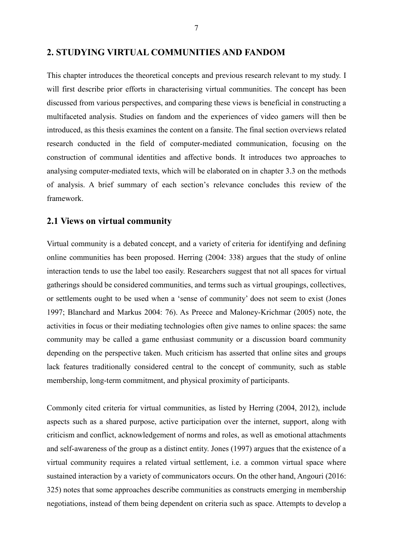<span id="page-7-0"></span>This chapter introduces the theoretical concepts and previous research relevant to my study. I will first describe prior efforts in characterising virtual communities. The concept has been discussed from various perspectives, and comparing these views is beneficial in constructing a multifaceted analysis. Studies on fandom and the experiences of video gamers will then be introduced, as this thesis examines the content on a fansite. The final section overviews related research conducted in the field of computer-mediated communication, focusing on the construction of communal identities and affective bonds. It introduces two approaches to analysing computer-mediated texts, which will be elaborated on in chapter 3.3 on the methods of analysis. A brief summary of each section's relevance concludes this review of the framework.

#### <span id="page-7-1"></span>**2.1 Views on virtual community**

Virtual community is a debated concept, and a variety of criteria for identifying and defining online communities has been proposed. Herring (2004: 338) argues that the study of online interaction tends to use the label too easily. Researchers suggest that not all spaces for virtual gatherings should be considered communities, and terms such as virtual groupings, collectives, or settlements ought to be used when a 'sense of community' does not seem to exist (Jones 1997; Blanchard and Markus 2004: 76). As Preece and Maloney-Krichmar (2005) note, the activities in focus or their mediating technologies often give names to online spaces: the same community may be called a game enthusiast community or a discussion board community depending on the perspective taken. Much criticism has asserted that online sites and groups lack features traditionally considered central to the concept of community, such as stable membership, long-term commitment, and physical proximity of participants.

Commonly cited criteria for virtual communities, as listed by Herring (2004, 2012), include aspects such as a shared purpose, active participation over the internet, support, along with criticism and conflict, acknowledgement of norms and roles, as well as emotional attachments and self-awareness of the group as a distinct entity. Jones (1997) argues that the existence of a virtual community requires a related virtual settlement, i.e. a common virtual space where sustained interaction by a variety of communicators occurs. On the other hand, Angouri (2016: 325) notes that some approaches describe communities as constructs emerging in membership negotiations, instead of them being dependent on criteria such as space. Attempts to develop a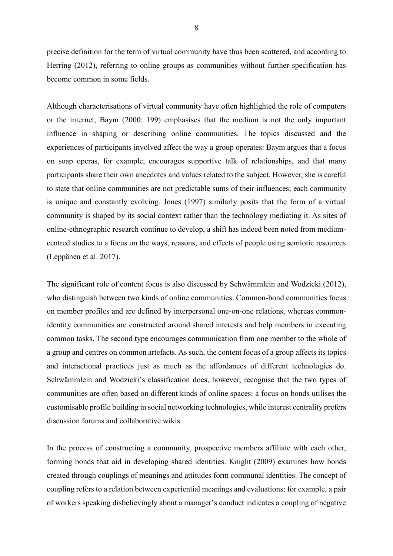precise definition for the term of virtual community have thus been scattered, and according to Herring (2012), referring to online groups as communities without further specification has become common in some fields.

Although characterisations of virtual community have often highlighted the role of computers or the internet, Baym (2000: 199) emphasises that the medium is not the only important influence in shaping or describing online communities. The topics discussed and the experiences of participants involved affect the way a group operates: Baym argues that a focus on soap operas, for example, encourages supportive talk of relationships, and that many participants share their own anecdotes and values related to the subject. However, she is careful to state that online communities are not predictable sums of their influences; each community is unique and constantly evolving. Jones (1997) similarly posits that the form of a virtual community is shaped by its social context rather than the technology mediating it. As sites of online-ethnographic research continue to develop, a shift has indeed been noted from mediumcentred studies to a focus on the ways, reasons, and effects of people using semiotic resources (Leppänen et al. 2017).

The significant role of content focus is also discussed by Schwämmlein and Wodzicki (2012), who distinguish between two kinds of online communities. Common-bond communities focus on member profiles and are defined by interpersonal one-on-one relations, whereas commonidentity communities are constructed around shared interests and help members in executing common tasks. The second type encourages communication from one member to the whole of a group and centres on common artefacts. As such, the content focus of a group affects its topics and interactional practices just as much as the affordances of different technologies do. Schwämmlein and Wodzicki's classification does, however, recognise that the two types of communities are often based on different kinds of online spaces: a focus on bonds utilises the customisable profile building in social networking technologies, while interest centrality prefers discussion forums and collaborative wikis.

In the process of constructing a community, prospective members affiliate with each other, forming bonds that aid in developing shared identities. Knight (2009) examines how bonds created through couplings of meanings and attitudes form communal identities. The concept of coupling refers to a relation between experiential meanings and evaluations: for example, a pair of workers speaking disbelievingly about a manager's conduct indicates a coupling of negative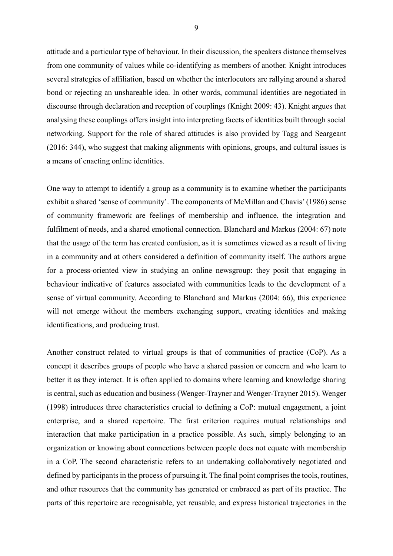attitude and a particular type of behaviour. In their discussion, the speakers distance themselves from one community of values while co-identifying as members of another. Knight introduces several strategies of affiliation, based on whether the interlocutors are rallying around a shared bond or rejecting an unshareable idea. In other words, communal identities are negotiated in discourse through declaration and reception of couplings (Knight 2009: 43). Knight argues that analysing these couplings offers insight into interpreting facets of identities built through social networking. Support for the role of shared attitudes is also provided by Tagg and Seargeant (2016: 344), who suggest that making alignments with opinions, groups, and cultural issues is a means of enacting online identities.

One way to attempt to identify a group as a community is to examine whether the participants exhibit a shared 'sense of community'. The components of McMillan and Chavis' (1986) sense of community framework are feelings of membership and influence, the integration and fulfilment of needs, and a shared emotional connection. Blanchard and Markus (2004: 67) note that the usage of the term has created confusion, as it is sometimes viewed as a result of living in a community and at others considered a definition of community itself. The authors argue for a process-oriented view in studying an online newsgroup: they posit that engaging in behaviour indicative of features associated with communities leads to the development of a sense of virtual community. According to Blanchard and Markus (2004: 66), this experience will not emerge without the members exchanging support, creating identities and making identifications, and producing trust.

Another construct related to virtual groups is that of communities of practice (CoP). As a concept it describes groups of people who have a shared passion or concern and who learn to better it as they interact. It is often applied to domains where learning and knowledge sharing is central, such as education and business (Wenger-Trayner and Wenger-Trayner 2015). Wenger (1998) introduces three characteristics crucial to defining a CoP: mutual engagement, a joint enterprise, and a shared repertoire. The first criterion requires mutual relationships and interaction that make participation in a practice possible. As such, simply belonging to an organization or knowing about connections between people does not equate with membership in a CoP. The second characteristic refers to an undertaking collaboratively negotiated and defined by participants in the process of pursuing it. The final point comprises the tools, routines, and other resources that the community has generated or embraced as part of its practice. The parts of this repertoire are recognisable, yet reusable, and express historical trajectories in the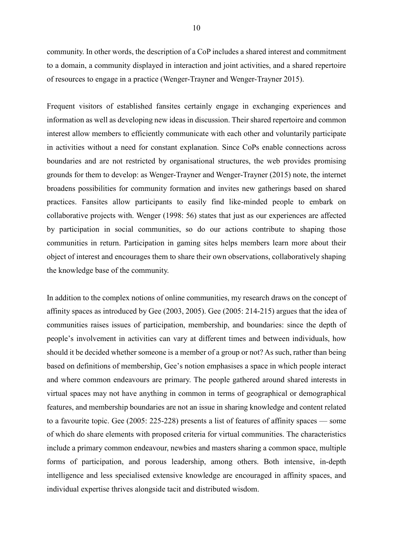community. In other words, the description of a CoP includes a shared interest and commitment to a domain, a community displayed in interaction and joint activities, and a shared repertoire of resources to engage in a practice (Wenger-Trayner and Wenger-Trayner 2015).

Frequent visitors of established fansites certainly engage in exchanging experiences and information as well as developing new ideas in discussion. Their shared repertoire and common interest allow members to efficiently communicate with each other and voluntarily participate in activities without a need for constant explanation. Since CoPs enable connections across boundaries and are not restricted by organisational structures, the web provides promising grounds for them to develop: as Wenger-Trayner and Wenger-Trayner (2015) note, the internet broadens possibilities for community formation and invites new gatherings based on shared practices. Fansites allow participants to easily find like-minded people to embark on collaborative projects with. Wenger (1998: 56) states that just as our experiences are affected by participation in social communities, so do our actions contribute to shaping those communities in return. Participation in gaming sites helps members learn more about their object of interest and encourages them to share their own observations, collaboratively shaping the knowledge base of the community.

In addition to the complex notions of online communities, my research draws on the concept of affinity spaces as introduced by Gee (2003, 2005). Gee (2005: 214-215) argues that the idea of communities raises issues of participation, membership, and boundaries: since the depth of people's involvement in activities can vary at different times and between individuals, how should it be decided whether someone is a member of a group or not? As such, rather than being based on definitions of membership, Gee's notion emphasises a space in which people interact and where common endeavours are primary. The people gathered around shared interests in virtual spaces may not have anything in common in terms of geographical or demographical features, and membership boundaries are not an issue in sharing knowledge and content related to a favourite topic. Gee (2005: 225-228) presents a list of features of affinity spaces — some of which do share elements with proposed criteria for virtual communities. The characteristics include a primary common endeavour, newbies and masters sharing a common space, multiple forms of participation, and porous leadership, among others. Both intensive, in-depth intelligence and less specialised extensive knowledge are encouraged in affinity spaces, and individual expertise thrives alongside tacit and distributed wisdom.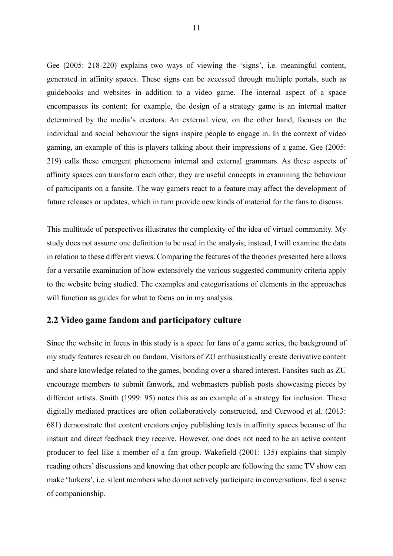Gee (2005: 218-220) explains two ways of viewing the 'signs', i.e. meaningful content, generated in affinity spaces. These signs can be accessed through multiple portals, such as guidebooks and websites in addition to a video game. The internal aspect of a space encompasses its content: for example, the design of a strategy game is an internal matter determined by the media's creators. An external view, on the other hand, focuses on the individual and social behaviour the signs inspire people to engage in. In the context of video gaming, an example of this is players talking about their impressions of a game. Gee (2005: 219) calls these emergent phenomena internal and external grammars. As these aspects of affinity spaces can transform each other, they are useful concepts in examining the behaviour of participants on a fansite. The way gamers react to a feature may affect the development of future releases or updates, which in turn provide new kinds of material for the fans to discuss.

This multitude of perspectives illustrates the complexity of the idea of virtual community. My study does not assume one definition to be used in the analysis; instead, I will examine the data in relation to these different views. Comparing the features of the theories presented here allows for a versatile examination of how extensively the various suggested community criteria apply to the website being studied. The examples and categorisations of elements in the approaches will function as guides for what to focus on in my analysis.

#### <span id="page-11-0"></span>**2.2 Video game fandom and participatory culture**

Since the website in focus in this study is a space for fans of a game series, the background of my study features research on fandom. Visitors of ZU enthusiastically create derivative content and share knowledge related to the games, bonding over a shared interest. Fansites such as ZU encourage members to submit fanwork, and webmasters publish posts showcasing pieces by different artists. Smith (1999: 95) notes this as an example of a strategy for inclusion. These digitally mediated practices are often collaboratively constructed, and Curwood et al. (2013: 681) demonstrate that content creators enjoy publishing texts in affinity spaces because of the instant and direct feedback they receive. However, one does not need to be an active content producer to feel like a member of a fan group. Wakefield (2001: 135) explains that simply reading others' discussions and knowing that other people are following the same TV show can make 'lurkers', i.e. silent members who do not actively participate in conversations, feel a sense of companionship.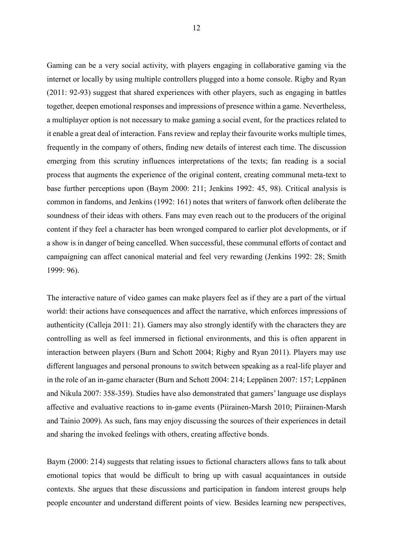Gaming can be a very social activity, with players engaging in collaborative gaming via the internet or locally by using multiple controllers plugged into a home console. Rigby and Ryan (2011: 92-93) suggest that shared experiences with other players, such as engaging in battles together, deepen emotional responses and impressions of presence within a game. Nevertheless, a multiplayer option is not necessary to make gaming a social event, for the practices related to it enable a great deal of interaction. Fans review and replay their favourite works multiple times, frequently in the company of others, finding new details of interest each time. The discussion emerging from this scrutiny influences interpretations of the texts; fan reading is a social process that augments the experience of the original content, creating communal meta-text to base further perceptions upon (Baym 2000: 211; Jenkins 1992: 45, 98). Critical analysis is common in fandoms, and Jenkins (1992: 161) notes that writers of fanwork often deliberate the soundness of their ideas with others. Fans may even reach out to the producers of the original content if they feel a character has been wronged compared to earlier plot developments, or if a show is in danger of being cancelled. When successful, these communal efforts of contact and campaigning can affect canonical material and feel very rewarding (Jenkins 1992: 28; Smith 1999: 96).

The interactive nature of video games can make players feel as if they are a part of the virtual world: their actions have consequences and affect the narrative, which enforces impressions of authenticity (Calleja 2011: 21). Gamers may also strongly identify with the characters they are controlling as well as feel immersed in fictional environments, and this is often apparent in interaction between players (Burn and Schott 2004; Rigby and Ryan 2011). Players may use different languages and personal pronouns to switch between speaking as a real-life player and in the role of an in-game character (Burn and Schott 2004: 214; Leppänen 2007: 157; Leppänen and Nikula 2007: 358-359). Studies have also demonstrated that gamers' language use displays affective and evaluative reactions to in-game events (Piirainen-Marsh 2010; Piirainen-Marsh and Tainio 2009). As such, fans may enjoy discussing the sources of their experiences in detail and sharing the invoked feelings with others, creating affective bonds.

Baym (2000: 214) suggests that relating issues to fictional characters allows fans to talk about emotional topics that would be difficult to bring up with casual acquaintances in outside contexts. She argues that these discussions and participation in fandom interest groups help people encounter and understand different points of view. Besides learning new perspectives,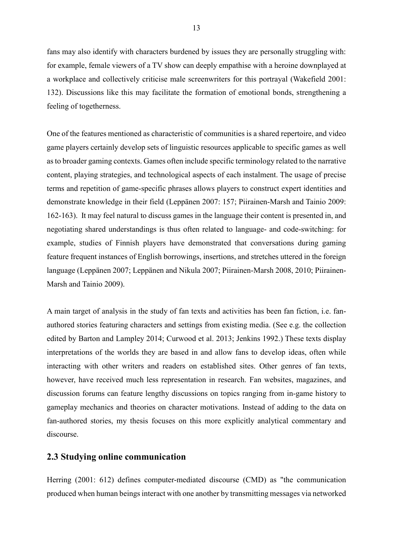fans may also identify with characters burdened by issues they are personally struggling with: for example, female viewers of a TV show can deeply empathise with a heroine downplayed at a workplace and collectively criticise male screenwriters for this portrayal (Wakefield 2001: 132). Discussions like this may facilitate the formation of emotional bonds, strengthening a feeling of togetherness.

One of the features mentioned as characteristic of communities is a shared repertoire, and video game players certainly develop sets of linguistic resources applicable to specific games as well as to broader gaming contexts. Games often include specific terminology related to the narrative content, playing strategies, and technological aspects of each instalment. The usage of precise terms and repetition of game-specific phrases allows players to construct expert identities and demonstrate knowledge in their field (Leppänen 2007: 157; Piirainen-Marsh and Tainio 2009: 162-163). It may feel natural to discuss games in the language their content is presented in, and negotiating shared understandings is thus often related to language- and code-switching: for example, studies of Finnish players have demonstrated that conversations during gaming feature frequent instances of English borrowings, insertions, and stretches uttered in the foreign language (Leppänen 2007; Leppänen and Nikula 2007; Piirainen-Marsh 2008, 2010; Piirainen-Marsh and Tainio 2009).

A main target of analysis in the study of fan texts and activities has been fan fiction, i.e. fanauthored stories featuring characters and settings from existing media. (See e.g. the collection edited by Barton and Lampley 2014; Curwood et al. 2013; Jenkins 1992.) These texts display interpretations of the worlds they are based in and allow fans to develop ideas, often while interacting with other writers and readers on established sites. Other genres of fan texts, however, have received much less representation in research. Fan websites, magazines, and discussion forums can feature lengthy discussions on topics ranging from in-game history to gameplay mechanics and theories on character motivations. Instead of adding to the data on fan-authored stories, my thesis focuses on this more explicitly analytical commentary and discourse.

#### <span id="page-13-0"></span>**2.3 Studying online communication**

Herring (2001: 612) defines computer-mediated discourse (CMD) as "the communication produced when human beings interact with one another by transmitting messages via networked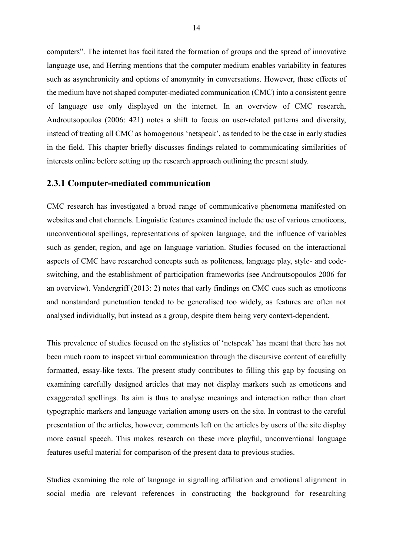computers". The internet has facilitated the formation of groups and the spread of innovative language use, and Herring mentions that the computer medium enables variability in features such as asynchronicity and options of anonymity in conversations. However, these effects of the medium have not shaped computer-mediated communication (CMC) into a consistent genre of language use only displayed on the internet. In an overview of CMC research, Androutsopoulos (2006: 421) notes a shift to focus on user-related patterns and diversity, instead of treating all CMC as homogenous 'netspeak', as tended to be the case in early studies in the field. This chapter briefly discusses findings related to communicating similarities of interests online before setting up the research approach outlining the present study.

#### <span id="page-14-0"></span>**2.3.1 Computer-mediated communication**

CMC research has investigated a broad range of communicative phenomena manifested on websites and chat channels. Linguistic features examined include the use of various emoticons, unconventional spellings, representations of spoken language, and the influence of variables such as gender, region, and age on language variation. Studies focused on the interactional aspects of CMC have researched concepts such as politeness, language play, style- and codeswitching, and the establishment of participation frameworks (see Androutsopoulos 2006 for an overview). Vandergriff (2013: 2) notes that early findings on CMC cues such as emoticons and nonstandard punctuation tended to be generalised too widely, as features are often not analysed individually, but instead as a group, despite them being very context-dependent.

This prevalence of studies focused on the stylistics of 'netspeak' has meant that there has not been much room to inspect virtual communication through the discursive content of carefully formatted, essay-like texts. The present study contributes to filling this gap by focusing on examining carefully designed articles that may not display markers such as emoticons and exaggerated spellings. Its aim is thus to analyse meanings and interaction rather than chart typographic markers and language variation among users on the site. In contrast to the careful presentation of the articles, however, comments left on the articles by users of the site display more casual speech. This makes research on these more playful, unconventional language features useful material for comparison of the present data to previous studies.

Studies examining the role of language in signalling affiliation and emotional alignment in social media are relevant references in constructing the background for researching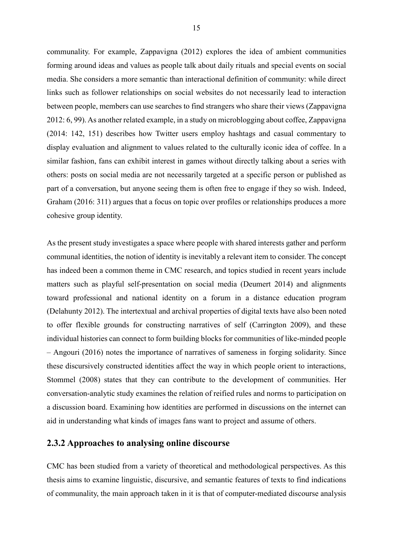communality. For example, Zappavigna (2012) explores the idea of ambient communities forming around ideas and values as people talk about daily rituals and special events on social media. She considers a more semantic than interactional definition of community: while direct links such as follower relationships on social websites do not necessarily lead to interaction between people, members can use searches to find strangers who share their views (Zappavigna 2012: 6, 99). As another related example, in a study on microblogging about coffee, Zappavigna (2014: 142, 151) describes how Twitter users employ hashtags and casual commentary to display evaluation and alignment to values related to the culturally iconic idea of coffee. In a similar fashion, fans can exhibit interest in games without directly talking about a series with others: posts on social media are not necessarily targeted at a specific person or published as part of a conversation, but anyone seeing them is often free to engage if they so wish. Indeed, Graham (2016: 311) argues that a focus on topic over profiles or relationships produces a more cohesive group identity.

As the present study investigates a space where people with shared interests gather and perform communal identities, the notion of identity is inevitably a relevant item to consider. The concept has indeed been a common theme in CMC research, and topics studied in recent years include matters such as playful self-presentation on social media (Deumert 2014) and alignments toward professional and national identity on a forum in a distance education program (Delahunty 2012). The intertextual and archival properties of digital texts have also been noted to offer flexible grounds for constructing narratives of self (Carrington 2009), and these individual histories can connect to form building blocks for communities of like-minded people – Angouri (2016) notes the importance of narratives of sameness in forging solidarity. Since these discursively constructed identities affect the way in which people orient to interactions, Stommel (2008) states that they can contribute to the development of communities. Her conversation-analytic study examines the relation of reified rules and norms to participation on a discussion board. Examining how identities are performed in discussions on the internet can aid in understanding what kinds of images fans want to project and assume of others.

#### <span id="page-15-0"></span>**2.3.2 Approaches to analysing online discourse**

CMC has been studied from a variety of theoretical and methodological perspectives. As this thesis aims to examine linguistic, discursive, and semantic features of texts to find indications of communality, the main approach taken in it is that of computer-mediated discourse analysis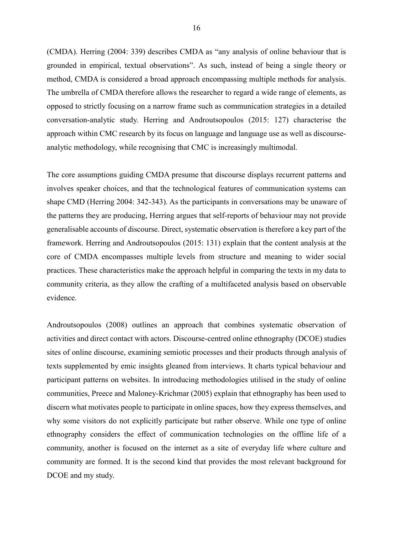(CMDA). Herring (2004: 339) describes CMDA as "any analysis of online behaviour that is grounded in empirical, textual observations". As such, instead of being a single theory or method, CMDA is considered a broad approach encompassing multiple methods for analysis. The umbrella of CMDA therefore allows the researcher to regard a wide range of elements, as opposed to strictly focusing on a narrow frame such as communication strategies in a detailed conversation-analytic study. Herring and Androutsopoulos (2015: 127) characterise the approach within CMC research by its focus on language and language use as well as discourseanalytic methodology, while recognising that CMC is increasingly multimodal.

The core assumptions guiding CMDA presume that discourse displays recurrent patterns and involves speaker choices, and that the technological features of communication systems can shape CMD (Herring 2004: 342-343). As the participants in conversations may be unaware of the patterns they are producing, Herring argues that self-reports of behaviour may not provide generalisable accounts of discourse. Direct, systematic observation is therefore a key part of the framework. Herring and Androutsopoulos (2015: 131) explain that the content analysis at the core of CMDA encompasses multiple levels from structure and meaning to wider social practices. These characteristics make the approach helpful in comparing the texts in my data to community criteria, as they allow the crafting of a multifaceted analysis based on observable evidence.

Androutsopoulos (2008) outlines an approach that combines systematic observation of activities and direct contact with actors. Discourse-centred online ethnography (DCOE) studies sites of online discourse, examining semiotic processes and their products through analysis of texts supplemented by emic insights gleaned from interviews. It charts typical behaviour and participant patterns on websites. In introducing methodologies utilised in the study of online communities, Preece and Maloney-Krichmar (2005) explain that ethnography has been used to discern what motivates people to participate in online spaces, how they express themselves, and why some visitors do not explicitly participate but rather observe. While one type of online ethnography considers the effect of communication technologies on the offline life of a community, another is focused on the internet as a site of everyday life where culture and community are formed. It is the second kind that provides the most relevant background for DCOE and my study.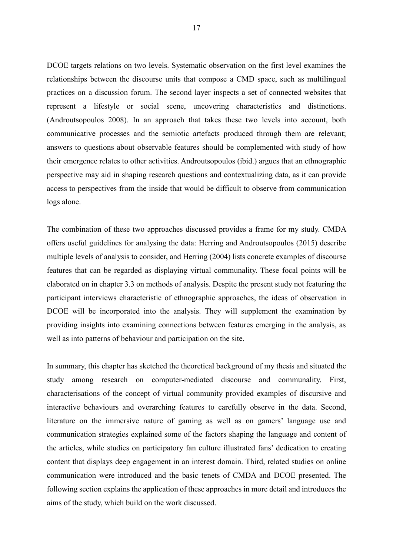DCOE targets relations on two levels. Systematic observation on the first level examines the relationships between the discourse units that compose a CMD space, such as multilingual practices on a discussion forum. The second layer inspects a set of connected websites that represent a lifestyle or social scene, uncovering characteristics and distinctions. (Androutsopoulos 2008). In an approach that takes these two levels into account, both communicative processes and the semiotic artefacts produced through them are relevant; answers to questions about observable features should be complemented with study of how their emergence relates to other activities. Androutsopoulos (ibid.) argues that an ethnographic perspective may aid in shaping research questions and contextualizing data, as it can provide access to perspectives from the inside that would be difficult to observe from communication logs alone.

The combination of these two approaches discussed provides a frame for my study. CMDA offers useful guidelines for analysing the data: Herring and Androutsopoulos (2015) describe multiple levels of analysis to consider, and Herring (2004) lists concrete examples of discourse features that can be regarded as displaying virtual communality. These focal points will be elaborated on in chapter 3.3 on methods of analysis. Despite the present study not featuring the participant interviews characteristic of ethnographic approaches, the ideas of observation in DCOE will be incorporated into the analysis. They will supplement the examination by providing insights into examining connections between features emerging in the analysis, as well as into patterns of behaviour and participation on the site.

In summary, this chapter has sketched the theoretical background of my thesis and situated the study among research on computer-mediated discourse and communality. First, characterisations of the concept of virtual community provided examples of discursive and interactive behaviours and overarching features to carefully observe in the data. Second, literature on the immersive nature of gaming as well as on gamers' language use and communication strategies explained some of the factors shaping the language and content of the articles, while studies on participatory fan culture illustrated fans' dedication to creating content that displays deep engagement in an interest domain. Third, related studies on online communication were introduced and the basic tenets of CMDA and DCOE presented. The following section explains the application of these approaches in more detail and introduces the aims of the study, which build on the work discussed.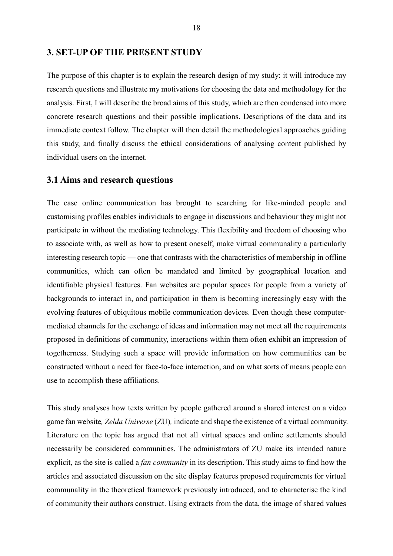#### <span id="page-18-0"></span>**3. SET-UP OF THE PRESENT STUDY**

The purpose of this chapter is to explain the research design of my study: it will introduce my research questions and illustrate my motivations for choosing the data and methodology for the analysis. First, I will describe the broad aims of this study, which are then condensed into more concrete research questions and their possible implications. Descriptions of the data and its immediate context follow. The chapter will then detail the methodological approaches guiding this study, and finally discuss the ethical considerations of analysing content published by individual users on the internet.

#### <span id="page-18-1"></span>**3.1 Aims and research questions**

The ease online communication has brought to searching for like-minded people and customising profiles enables individuals to engage in discussions and behaviour they might not participate in without the mediating technology. This flexibility and freedom of choosing who to associate with, as well as how to present oneself, make virtual communality a particularly interesting research topic — one that contrasts with the characteristics of membership in offline communities, which can often be mandated and limited by geographical location and identifiable physical features. Fan websites are popular spaces for people from a variety of backgrounds to interact in, and participation in them is becoming increasingly easy with the evolving features of ubiquitous mobile communication devices. Even though these computermediated channels for the exchange of ideas and information may not meet all the requirements proposed in definitions of community, interactions within them often exhibit an impression of togetherness. Studying such a space will provide information on how communities can be constructed without a need for face-to-face interaction, and on what sorts of means people can use to accomplish these affiliations.

This study analyses how texts written by people gathered around a shared interest on a video game fan website*, Zelda Universe* (ZU)*,* indicate and shape the existence of a virtual community. Literature on the topic has argued that not all virtual spaces and online settlements should necessarily be considered communities. The administrators of ZU make its intended nature explicit, as the site is called a *fan community* in its description. This study aims to find how the articles and associated discussion on the site display features proposed requirements for virtual communality in the theoretical framework previously introduced, and to characterise the kind of community their authors construct. Using extracts from the data, the image of shared values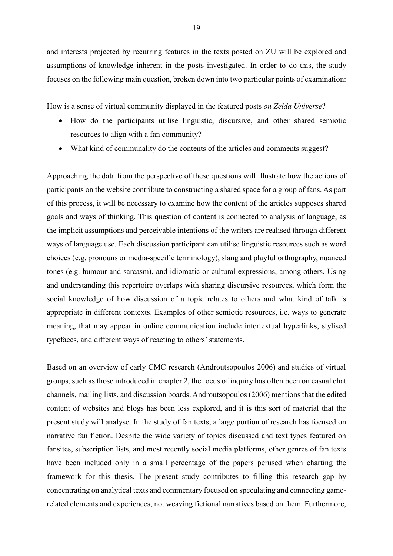and interests projected by recurring features in the texts posted on ZU will be explored and assumptions of knowledge inherent in the posts investigated. In order to do this, the study focuses on the following main question, broken down into two particular points of examination:

How is a sense of virtual community displayed in the featured posts *on Zelda Universe*?

- How do the participants utilise linguistic, discursive, and other shared semiotic resources to align with a fan community?
- What kind of communality do the contents of the articles and comments suggest?

Approaching the data from the perspective of these questions will illustrate how the actions of participants on the website contribute to constructing a shared space for a group of fans. As part of this process, it will be necessary to examine how the content of the articles supposes shared goals and ways of thinking. This question of content is connected to analysis of language, as the implicit assumptions and perceivable intentions of the writers are realised through different ways of language use. Each discussion participant can utilise linguistic resources such as word choices (e.g. pronouns or media-specific terminology), slang and playful orthography, nuanced tones (e.g. humour and sarcasm), and idiomatic or cultural expressions, among others. Using and understanding this repertoire overlaps with sharing discursive resources, which form the social knowledge of how discussion of a topic relates to others and what kind of talk is appropriate in different contexts. Examples of other semiotic resources, i.e. ways to generate meaning, that may appear in online communication include intertextual hyperlinks, stylised typefaces, and different ways of reacting to others' statements.

Based on an overview of early CMC research (Androutsopoulos 2006) and studies of virtual groups, such as those introduced in chapter 2, the focus of inquiry has often been on casual chat channels, mailing lists, and discussion boards. Androutsopoulos (2006) mentions that the edited content of websites and blogs has been less explored, and it is this sort of material that the present study will analyse. In the study of fan texts, a large portion of research has focused on narrative fan fiction. Despite the wide variety of topics discussed and text types featured on fansites, subscription lists, and most recently social media platforms, other genres of fan texts have been included only in a small percentage of the papers perused when charting the framework for this thesis. The present study contributes to filling this research gap by concentrating on analytical texts and commentary focused on speculating and connecting gamerelated elements and experiences, not weaving fictional narratives based on them. Furthermore,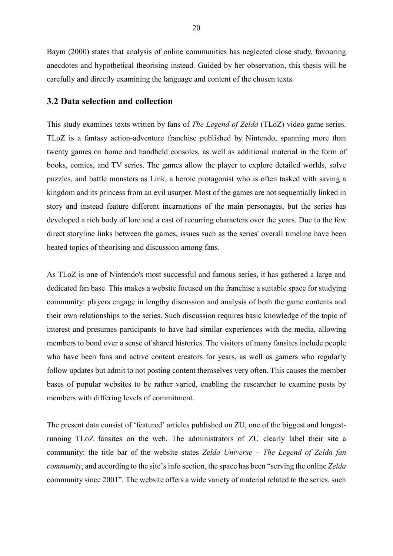Baym (2000) states that analysis of online communities has neglected close study, favouring anecdotes and hypothetical theorising instead. Guided by her observation, this thesis will be carefully and directly examining the language and content of the chosen texts.

#### <span id="page-20-0"></span>**3.2 Data selection and collection**

This study examines texts written by fans of *The Legend of Zelda* (TLoZ) video game series. TLoZ is a fantasy action-adventure franchise published by Nintendo, spanning more than twenty games on home and handheld consoles, as well as additional material in the form of books, comics, and TV series. The games allow the player to explore detailed worlds, solve puzzles, and battle monsters as Link, a heroic protagonist who is often tasked with saving a kingdom and its princess from an evil usurper. Most of the games are not sequentially linked in story and instead feature different incarnations of the main personages, but the series has developed a rich body of lore and a cast of recurring characters over the years. Due to the few direct storyline links between the games, issues such as the series' overall timeline have been heated topics of theorising and discussion among fans.

As TLoZ is one of Nintendo's most successful and famous series, it has gathered a large and dedicated fan base. This makes a website focused on the franchise a suitable space for studying community: players engage in lengthy discussion and analysis of both the game contents and their own relationships to the series. Such discussion requires basic knowledge of the topic of interest and presumes participants to have had similar experiences with the media, allowing members to bond over a sense of shared histories. The visitors of many fansites include people who have been fans and active content creators for years, as well as gamers who regularly follow updates but admit to not posting content themselves very often. This causes the member bases of popular websites to be rather varied, enabling the researcher to examine posts by members with differing levels of commitment.

The present data consist of 'featured' articles published on ZU, one of the biggest and longestrunning TLoZ fansites on the web. The administrators of ZU clearly label their site a community: the title bar of the website states *Zelda Universe – The Legend of Zelda fan community*, and according to the site's info section, the space has been "serving the online *Zelda*  community since 2001". The website offers a wide variety of material related to the series, such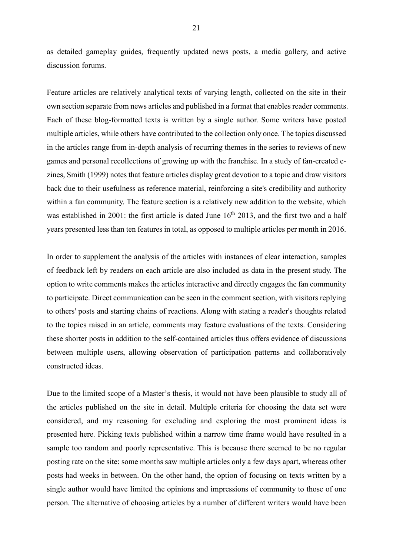as detailed gameplay guides, frequently updated news posts, a media gallery, and active discussion forums.

Feature articles are relatively analytical texts of varying length, collected on the site in their own section separate from news articles and published in a format that enables reader comments. Each of these blog-formatted texts is written by a single author. Some writers have posted multiple articles, while others have contributed to the collection only once. The topics discussed in the articles range from in-depth analysis of recurring themes in the series to reviews of new games and personal recollections of growing up with the franchise. In a study of fan-created ezines, Smith (1999) notes that feature articles display great devotion to a topic and draw visitors back due to their usefulness as reference material, reinforcing a site's credibility and authority within a fan community. The feature section is a relatively new addition to the website, which was established in 2001: the first article is dated June  $16<sup>th</sup>$  2013, and the first two and a half years presented less than ten features in total, as opposed to multiple articles per month in 2016.

In order to supplement the analysis of the articles with instances of clear interaction, samples of feedback left by readers on each article are also included as data in the present study. The option to write comments makes the articles interactive and directly engages the fan community to participate. Direct communication can be seen in the comment section, with visitors replying to others' posts and starting chains of reactions. Along with stating a reader's thoughts related to the topics raised in an article, comments may feature evaluations of the texts. Considering these shorter posts in addition to the self-contained articles thus offers evidence of discussions between multiple users, allowing observation of participation patterns and collaboratively constructed ideas.

Due to the limited scope of a Master's thesis, it would not have been plausible to study all of the articles published on the site in detail. Multiple criteria for choosing the data set were considered, and my reasoning for excluding and exploring the most prominent ideas is presented here. Picking texts published within a narrow time frame would have resulted in a sample too random and poorly representative. This is because there seemed to be no regular posting rate on the site: some months saw multiple articles only a few days apart, whereas other posts had weeks in between. On the other hand, the option of focusing on texts written by a single author would have limited the opinions and impressions of community to those of one person. The alternative of choosing articles by a number of different writers would have been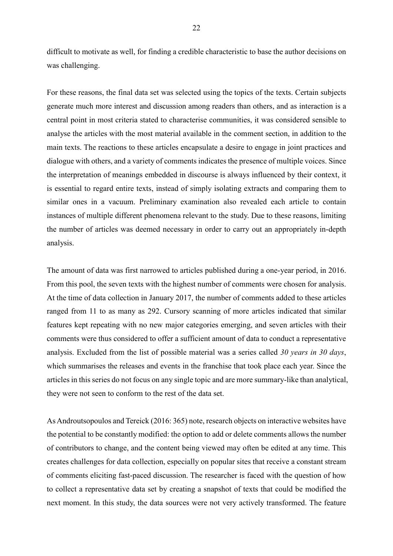difficult to motivate as well, for finding a credible characteristic to base the author decisions on was challenging.

For these reasons, the final data set was selected using the topics of the texts. Certain subjects generate much more interest and discussion among readers than others, and as interaction is a central point in most criteria stated to characterise communities, it was considered sensible to analyse the articles with the most material available in the comment section, in addition to the main texts. The reactions to these articles encapsulate a desire to engage in joint practices and dialogue with others, and a variety of comments indicates the presence of multiple voices. Since the interpretation of meanings embedded in discourse is always influenced by their context, it is essential to regard entire texts, instead of simply isolating extracts and comparing them to similar ones in a vacuum. Preliminary examination also revealed each article to contain instances of multiple different phenomena relevant to the study. Due to these reasons, limiting the number of articles was deemed necessary in order to carry out an appropriately in-depth analysis.

The amount of data was first narrowed to articles published during a one-year period, in 2016. From this pool, the seven texts with the highest number of comments were chosen for analysis. At the time of data collection in January 2017, the number of comments added to these articles ranged from 11 to as many as 292. Cursory scanning of more articles indicated that similar features kept repeating with no new major categories emerging, and seven articles with their comments were thus considered to offer a sufficient amount of data to conduct a representative analysis. Excluded from the list of possible material was a series called *30 years in 30 days*, which summarises the releases and events in the franchise that took place each year. Since the articles in this series do not focus on any single topic and are more summary-like than analytical, they were not seen to conform to the rest of the data set.

As Androutsopoulos and Tereick (2016: 365) note, research objects on interactive websites have the potential to be constantly modified: the option to add or delete comments allows the number of contributors to change, and the content being viewed may often be edited at any time. This creates challenges for data collection, especially on popular sites that receive a constant stream of comments eliciting fast-paced discussion. The researcher is faced with the question of how to collect a representative data set by creating a snapshot of texts that could be modified the next moment. In this study, the data sources were not very actively transformed. The feature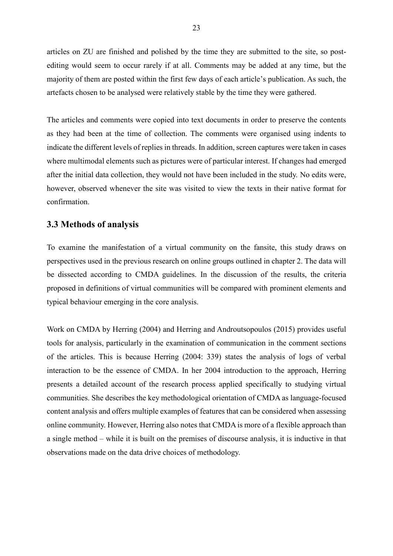articles on ZU are finished and polished by the time they are submitted to the site, so postediting would seem to occur rarely if at all. Comments may be added at any time, but the majority of them are posted within the first few days of each article's publication. As such, the artefacts chosen to be analysed were relatively stable by the time they were gathered.

The articles and comments were copied into text documents in order to preserve the contents as they had been at the time of collection. The comments were organised using indents to indicate the different levels of replies in threads. In addition, screen captures were taken in cases where multimodal elements such as pictures were of particular interest. If changes had emerged after the initial data collection, they would not have been included in the study. No edits were, however, observed whenever the site was visited to view the texts in their native format for confirmation.

#### <span id="page-23-0"></span>**3.3 Methods of analysis**

To examine the manifestation of a virtual community on the fansite, this study draws on perspectives used in the previous research on online groups outlined in chapter 2. The data will be dissected according to CMDA guidelines. In the discussion of the results, the criteria proposed in definitions of virtual communities will be compared with prominent elements and typical behaviour emerging in the core analysis.

Work on CMDA by Herring (2004) and Herring and Androutsopoulos (2015) provides useful tools for analysis, particularly in the examination of communication in the comment sections of the articles. This is because Herring (2004: 339) states the analysis of logs of verbal interaction to be the essence of CMDA. In her 2004 introduction to the approach, Herring presents a detailed account of the research process applied specifically to studying virtual communities. She describes the key methodological orientation of CMDA as language-focused content analysis and offers multiple examples of features that can be considered when assessing online community. However, Herring also notes that CMDA is more of a flexible approach than a single method – while it is built on the premises of discourse analysis, it is inductive in that observations made on the data drive choices of methodology.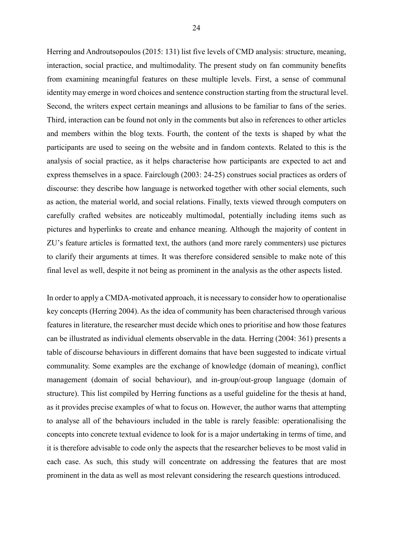Herring and Androutsopoulos (2015: 131) list five levels of CMD analysis: structure, meaning, interaction, social practice, and multimodality. The present study on fan community benefits from examining meaningful features on these multiple levels. First, a sense of communal identity may emerge in word choices and sentence construction starting from the structural level. Second, the writers expect certain meanings and allusions to be familiar to fans of the series. Third, interaction can be found not only in the comments but also in references to other articles and members within the blog texts. Fourth, the content of the texts is shaped by what the participants are used to seeing on the website and in fandom contexts. Related to this is the analysis of social practice, as it helps characterise how participants are expected to act and express themselves in a space. Fairclough (2003: 24-25) construes social practices as orders of discourse: they describe how language is networked together with other social elements, such as action, the material world, and social relations. Finally, texts viewed through computers on carefully crafted websites are noticeably multimodal, potentially including items such as pictures and hyperlinks to create and enhance meaning. Although the majority of content in ZU's feature articles is formatted text, the authors (and more rarely commenters) use pictures to clarify their arguments at times. It was therefore considered sensible to make note of this final level as well, despite it not being as prominent in the analysis as the other aspects listed.

In order to apply a CMDA-motivated approach, it is necessary to consider how to operationalise key concepts (Herring 2004). As the idea of community has been characterised through various features in literature, the researcher must decide which ones to prioritise and how those features can be illustrated as individual elements observable in the data. Herring (2004: 361) presents a table of discourse behaviours in different domains that have been suggested to indicate virtual communality. Some examples are the exchange of knowledge (domain of meaning), conflict management (domain of social behaviour), and in-group/out-group language (domain of structure). This list compiled by Herring functions as a useful guideline for the thesis at hand, as it provides precise examples of what to focus on. However, the author warns that attempting to analyse all of the behaviours included in the table is rarely feasible: operationalising the concepts into concrete textual evidence to look for is a major undertaking in terms of time, and it is therefore advisable to code only the aspects that the researcher believes to be most valid in each case. As such, this study will concentrate on addressing the features that are most prominent in the data as well as most relevant considering the research questions introduced.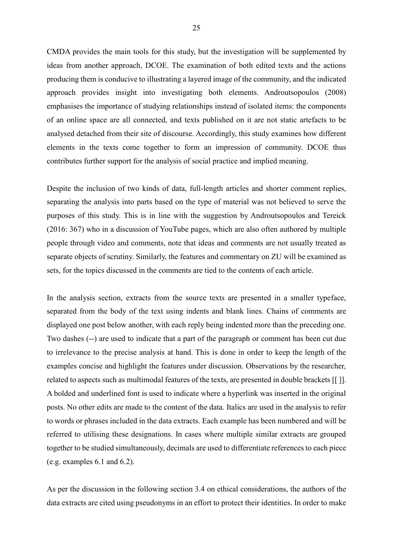CMDA provides the main tools for this study, but the investigation will be supplemented by ideas from another approach, DCOE. The examination of both edited texts and the actions producing them is conducive to illustrating a layered image of the community, and the indicated approach provides insight into investigating both elements. Androutsopoulos (2008) emphasises the importance of studying relationships instead of isolated items: the components of an online space are all connected, and texts published on it are not static artefacts to be analysed detached from their site of discourse. Accordingly, this study examines how different elements in the texts come together to form an impression of community. DCOE thus contributes further support for the analysis of social practice and implied meaning.

Despite the inclusion of two kinds of data, full-length articles and shorter comment replies, separating the analysis into parts based on the type of material was not believed to serve the purposes of this study. This is in line with the suggestion by Androutsopoulos and Tereick (2016: 367) who in a discussion of YouTube pages, which are also often authored by multiple people through video and comments, note that ideas and comments are not usually treated as separate objects of scrutiny. Similarly, the features and commentary on ZU will be examined as sets, for the topics discussed in the comments are tied to the contents of each article.

In the analysis section, extracts from the source texts are presented in a smaller typeface, separated from the body of the text using indents and blank lines. Chains of comments are displayed one post below another, with each reply being indented more than the preceding one. Two dashes (--) are used to indicate that a part of the paragraph or comment has been cut due to irrelevance to the precise analysis at hand. This is done in order to keep the length of the examples concise and highlight the features under discussion. Observations by the researcher, related to aspects such as multimodal features of the texts, are presented in double brackets [[ ]]. A bolded and underlined font is used to indicate where a hyperlink was inserted in the original posts. No other edits are made to the content of the data. Italics are used in the analysis to refer to words or phrases included in the data extracts. Each example has been numbered and will be referred to utilising these designations. In cases where multiple similar extracts are grouped together to be studied simultaneously, decimals are used to differentiate references to each piece (e.g. examples 6.1 and 6.2).

As per the discussion in the following section 3.4 on ethical considerations, the authors of the data extracts are cited using pseudonyms in an effort to protect their identities. In order to make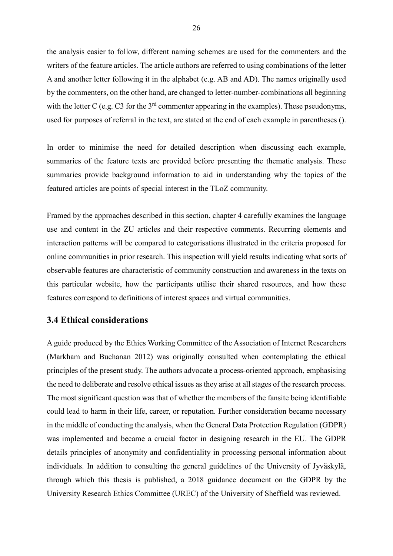the analysis easier to follow, different naming schemes are used for the commenters and the writers of the feature articles. The article authors are referred to using combinations of the letter A and another letter following it in the alphabet (e.g. AB and AD). The names originally used by the commenters, on the other hand, are changed to letter-number-combinations all beginning with the letter C (e.g. C3 for the  $3<sup>rd</sup>$  commenter appearing in the examples). These pseudonyms, used for purposes of referral in the text, are stated at the end of each example in parentheses ().

In order to minimise the need for detailed description when discussing each example, summaries of the feature texts are provided before presenting the thematic analysis. These summaries provide background information to aid in understanding why the topics of the featured articles are points of special interest in the TLoZ community.

Framed by the approaches described in this section, chapter 4 carefully examines the language use and content in the ZU articles and their respective comments. Recurring elements and interaction patterns will be compared to categorisations illustrated in the criteria proposed for online communities in prior research. This inspection will yield results indicating what sorts of observable features are characteristic of community construction and awareness in the texts on this particular website, how the participants utilise their shared resources, and how these features correspond to definitions of interest spaces and virtual communities.

#### <span id="page-26-0"></span>**3.4 Ethical considerations**

A guide produced by the Ethics Working Committee of the Association of Internet Researchers (Markham and Buchanan 2012) was originally consulted when contemplating the ethical principles of the present study. The authors advocate a process-oriented approach, emphasising the need to deliberate and resolve ethical issues as they arise at all stages of the research process. The most significant question was that of whether the members of the fansite being identifiable could lead to harm in their life, career, or reputation. Further consideration became necessary in the middle of conducting the analysis, when the General Data Protection Regulation (GDPR) was implemented and became a crucial factor in designing research in the EU. The GDPR details principles of anonymity and confidentiality in processing personal information about individuals. In addition to consulting the general guidelines of the University of Jyväskylä, through which this thesis is published, a 2018 guidance document on the GDPR by the University Research Ethics Committee (UREC) of the University of Sheffield was reviewed.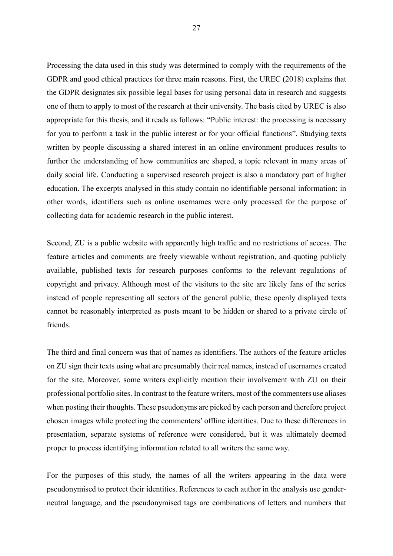Processing the data used in this study was determined to comply with the requirements of the GDPR and good ethical practices for three main reasons. First, the UREC (2018) explains that the GDPR designates six possible legal bases for using personal data in research and suggests one of them to apply to most of the research at their university. The basis cited by UREC is also appropriate for this thesis, and it reads as follows: "Public interest: the processing is necessary for you to perform a task in the public interest or for your official functions". Studying texts written by people discussing a shared interest in an online environment produces results to further the understanding of how communities are shaped, a topic relevant in many areas of daily social life. Conducting a supervised research project is also a mandatory part of higher education. The excerpts analysed in this study contain no identifiable personal information; in other words, identifiers such as online usernames were only processed for the purpose of collecting data for academic research in the public interest.

Second, ZU is a public website with apparently high traffic and no restrictions of access. The feature articles and comments are freely viewable without registration, and quoting publicly available, published texts for research purposes conforms to the relevant regulations of copyright and privacy. Although most of the visitors to the site are likely fans of the series instead of people representing all sectors of the general public, these openly displayed texts cannot be reasonably interpreted as posts meant to be hidden or shared to a private circle of friends.

The third and final concern was that of names as identifiers. The authors of the feature articles on ZU sign their texts using what are presumably their real names, instead of usernames created for the site. Moreover, some writers explicitly mention their involvement with ZU on their professional portfolio sites. In contrast to the feature writers, most of the commenters use aliases when posting their thoughts. These pseudonyms are picked by each person and therefore project chosen images while protecting the commenters' offline identities. Due to these differences in presentation, separate systems of reference were considered, but it was ultimately deemed proper to process identifying information related to all writers the same way.

For the purposes of this study, the names of all the writers appearing in the data were pseudonymised to protect their identities. References to each author in the analysis use genderneutral language, and the pseudonymised tags are combinations of letters and numbers that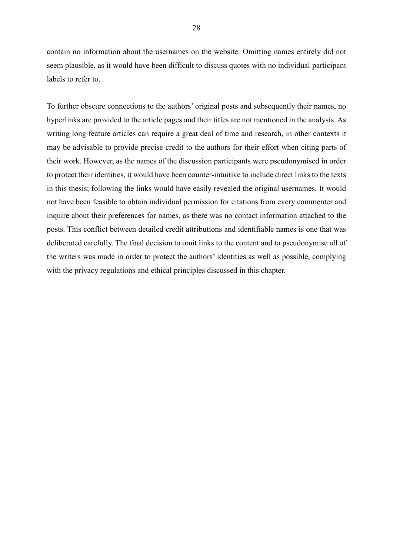contain no information about the usernames on the website. Omitting names entirely did not seem plausible, as it would have been difficult to discuss quotes with no individual participant labels to refer to.

To further obscure connections to the authors' original posts and subsequently their names, no hyperlinks are provided to the article pages and their titles are not mentioned in the analysis. As writing long feature articles can require a great deal of time and research, in other contexts it may be advisable to provide precise credit to the authors for their effort when citing parts of their work. However, as the names of the discussion participants were pseudonymised in order to protect their identities, it would have been counter-intuitive to include direct links to the texts in this thesis; following the links would have easily revealed the original usernames. It would not have been feasible to obtain individual permission for citations from every commenter and inquire about their preferences for names, as there was no contact information attached to the posts. This conflict between detailed credit attributions and identifiable names is one that was deliberated carefully. The final decision to omit links to the content and to pseudonymise all of the writers was made in order to protect the authors' identities as well as possible, complying with the privacy regulations and ethical principles discussed in this chapter.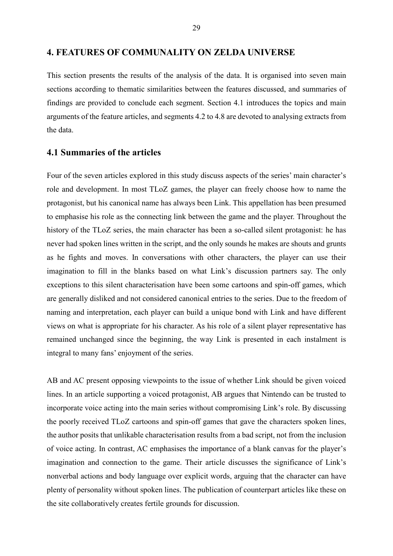#### <span id="page-29-0"></span>**4. FEATURES OF COMMUNALITY ON ZELDA UNIVERSE**

This section presents the results of the analysis of the data. It is organised into seven main sections according to thematic similarities between the features discussed, and summaries of findings are provided to conclude each segment. Section 4.1 introduces the topics and main arguments of the feature articles, and segments 4.2 to 4.8 are devoted to analysing extracts from the data.

#### <span id="page-29-1"></span>**4.1 Summaries of the articles**

Four of the seven articles explored in this study discuss aspects of the series' main character's role and development. In most TLoZ games, the player can freely choose how to name the protagonist, but his canonical name has always been Link. This appellation has been presumed to emphasise his role as the connecting link between the game and the player. Throughout the history of the TLoZ series, the main character has been a so-called silent protagonist: he has never had spoken lines written in the script, and the only sounds he makes are shouts and grunts as he fights and moves. In conversations with other characters, the player can use their imagination to fill in the blanks based on what Link's discussion partners say. The only exceptions to this silent characterisation have been some cartoons and spin-off games, which are generally disliked and not considered canonical entries to the series. Due to the freedom of naming and interpretation, each player can build a unique bond with Link and have different views on what is appropriate for his character. As his role of a silent player representative has remained unchanged since the beginning, the way Link is presented in each instalment is integral to many fans' enjoyment of the series.

AB and AC present opposing viewpoints to the issue of whether Link should be given voiced lines. In an article supporting a voiced protagonist, AB argues that Nintendo can be trusted to incorporate voice acting into the main series without compromising Link's role. By discussing the poorly received TLoZ cartoons and spin-off games that gave the characters spoken lines, the author posits that unlikable characterisation results from a bad script, not from the inclusion of voice acting. In contrast, AC emphasises the importance of a blank canvas for the player's imagination and connection to the game. Their article discusses the significance of Link's nonverbal actions and body language over explicit words, arguing that the character can have plenty of personality without spoken lines. The publication of counterpart articles like these on the site collaboratively creates fertile grounds for discussion.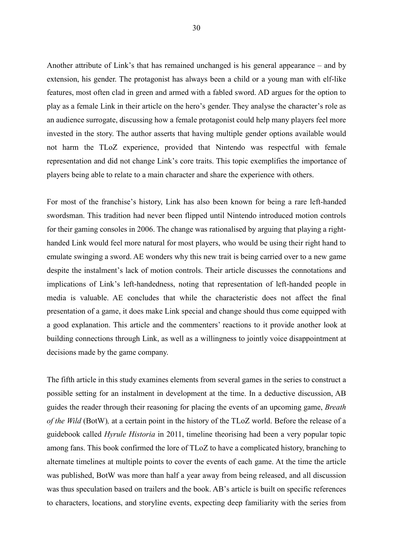Another attribute of Link's that has remained unchanged is his general appearance – and by extension, his gender. The protagonist has always been a child or a young man with elf-like features, most often clad in green and armed with a fabled sword. AD argues for the option to play as a female Link in their article on the hero's gender. They analyse the character's role as an audience surrogate, discussing how a female protagonist could help many players feel more invested in the story. The author asserts that having multiple gender options available would not harm the TLoZ experience, provided that Nintendo was respectful with female representation and did not change Link's core traits. This topic exemplifies the importance of players being able to relate to a main character and share the experience with others.

For most of the franchise's history, Link has also been known for being a rare left-handed swordsman. This tradition had never been flipped until Nintendo introduced motion controls for their gaming consoles in 2006. The change was rationalised by arguing that playing a righthanded Link would feel more natural for most players, who would be using their right hand to emulate swinging a sword. AE wonders why this new trait is being carried over to a new game despite the instalment's lack of motion controls. Their article discusses the connotations and implications of Link's left-handedness, noting that representation of left-handed people in media is valuable. AE concludes that while the characteristic does not affect the final presentation of a game, it does make Link special and change should thus come equipped with a good explanation. This article and the commenters' reactions to it provide another look at building connections through Link, as well as a willingness to jointly voice disappointment at decisions made by the game company.

The fifth article in this study examines elements from several games in the series to construct a possible setting for an instalment in development at the time. In a deductive discussion, AB guides the reader through their reasoning for placing the events of an upcoming game, *Breath of the Wild* (BotW)*,* at a certain point in the history of the TLoZ world. Before the release of a guidebook called *Hyrule Historia* in 2011, timeline theorising had been a very popular topic among fans. This book confirmed the lore of TLoZ to have a complicated history, branching to alternate timelines at multiple points to cover the events of each game. At the time the article was published, BotW was more than half a year away from being released, and all discussion was thus speculation based on trailers and the book. AB's article is built on specific references to characters, locations, and storyline events, expecting deep familiarity with the series from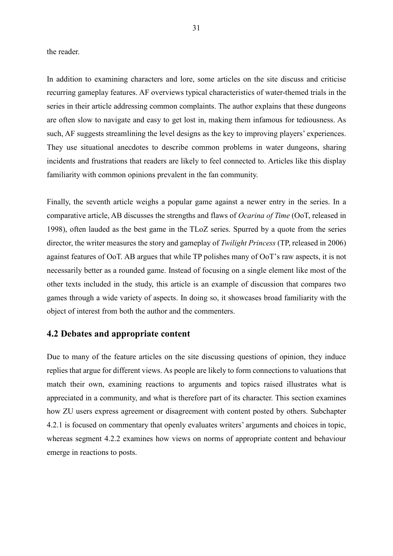the reader.

In addition to examining characters and lore, some articles on the site discuss and criticise recurring gameplay features. AF overviews typical characteristics of water-themed trials in the series in their article addressing common complaints. The author explains that these dungeons are often slow to navigate and easy to get lost in, making them infamous for tediousness. As such, AF suggests streamlining the level designs as the key to improving players' experiences. They use situational anecdotes to describe common problems in water dungeons, sharing incidents and frustrations that readers are likely to feel connected to. Articles like this display familiarity with common opinions prevalent in the fan community.

Finally, the seventh article weighs a popular game against a newer entry in the series. In a comparative article, AB discusses the strengths and flaws of *Ocarina of Time* (OoT, released in 1998), often lauded as the best game in the TLoZ series. Spurred by a quote from the series director, the writer measures the story and gameplay of *Twilight Princess* (TP, released in 2006) against features of OoT. AB argues that while TP polishes many of OoT's raw aspects, it is not necessarily better as a rounded game. Instead of focusing on a single element like most of the other texts included in the study, this article is an example of discussion that compares two games through a wide variety of aspects. In doing so, it showcases broad familiarity with the object of interest from both the author and the commenters.

#### <span id="page-31-0"></span>**4.2 Debates and appropriate content**

Due to many of the feature articles on the site discussing questions of opinion, they induce replies that argue for different views. As people are likely to form connections to valuations that match their own, examining reactions to arguments and topics raised illustrates what is appreciated in a community, and what is therefore part of its character. This section examines how ZU users express agreement or disagreement with content posted by others. Subchapter 4.2.1 is focused on commentary that openly evaluates writers' arguments and choices in topic, whereas segment 4.2.2 examines how views on norms of appropriate content and behaviour emerge in reactions to posts.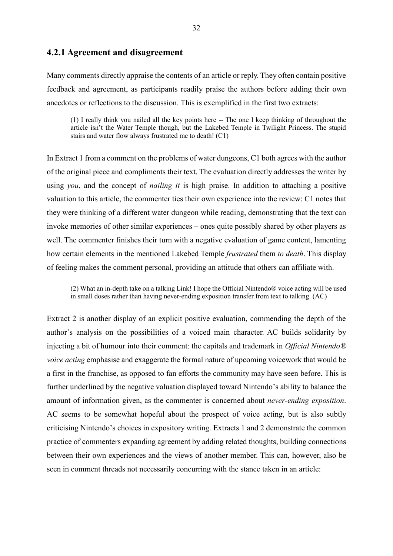#### <span id="page-32-0"></span>**4.2.1 Agreement and disagreement**

Many comments directly appraise the contents of an article or reply. They often contain positive feedback and agreement, as participants readily praise the authors before adding their own anecdotes or reflections to the discussion. This is exemplified in the first two extracts:

(1) I really think you nailed all the key points here -- The one I keep thinking of throughout the article isn't the Water Temple though, but the Lakebed Temple in Twilight Princess. The stupid stairs and water flow always frustrated me to death! (C1)

In Extract 1 from a comment on the problems of water dungeons, C1 both agrees with the author of the original piece and compliments their text. The evaluation directly addresses the writer by using *you*, and the concept of *nailing it* is high praise. In addition to attaching a positive valuation to this article, the commenter ties their own experience into the review: C1 notes that they were thinking of a different water dungeon while reading, demonstrating that the text can invoke memories of other similar experiences – ones quite possibly shared by other players as well. The commenter finishes their turn with a negative evaluation of game content, lamenting how certain elements in the mentioned Lakebed Temple *frustrated* them *to death*. This display of feeling makes the comment personal, providing an attitude that others can affiliate with.

(2) What an in-depth take on a talking Link! I hope the Official Nintendo® voice acting will be used in small doses rather than having never-ending exposition transfer from text to talking. (AC)

Extract 2 is another display of an explicit positive evaluation, commending the depth of the author's analysis on the possibilities of a voiced main character. AC builds solidarity by injecting a bit of humour into their comment: the capitals and trademark in *Official Nintendo® voice acting* emphasise and exaggerate the formal nature of upcoming voicework that would be a first in the franchise, as opposed to fan efforts the community may have seen before. This is further underlined by the negative valuation displayed toward Nintendo's ability to balance the amount of information given, as the commenter is concerned about *never-ending exposition*. AC seems to be somewhat hopeful about the prospect of voice acting, but is also subtly criticising Nintendo's choices in expository writing. Extracts 1 and 2 demonstrate the common practice of commenters expanding agreement by adding related thoughts, building connections between their own experiences and the views of another member. This can, however, also be seen in comment threads not necessarily concurring with the stance taken in an article: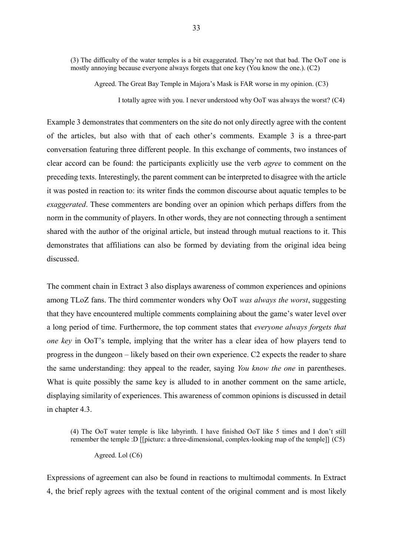(3) The difficulty of the water temples is a bit exaggerated. They're not that bad. The OoT one is mostly annoying because everyone always forgets that one key (You know the one.). (C2)

Agreed. The Great Bay Temple in Majora's Mask is FAR worse in my opinion. (C3)

I totally agree with you. I never understood why OoT was always the worst? (C4)

Example 3 demonstrates that commenters on the site do not only directly agree with the content of the articles, but also with that of each other's comments. Example 3 is a three-part conversation featuring three different people. In this exchange of comments, two instances of clear accord can be found: the participants explicitly use the verb *agree* to comment on the preceding texts. Interestingly, the parent comment can be interpreted to disagree with the article it was posted in reaction to: its writer finds the common discourse about aquatic temples to be *exaggerated*. These commenters are bonding over an opinion which perhaps differs from the norm in the community of players. In other words, they are not connecting through a sentiment shared with the author of the original article, but instead through mutual reactions to it. This demonstrates that affiliations can also be formed by deviating from the original idea being discussed.

The comment chain in Extract 3 also displays awareness of common experiences and opinions among TLoZ fans. The third commenter wonders why OoT *was always the worst*, suggesting that they have encountered multiple comments complaining about the game's water level over a long period of time. Furthermore, the top comment states that *everyone always forgets that one key* in OoT's temple, implying that the writer has a clear idea of how players tend to progress in the dungeon – likely based on their own experience. C2 expects the reader to share the same understanding: they appeal to the reader, saying *You know the one* in parentheses. What is quite possibly the same key is alluded to in another comment on the same article, displaying similarity of experiences. This awareness of common opinions is discussed in detail in chapter 4.3.

(4) The OoT water temple is like labyrinth. I have finished OoT like 5 times and I don't still remember the temple :D [[picture: a three-dimensional, complex-looking map of the temple]] (C5)

Agreed. Lol (C6)

Expressions of agreement can also be found in reactions to multimodal comments. In Extract 4, the brief reply agrees with the textual content of the original comment and is most likely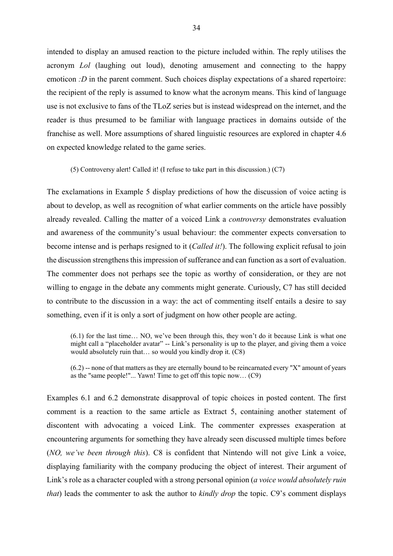intended to display an amused reaction to the picture included within. The reply utilises the acronym *Lol* (laughing out loud), denoting amusement and connecting to the happy emoticon *:D* in the parent comment. Such choices display expectations of a shared repertoire: the recipient of the reply is assumed to know what the acronym means. This kind of language use is not exclusive to fans of the TLoZ series but is instead widespread on the internet, and the reader is thus presumed to be familiar with language practices in domains outside of the franchise as well. More assumptions of shared linguistic resources are explored in chapter 4.6 on expected knowledge related to the game series.

(5) Controversy alert! Called it! (I refuse to take part in this discussion.) (C7)

The exclamations in Example 5 display predictions of how the discussion of voice acting is about to develop, as well as recognition of what earlier comments on the article have possibly already revealed. Calling the matter of a voiced Link a *controversy* demonstrates evaluation and awareness of the community's usual behaviour: the commenter expects conversation to become intense and is perhaps resigned to it (*Called it!*). The following explicit refusal to join the discussion strengthens this impression of sufferance and can function as a sort of evaluation. The commenter does not perhaps see the topic as worthy of consideration, or they are not willing to engage in the debate any comments might generate. Curiously, C7 has still decided to contribute to the discussion in a way: the act of commenting itself entails a desire to say something, even if it is only a sort of judgment on how other people are acting.

(6.1) for the last time… NO, we've been through this, they won't do it because Link is what one might call a "placeholder avatar" -- Link's personality is up to the player, and giving them a voice would absolutely ruin that… so would you kindly drop it. (C8)

(6.2) -- none of that matters as they are eternally bound to be reincarnated every "X" amount of years as the "same people!"... Yawn! Time to get off this topic now… (C9)

Examples 6.1 and 6.2 demonstrate disapproval of topic choices in posted content. The first comment is a reaction to the same article as Extract 5, containing another statement of discontent with advocating a voiced Link. The commenter expresses exasperation at encountering arguments for something they have already seen discussed multiple times before (*NO, we've been through this*). C8 is confident that Nintendo will not give Link a voice, displaying familiarity with the company producing the object of interest. Their argument of Link's role as a character coupled with a strong personal opinion (*a voice would absolutely ruin that*) leads the commenter to ask the author to *kindly drop* the topic. C9's comment displays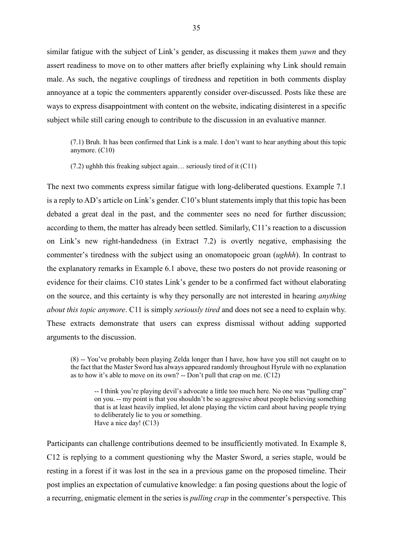similar fatigue with the subject of Link's gender, as discussing it makes them *yawn* and they assert readiness to move on to other matters after briefly explaining why Link should remain male. As such, the negative couplings of tiredness and repetition in both comments display annoyance at a topic the commenters apparently consider over-discussed. Posts like these are ways to express disappointment with content on the website, indicating disinterest in a specific subject while still caring enough to contribute to the discussion in an evaluative manner.

(7.1) Bruh. It has been confirmed that Link is a male. I don't want to hear anything about this topic anymore. (C10)

(7.2) ughhh this freaking subject again… seriously tired of it (C11)

The next two comments express similar fatigue with long-deliberated questions. Example 7.1 is a reply to AD's article on Link's gender. C10's blunt statements imply that this topic has been debated a great deal in the past, and the commenter sees no need for further discussion; according to them, the matter has already been settled. Similarly, C11's reaction to a discussion on Link's new right-handedness (in Extract 7.2) is overtly negative, emphasising the commenter's tiredness with the subject using an onomatopoeic groan (*ughhh*). In contrast to the explanatory remarks in Example 6.1 above, these two posters do not provide reasoning or evidence for their claims. C10 states Link's gender to be a confirmed fact without elaborating on the source, and this certainty is why they personally are not interested in hearing *anything about this topic anymore*. C11 is simply *seriously tired* and does not see a need to explain why. These extracts demonstrate that users can express dismissal without adding supported arguments to the discussion.

(8) -- You've probably been playing Zelda longer than I have, how have you still not caught on to the fact that the Master Sword has always appeared randomly throughout Hyrule with no explanation as to how it's able to move on its own? -- Don't pull that crap on me. (C12)

-- I think you're playing devil's advocate a little too much here. No one was "pulling crap" on you. -- my point is that you shouldn't be so aggressive about people believing something that is at least heavily implied, let alone playing the victim card about having people trying to deliberately lie to you or something. Have a nice day! (C13)

Participants can challenge contributions deemed to be insufficiently motivated. In Example 8, C12 is replying to a comment questioning why the Master Sword, a series staple, would be resting in a forest if it was lost in the sea in a previous game on the proposed timeline. Their post implies an expectation of cumulative knowledge: a fan posing questions about the logic of a recurring, enigmatic element in the series is *pulling crap* in the commenter's perspective. This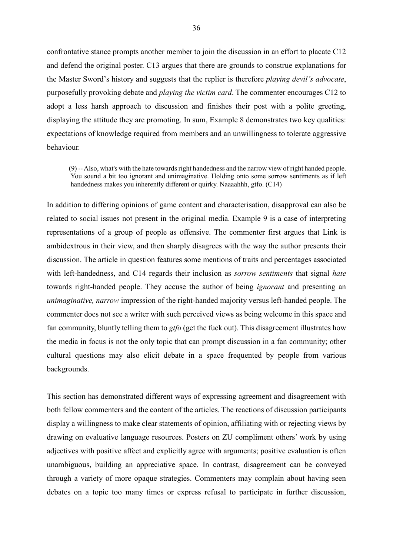confrontative stance prompts another member to join the discussion in an effort to placate C12 and defend the original poster. C13 argues that there are grounds to construe explanations for the Master Sword's history and suggests that the replier is therefore *playing devil's advocate*, purposefully provoking debate and *playing the victim card*. The commenter encourages C12 to adopt a less harsh approach to discussion and finishes their post with a polite greeting, displaying the attitude they are promoting. In sum, Example 8 demonstrates two key qualities: expectations of knowledge required from members and an unwillingness to tolerate aggressive behaviour.

(9) --Also, what's with the hate towards right handedness and the narrow view of right handed people. You sound a bit too ignorant and unimaginative. Holding onto some sorrow sentiments as if left handedness makes you inherently different or quirky. Naaaahhh, gtfo. (C14)

In addition to differing opinions of game content and characterisation, disapproval can also be related to social issues not present in the original media. Example 9 is a case of interpreting representations of a group of people as offensive. The commenter first argues that Link is ambidextrous in their view, and then sharply disagrees with the way the author presents their discussion. The article in question features some mentions of traits and percentages associated with left-handedness, and C14 regards their inclusion as *sorrow sentiments* that signal *hate*  towards right-handed people. They accuse the author of being *ignorant* and presenting an *unimaginative, narrow* impression of the right-handed majority versus left-handed people. The commenter does not see a writer with such perceived views as being welcome in this space and fan community, bluntly telling them to *gtfo* (get the fuck out). This disagreement illustrates how the media in focus is not the only topic that can prompt discussion in a fan community; other cultural questions may also elicit debate in a space frequented by people from various backgrounds.

This section has demonstrated different ways of expressing agreement and disagreement with both fellow commenters and the content of the articles. The reactions of discussion participants display a willingness to make clear statements of opinion, affiliating with or rejecting views by drawing on evaluative language resources. Posters on ZU compliment others' work by using adjectives with positive affect and explicitly agree with arguments; positive evaluation is often unambiguous, building an appreciative space. In contrast, disagreement can be conveyed through a variety of more opaque strategies. Commenters may complain about having seen debates on a topic too many times or express refusal to participate in further discussion,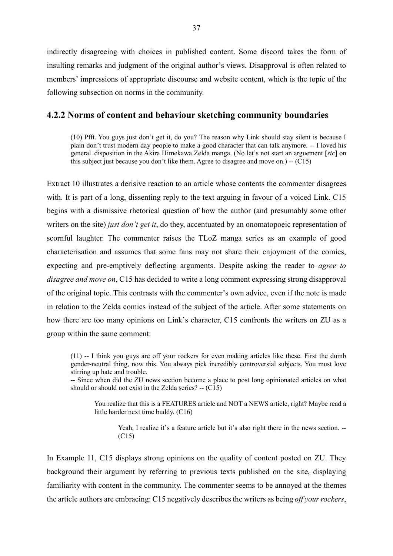indirectly disagreeing with choices in published content. Some discord takes the form of insulting remarks and judgment of the original author's views. Disapproval is often related to members' impressions of appropriate discourse and website content, which is the topic of the following subsection on norms in the community.

## **4.2.2 Norms of content and behaviour sketching community boundaries**

(10) Pfft. You guys just don't get it, do you? The reason why Link should stay silent is because I plain don't trust modern day people to make a good character that can talk anymore. -- I loved his general disposition in the Akira Himekawa Zelda manga. (No let's not start an arguement [*sic*] on this subject just because you don't like them. Agree to disagree and move on.) -- (C15)

Extract 10 illustrates a derisive reaction to an article whose contents the commenter disagrees with. It is part of a long, dissenting reply to the text arguing in favour of a voiced Link. C15 begins with a dismissive rhetorical question of how the author (and presumably some other writers on the site) *just don't get it*, do they, accentuated by an onomatopoeic representation of scornful laughter. The commenter raises the TLoZ manga series as an example of good characterisation and assumes that some fans may not share their enjoyment of the comics, expecting and pre-emptively deflecting arguments. Despite asking the reader to *agree to disagree and move on*, C15 has decided to write a long comment expressing strong disapproval of the original topic. This contrasts with the commenter's own advice, even if the note is made in relation to the Zelda comics instead of the subject of the article. After some statements on how there are too many opinions on Link's character, C15 confronts the writers on ZU as a group within the same comment:

(11) -- I think you guys are off your rockers for even making articles like these. First the dumb gender-neutral thing, now this. You always pick incredibly controversial subjects. You must love stirring up hate and trouble.

-- Since when did the ZU news section become a place to post long opinionated articles on what should or should not exist in the Zelda series?  $-$  (C15)

You realize that this is a FEATURES article and NOT a NEWS article, right? Maybe read a little harder next time buddy. (C16)

Yeah, I realize it's a feature article but it's also right there in the news section. -- (C15)

In Example 11, C15 displays strong opinions on the quality of content posted on ZU. They background their argument by referring to previous texts published on the site, displaying familiarity with content in the community. The commenter seems to be annoyed at the themes the article authors are embracing: C15 negatively describesthe writers as being *off your rockers*,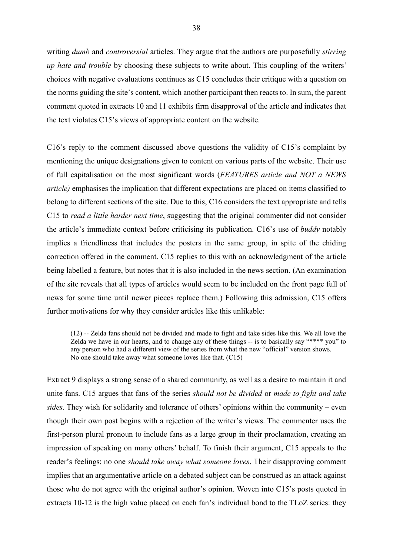writing *dumb* and *controversial* articles. They argue that the authors are purposefully *stirring up hate and trouble* by choosing these subjects to write about. This coupling of the writers' choices with negative evaluations continues as C15 concludes their critique with a question on the norms guiding the site's content, which another participant then reacts to. In sum, the parent comment quoted in extracts 10 and 11 exhibits firm disapproval of the article and indicates that the text violates C15's views of appropriate content on the website.

C16's reply to the comment discussed above questions the validity of C15's complaint by mentioning the unique designations given to content on various parts of the website. Their use of full capitalisation on the most significant words (*FEATURES article and NOT a NEWS article)* emphasises the implication that different expectations are placed on items classified to belong to different sections of the site. Due to this, C16 considers the text appropriate and tells C15 to *read a little harder next time*, suggesting that the original commenter did not consider the article's immediate context before criticising its publication. C16's use of *buddy* notably implies a friendliness that includes the posters in the same group, in spite of the chiding correction offered in the comment. C15 replies to this with an acknowledgment of the article being labelled a feature, but notes that it is also included in the news section. (An examination of the site reveals that all types of articles would seem to be included on the front page full of news for some time until newer pieces replace them.) Following this admission, C15 offers further motivations for why they consider articles like this unlikable:

(12) -- Zelda fans should not be divided and made to fight and take sides like this. We all love the Zelda we have in our hearts, and to change any of these things -- is to basically say "\*\*\*\* you" to any person who had a different view of the series from what the new "official" version shows. No one should take away what someone loves like that. (C15)

Extract 9 displays a strong sense of a shared community, as well as a desire to maintain it and unite fans. C15 argues that fans of the series *should not be divided* or *made to fight and take sides*. They wish for solidarity and tolerance of others' opinions within the community – even though their own post begins with a rejection of the writer's views. The commenter uses the first-person plural pronoun to include fans as a large group in their proclamation, creating an impression of speaking on many others' behalf. To finish their argument, C15 appeals to the reader's feelings: no one *should take away what someone loves*. Their disapproving comment implies that an argumentative article on a debated subject can be construed as an attack against those who do not agree with the original author's opinion. Woven into C15's posts quoted in extracts 10-12 is the high value placed on each fan's individual bond to the TLoZ series: they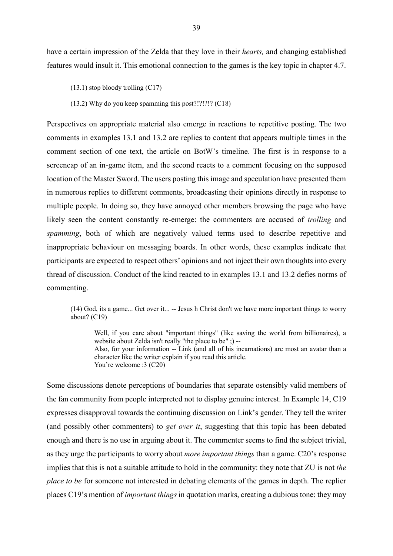have a certain impression of the Zelda that they love in their *hearts,* and changing established features would insult it. This emotional connection to the games is the key topic in chapter 4.7.

(13.1) stop bloody trolling (C17)

(13.2) Why do you keep spamming this post?!?!?!? (C18)

Perspectives on appropriate material also emerge in reactions to repetitive posting. The two comments in examples 13.1 and 13.2 are replies to content that appears multiple times in the comment section of one text, the article on BotW's timeline. The first is in response to a screencap of an in-game item, and the second reacts to a comment focusing on the supposed location of the Master Sword. The users posting this image and speculation have presented them in numerous replies to different comments, broadcasting their opinions directly in response to multiple people. In doing so, they have annoyed other members browsing the page who have likely seen the content constantly re-emerge: the commenters are accused of *trolling* and *spamming*, both of which are negatively valued terms used to describe repetitive and inappropriate behaviour on messaging boards. In other words, these examples indicate that participants are expected to respect others' opinions and not inject their own thoughts into every thread of discussion. Conduct of the kind reacted to in examples 13.1 and 13.2 defies norms of commenting.

(14) God, its a game... Get over it... -- Jesus h Christ don't we have more important things to worry about? (C19)

Well, if you care about "important things" (like saving the world from billionaires), a website about Zelda isn't really "the place to be" ;) --Also, for your information -- Link (and all of his incarnations) are most an avatar than a character like the writer explain if you read this article. You're welcome :3 (C20)

Some discussions denote perceptions of boundaries that separate ostensibly valid members of the fan community from people interpreted not to display genuine interest. In Example 14, C19 expresses disapproval towards the continuing discussion on Link's gender. They tell the writer (and possibly other commenters) to *get over it*, suggesting that this topic has been debated enough and there is no use in arguing about it. The commenter seems to find the subject trivial, as they urge the participants to worry about *more important things* than a game. C20's response implies that this is not a suitable attitude to hold in the community: they note that ZU is not *the place to be* for someone not interested in debating elements of the games in depth. The replier places C19's mention of *important things* in quotation marks, creating a dubious tone: they may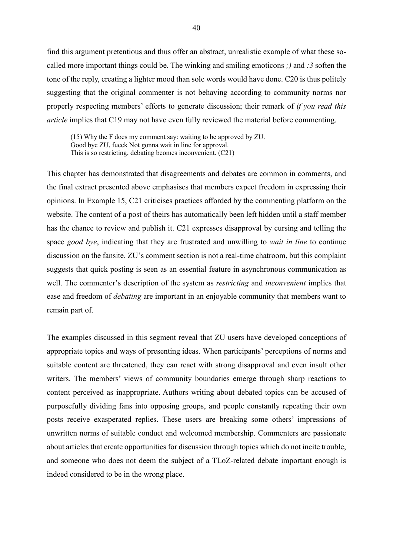find this argument pretentious and thus offer an abstract, unrealistic example of what these socalled more important things could be. The winking and smiling emoticons *;)* and *:3* soften the tone of the reply, creating a lighter mood than sole words would have done. C20 is thus politely suggesting that the original commenter is not behaving according to community norms nor properly respecting members' efforts to generate discussion; their remark of *if you read this article* implies that C19 may not have even fully reviewed the material before commenting.

(15) Why the F does my comment say: waiting to be approved by ZU. Good bye ZU, fucck Not gonna wait in line for approval. This is so restricting, debating beomes inconvenient. (C21)

This chapter has demonstrated that disagreements and debates are common in comments, and the final extract presented above emphasises that members expect freedom in expressing their opinions. In Example 15, C21 criticises practices afforded by the commenting platform on the website. The content of a post of theirs has automatically been left hidden until a staff member has the chance to review and publish it. C21 expresses disapproval by cursing and telling the space *good bye*, indicating that they are frustrated and unwilling to *wait in line* to continue discussion on the fansite. ZU's comment section is not a real-time chatroom, but this complaint suggests that quick posting is seen as an essential feature in asynchronous communication as well. The commenter's description of the system as *restricting* and *inconvenient* implies that ease and freedom of *debating* are important in an enjoyable community that members want to remain part of.

The examples discussed in this segment reveal that ZU users have developed conceptions of appropriate topics and ways of presenting ideas. When participants' perceptions of norms and suitable content are threatened, they can react with strong disapproval and even insult other writers. The members' views of community boundaries emerge through sharp reactions to content perceived as inappropriate. Authors writing about debated topics can be accused of purposefully dividing fans into opposing groups, and people constantly repeating their own posts receive exasperated replies. These users are breaking some others' impressions of unwritten norms of suitable conduct and welcomed membership. Commenters are passionate about articles that create opportunities for discussion through topics which do not incite trouble, and someone who does not deem the subject of a TLoZ-related debate important enough is indeed considered to be in the wrong place.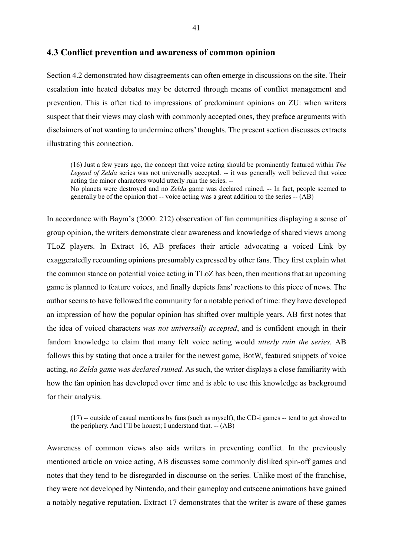#### **4.3 Conflict prevention and awareness of common opinion**

Section 4.2 demonstrated how disagreements can often emerge in discussions on the site. Their escalation into heated debates may be deterred through means of conflict management and prevention. This is often tied to impressions of predominant opinions on ZU: when writers suspect that their views may clash with commonly accepted ones, they preface arguments with disclaimers of not wanting to undermine others' thoughts. The present section discusses extracts illustrating this connection.

(16) Just a few years ago, the concept that voice acting should be prominently featured within *The*  Legend of Zelda series was not universally accepted. -- it was generally well believed that voice acting the minor characters would utterly ruin the series. --

No planets were destroyed and no *Zelda* game was declared ruined. -- In fact, people seemed to generally be of the opinion that -- voice acting was a great addition to the series -- (AB)

In accordance with Baym's (2000: 212) observation of fan communities displaying a sense of group opinion, the writers demonstrate clear awareness and knowledge of shared views among TLoZ players. In Extract 16, AB prefaces their article advocating a voiced Link by exaggeratedly recounting opinions presumably expressed by other fans. They first explain what the common stance on potential voice acting in TLoZ has been, then mentions that an upcoming game is planned to feature voices, and finally depicts fans' reactions to this piece of news. The author seems to have followed the community for a notable period of time: they have developed an impression of how the popular opinion has shifted over multiple years. AB first notes that the idea of voiced characters *was not universally accepted*, and is confident enough in their fandom knowledge to claim that many felt voice acting would *utterly ruin the series.* AB follows this by stating that once a trailer for the newest game, BotW, featured snippets of voice acting, *no Zelda game was declared ruined*. As such, the writer displays a close familiarity with how the fan opinion has developed over time and is able to use this knowledge as background for their analysis.

(17) -- outside of casual mentions by fans (such as myself), the CD-i games -- tend to get shoved to the periphery. And I'll be honest; I understand that. -- (AB)

Awareness of common views also aids writers in preventing conflict. In the previously mentioned article on voice acting, AB discusses some commonly disliked spin-off games and notes that they tend to be disregarded in discourse on the series. Unlike most of the franchise, they were not developed by Nintendo, and their gameplay and cutscene animations have gained a notably negative reputation. Extract 17 demonstrates that the writer is aware of these games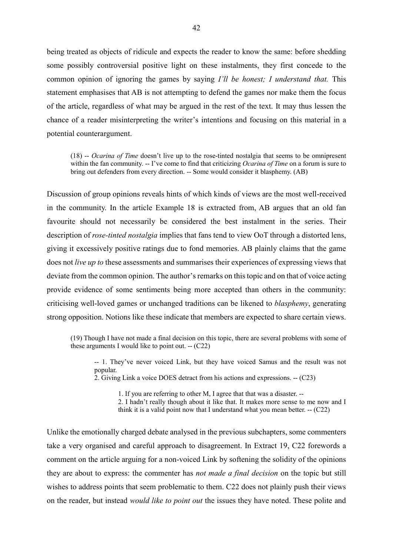being treated as objects of ridicule and expects the reader to know the same: before shedding some possibly controversial positive light on these instalments, they first concede to the common opinion of ignoring the games by saying *I'll be honest; I understand that.* This statement emphasises that AB is not attempting to defend the games nor make them the focus of the article, regardless of what may be argued in the rest of the text. It may thus lessen the chance of a reader misinterpreting the writer's intentions and focusing on this material in a potential counterargument.

(18) -- *Ocarina of Time* doesn't live up to the rose-tinted nostalgia that seems to be omnipresent within the fan community. -- I've come to find that criticizing *Ocarina of Time* on a forum is sure to bring out defenders from every direction. -- Some would consider it blasphemy. (AB)

Discussion of group opinions reveals hints of which kinds of views are the most well-received in the community. In the article Example 18 is extracted from, AB argues that an old fan favourite should not necessarily be considered the best instalment in the series. Their description of *rose-tinted nostalgia* implies that fans tend to view OoT through a distorted lens, giving it excessively positive ratings due to fond memories. AB plainly claims that the game does not *live up to* these assessments and summarises their experiences of expressing views that deviate from the common opinion. The author's remarks on this topic and on that of voice acting provide evidence of some sentiments being more accepted than others in the community: criticising well-loved games or unchanged traditions can be likened to *blasphemy*, generating strong opposition. Notions like these indicate that members are expected to share certain views.

(19) Though I have not made a final decision on this topic, there are several problems with some of these arguments I would like to point out.  $-(C22)$ 

-- 1. They've never voiced Link, but they have voiced Samus and the result was not popular.

2. Giving Link a voice DOES detract from his actions and expressions. -- (C23)

1. If you are referring to other M, I agree that that was a disaster. --

2. I hadn't really though about it like that. It makes more sense to me now and I think it is a valid point now that I understand what you mean better. -- (C22)

Unlike the emotionally charged debate analysed in the previous subchapters, some commenters take a very organised and careful approach to disagreement. In Extract 19, C22 forewords a comment on the article arguing for a non-voiced Link by softening the solidity of the opinions they are about to express: the commenter has *not made a final decision* on the topic but still wishes to address points that seem problematic to them. C22 does not plainly push their views on the reader, but instead *would like to point out* the issues they have noted. These polite and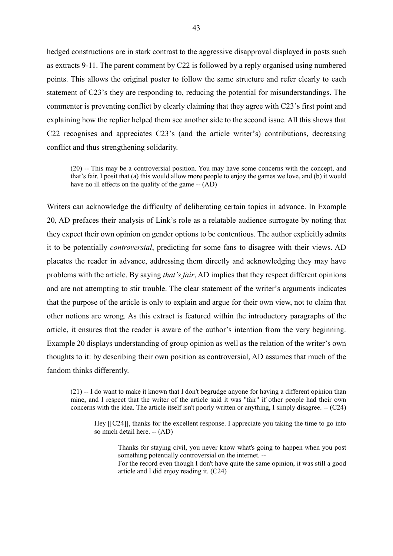hedged constructions are in stark contrast to the aggressive disapproval displayed in posts such as extracts 9-11. The parent comment by C22 is followed by a reply organised using numbered points. This allows the original poster to follow the same structure and refer clearly to each statement of C23's they are responding to, reducing the potential for misunderstandings. The commenter is preventing conflict by clearly claiming that they agree with C23's first point and explaining how the replier helped them see another side to the second issue. All this shows that C22 recognises and appreciates C23's (and the article writer's) contributions, decreasing conflict and thus strengthening solidarity.

(20) -- This may be a controversial position. You may have some concerns with the concept, and that's fair. I posit that (a) this would allow more people to enjoy the games we love, and (b) it would have no ill effects on the quality of the game -- (AD)

Writers can acknowledge the difficulty of deliberating certain topics in advance. In Example 20, AD prefaces their analysis of Link's role as a relatable audience surrogate by noting that they expect their own opinion on gender options to be contentious. The author explicitly admits it to be potentially *controversial*, predicting for some fans to disagree with their views. AD placates the reader in advance, addressing them directly and acknowledging they may have problems with the article. By saying *that's fair*, AD implies that they respect different opinions and are not attempting to stir trouble. The clear statement of the writer's arguments indicates that the purpose of the article is only to explain and argue for their own view, not to claim that other notions are wrong. As this extract is featured within the introductory paragraphs of the article, it ensures that the reader is aware of the author's intention from the very beginning. Example 20 displays understanding of group opinion as well as the relation of the writer's own thoughts to it: by describing their own position as controversial, AD assumes that much of the fandom thinks differently.

(21) -- I do want to make it known that I don't begrudge anyone for having a different opinion than mine, and I respect that the writer of the article said it was "fair" if other people had their own concerns with the idea. The article itself isn't poorly written or anything, I simply disagree. -- (C24)

Hey [[C24]], thanks for the excellent response. I appreciate you taking the time to go into so much detail here. -- (AD)

Thanks for staying civil, you never know what's going to happen when you post something potentially controversial on the internet. --

For the record even though I don't have quite the same opinion, it was still a good article and I did enjoy reading it. (C24)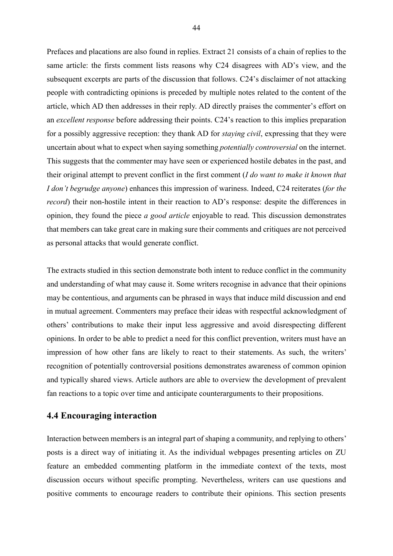Prefaces and placations are also found in replies. Extract 21 consists of a chain of replies to the same article: the firsts comment lists reasons why C24 disagrees with AD's view, and the subsequent excerpts are parts of the discussion that follows. C24's disclaimer of not attacking people with contradicting opinions is preceded by multiple notes related to the content of the article, which AD then addresses in their reply. AD directly praises the commenter's effort on an *excellent response* before addressing their points. C24's reaction to this implies preparation for a possibly aggressive reception: they thank AD for *staying civil*, expressing that they were uncertain about what to expect when saying something *potentially controversial* on the internet. This suggests that the commenter may have seen or experienced hostile debates in the past, and their original attempt to prevent conflict in the first comment (*I do want to make it known that I don't begrudge anyone*) enhances this impression of wariness. Indeed, C24 reiterates (*for the record*) their non-hostile intent in their reaction to AD's response: despite the differences in opinion, they found the piece *a good article* enjoyable to read. This discussion demonstrates that members can take great care in making sure their comments and critiques are not perceived as personal attacks that would generate conflict.

The extracts studied in this section demonstrate both intent to reduce conflict in the community and understanding of what may cause it. Some writers recognise in advance that their opinions may be contentious, and arguments can be phrased in ways that induce mild discussion and end in mutual agreement. Commenters may preface their ideas with respectful acknowledgment of others' contributions to make their input less aggressive and avoid disrespecting different opinions. In order to be able to predict a need for this conflict prevention, writers must have an impression of how other fans are likely to react to their statements. As such, the writers' recognition of potentially controversial positions demonstrates awareness of common opinion and typically shared views. Article authors are able to overview the development of prevalent fan reactions to a topic over time and anticipate counterarguments to their propositions.

# **4.4 Encouraging interaction**

Interaction between members is an integral part of shaping a community, and replying to others' posts is a direct way of initiating it. As the individual webpages presenting articles on ZU feature an embedded commenting platform in the immediate context of the texts, most discussion occurs without specific prompting. Nevertheless, writers can use questions and positive comments to encourage readers to contribute their opinions. This section presents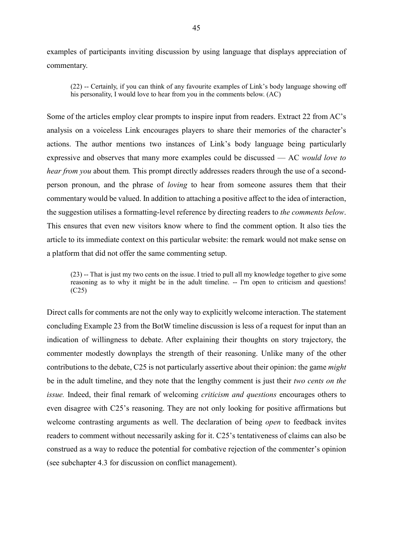examples of participants inviting discussion by using language that displays appreciation of commentary.

(22) -- Certainly, if you can think of any favourite examples of Link's body language showing off his personality, I would love to hear from you in the comments below. (AC)

Some of the articles employ clear prompts to inspire input from readers. Extract 22 from AC's analysis on a voiceless Link encourages players to share their memories of the character's actions. The author mentions two instances of Link's body language being particularly expressive and observes that many more examples could be discussed — AC *would love to hear from you* about them. This prompt directly addresses readers through the use of a secondperson pronoun, and the phrase of *loving* to hear from someone assures them that their commentary would be valued. In addition to attaching a positive affect to the idea of interaction, the suggestion utilises a formatting-level reference by directing readers to *the comments below*. This ensures that even new visitors know where to find the comment option. It also ties the article to its immediate context on this particular website: the remark would not make sense on a platform that did not offer the same commenting setup.

(23) -- That is just my two cents on the issue. I tried to pull all my knowledge together to give some reasoning as to why it might be in the adult timeline. -- I'm open to criticism and questions! (C25)

Direct calls for comments are not the only way to explicitly welcome interaction. The statement concluding Example 23 from the BotW timeline discussion is less of a request for input than an indication of willingness to debate. After explaining their thoughts on story trajectory, the commenter modestly downplays the strength of their reasoning. Unlike many of the other contributions to the debate, C25 is not particularly assertive about their opinion: the game *might*  be in the adult timeline, and they note that the lengthy comment is just their *two cents on the issue.* Indeed, their final remark of welcoming *criticism and questions* encourages others to even disagree with C25's reasoning. They are not only looking for positive affirmations but welcome contrasting arguments as well. The declaration of being *open* to feedback invites readers to comment without necessarily asking for it. C25's tentativeness of claims can also be construed as a way to reduce the potential for combative rejection of the commenter's opinion (see subchapter 4.3 for discussion on conflict management).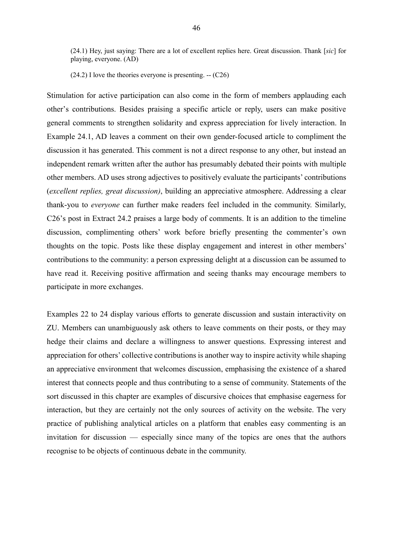(24.1) Hey, just saying: There are a lot of excellent replies here. Great discussion. Thank [*sic*] for playing, everyone. (AD)

 $(24.2)$  I love the theories everyone is presenting.  $-(C26)$ 

Stimulation for active participation can also come in the form of members applauding each other's contributions. Besides praising a specific article or reply, users can make positive general comments to strengthen solidarity and express appreciation for lively interaction. In Example 24.1, AD leaves a comment on their own gender-focused article to compliment the discussion it has generated. This comment is not a direct response to any other, but instead an independent remark written after the author has presumably debated their points with multiple other members. AD uses strong adjectives to positively evaluate the participants' contributions (*excellent replies, great discussion)*, building an appreciative atmosphere. Addressing a clear thank-you to *everyone* can further make readers feel included in the community. Similarly, C26's post in Extract 24.2 praises a large body of comments. It is an addition to the timeline discussion, complimenting others' work before briefly presenting the commenter's own thoughts on the topic. Posts like these display engagement and interest in other members' contributions to the community: a person expressing delight at a discussion can be assumed to have read it. Receiving positive affirmation and seeing thanks may encourage members to participate in more exchanges.

Examples 22 to 24 display various efforts to generate discussion and sustain interactivity on ZU. Members can unambiguously ask others to leave comments on their posts, or they may hedge their claims and declare a willingness to answer questions. Expressing interest and appreciation for others' collective contributions is another way to inspire activity while shaping an appreciative environment that welcomes discussion, emphasising the existence of a shared interest that connects people and thus contributing to a sense of community. Statements of the sort discussed in this chapter are examples of discursive choices that emphasise eagerness for interaction, but they are certainly not the only sources of activity on the website. The very practice of publishing analytical articles on a platform that enables easy commenting is an invitation for discussion — especially since many of the topics are ones that the authors recognise to be objects of continuous debate in the community.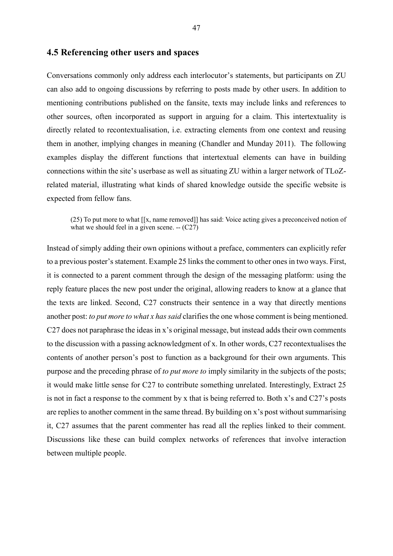### **4.5 Referencing other users and spaces**

Conversations commonly only address each interlocutor's statements, but participants on ZU can also add to ongoing discussions by referring to posts made by other users. In addition to mentioning contributions published on the fansite, texts may include links and references to other sources, often incorporated as support in arguing for a claim. This intertextuality is directly related to recontextualisation, i.e. extracting elements from one context and reusing them in another, implying changes in meaning (Chandler and Munday 2011). The following examples display the different functions that intertextual elements can have in building connections within the site's userbase as well as situating ZU within a larger network of TLoZrelated material, illustrating what kinds of shared knowledge outside the specific website is expected from fellow fans.

(25) To put more to what [[x, name removed]] has said: Voice acting gives a preconceived notion of what we should feel in a given scene. --  $(C27)$ 

Instead of simply adding their own opinions without a preface, commenters can explicitly refer to a previous poster's statement. Example 25 links the comment to other ones in two ways. First, it is connected to a parent comment through the design of the messaging platform: using the reply feature places the new post under the original, allowing readers to know at a glance that the texts are linked. Second, C27 constructs their sentence in a way that directly mentions another post: *to put more to what x has said* clarifies the one whose comment is being mentioned. C27 does not paraphrase the ideas in x's original message, but instead adds their own comments to the discussion with a passing acknowledgment of x. In other words, C27 recontextualises the contents of another person's post to function as a background for their own arguments. This purpose and the preceding phrase of *to put more to* imply similarity in the subjects of the posts; it would make little sense for C27 to contribute something unrelated. Interestingly, Extract 25 is not in fact a response to the comment by x that is being referred to. Both x's and C27's posts are replies to another comment in the same thread. By building on x's post without summarising it, C27 assumes that the parent commenter has read all the replies linked to their comment. Discussions like these can build complex networks of references that involve interaction between multiple people.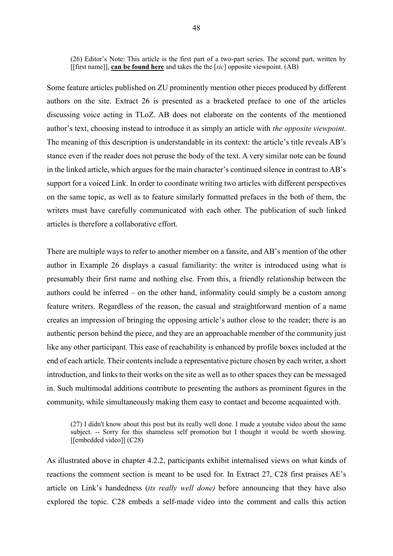(26) Editor's Note: This article is the first part of a two-part series. The second part, written by [[first name]], **can be found here** and takes the the [*sic*] opposite viewpoint. (AB)

Some feature articles published on ZU prominently mention other pieces produced by different authors on the site. Extract 26 is presented as a bracketed preface to one of the articles discussing voice acting in TLoZ. AB does not elaborate on the contents of the mentioned author's text, choosing instead to introduce it as simply an article with *the opposite viewpoint*. The meaning of this description is understandable in its context: the article's title reveals AB's stance even if the reader does not peruse the body of the text. A very similar note can be found in the linked article, which argues for the main character's continued silence in contrast to AB's support for a voiced Link. In order to coordinate writing two articles with different perspectives on the same topic, as well as to feature similarly formatted prefaces in the both of them, the writers must have carefully communicated with each other. The publication of such linked articles is therefore a collaborative effort.

There are multiple ways to refer to another member on a fansite, and AB's mention of the other author in Example 26 displays a casual familiarity: the writer is introduced using what is presumably their first name and nothing else. From this, a friendly relationship between the authors could be inferred – on the other hand, informality could simply be a custom among feature writers. Regardless of the reason, the casual and straightforward mention of a name creates an impression of bringing the opposing article's author close to the reader; there is an authentic person behind the piece, and they are an approachable member of the community just like any other participant. This ease of reachability is enhanced by profile boxes included at the end of each article. Their contents include a representative picture chosen by each writer, a short introduction, and links to their works on the site as well as to other spaces they can be messaged in. Such multimodal additions contribute to presenting the authors as prominent figures in the community, while simultaneously making them easy to contact and become acquainted with.

(27) I didn't know about this post but its really well done. I made a youtube video about the same subject. -- Sorry for this shameless self promotion but I thought it would be worth showing. [[embedded video]] (C28)

As illustrated above in chapter 4.2.2, participants exhibit internalised views on what kinds of reactions the comment section is meant to be used for. In Extract 27, C28 first praises AE's article on Link's handedness (*its really well done)* before announcing that they have also explored the topic. C28 embeds a self-made video into the comment and calls this action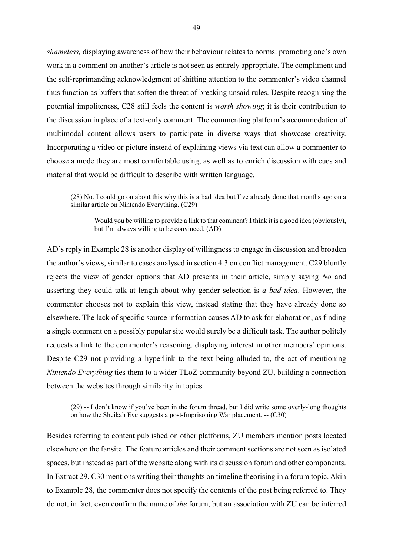*shameless,* displaying awareness of how their behaviour relates to norms: promoting one's own work in a comment on another's article is not seen as entirely appropriate. The compliment and the self-reprimanding acknowledgment of shifting attention to the commenter's video channel thus function as buffers that soften the threat of breaking unsaid rules. Despite recognising the potential impoliteness, C28 still feels the content is *worth showing*; it is their contribution to the discussion in place of a text-only comment. The commenting platform's accommodation of multimodal content allows users to participate in diverse ways that showcase creativity. Incorporating a video or picture instead of explaining views via text can allow a commenter to choose a mode they are most comfortable using, as well as to enrich discussion with cues and material that would be difficult to describe with written language.

(28) No. I could go on about this why this is a bad idea but I've already done that months ago on a similar article on Nintendo Everything. (C29)

Would you be willing to provide a link to that comment? I think it is a good idea (obviously), but I'm always willing to be convinced. (AD)

AD's reply in Example 28 is another display of willingness to engage in discussion and broaden the author's views, similar to cases analysed in section 4.3 on conflict management. C29 bluntly rejects the view of gender options that AD presents in their article, simply saying *No* and asserting they could talk at length about why gender selection is *a bad idea*. However, the commenter chooses not to explain this view, instead stating that they have already done so elsewhere. The lack of specific source information causes AD to ask for elaboration, as finding a single comment on a possibly popular site would surely be a difficult task. The author politely requests a link to the commenter's reasoning, displaying interest in other members' opinions. Despite C29 not providing a hyperlink to the text being alluded to, the act of mentioning *Nintendo Everything* ties them to a wider TLoZ community beyond ZU, building a connection between the websites through similarity in topics.

(29) -- I don't know if you've been in the forum thread, but I did write some overly-long thoughts on how the Sheikah Eye suggests a post-Imprisoning War placement. -- (C30)

Besides referring to content published on other platforms, ZU members mention posts located elsewhere on the fansite. The feature articles and their comment sections are not seen as isolated spaces, but instead as part of the website along with its discussion forum and other components. In Extract 29, C30 mentions writing their thoughts on timeline theorising in a forum topic. Akin to Example 28, the commenter does not specify the contents of the post being referred to. They do not, in fact, even confirm the name of *the* forum, but an association with ZU can be inferred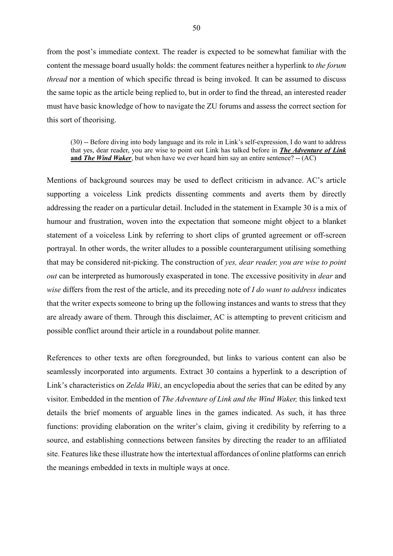from the post's immediate context. The reader is expected to be somewhat familiar with the content the message board usually holds: the comment features neither a hyperlink to *the forum thread* nor a mention of which specific thread is being invoked. It can be assumed to discuss the same topic as the article being replied to, but in order to find the thread, an interested reader must have basic knowledge of how to navigate the ZU forums and assess the correct section for this sort of theorising.

(30) -- Before diving into body language and its role in Link's self-expression, I do want to address that yes, dear reader, you are wise to point out Link has talked before in *The Adventure of Link* **and** *The Wind Waker*, but when have we ever heard him say an entire sentence? -- (AC)

Mentions of background sources may be used to deflect criticism in advance. AC's article supporting a voiceless Link predicts dissenting comments and averts them by directly addressing the reader on a particular detail. Included in the statement in Example 30 is a mix of humour and frustration, woven into the expectation that someone might object to a blanket statement of a voiceless Link by referring to short clips of grunted agreement or off-screen portrayal. In other words, the writer alludes to a possible counterargument utilising something that may be considered nit-picking. The construction of *yes, dear reader, you are wise to point out* can be interpreted as humorously exasperated in tone. The excessive positivity in *dear* and *wise* differs from the rest of the article, and its preceding note of *I do want to address* indicates that the writer expects someone to bring up the following instances and wants to stress that they are already aware of them. Through this disclaimer, AC is attempting to prevent criticism and possible conflict around their article in a roundabout polite manner.

References to other texts are often foregrounded, but links to various content can also be seamlessly incorporated into arguments. Extract 30 contains a hyperlink to a description of Link's characteristics on *Zelda Wiki*, an encyclopedia about the series that can be edited by any visitor. Embedded in the mention of *The Adventure of Link and the Wind Waker,* this linked text details the brief moments of arguable lines in the games indicated. As such, it has three functions: providing elaboration on the writer's claim, giving it credibility by referring to a source, and establishing connections between fansites by directing the reader to an affiliated site. Features like these illustrate how the intertextual affordances of online platforms can enrich the meanings embedded in texts in multiple ways at once.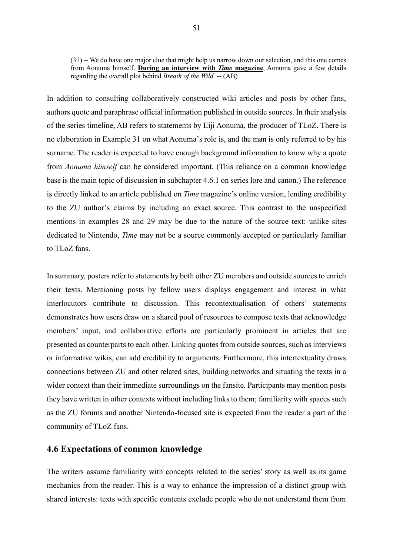(31) -- We do have one major clue that might help us narrow down our selection, and this one comes from Aonuma himself. **During an interview with** *Time* **magazine**, Aonuma gave a few details regarding the overall plot behind *Breath of the Wild.* -- (AB)

In addition to consulting collaboratively constructed wiki articles and posts by other fans, authors quote and paraphrase official information published in outside sources. In their analysis of the series timeline, AB refers to statements by Eiji Aonuma, the producer of TLoZ. There is no elaboration in Example 31 on what Aonuma's role is, and the man is only referred to by his surname. The reader is expected to have enough background information to know why a quote from *Aonuma himself* can be considered important. (This reliance on a common knowledge base is the main topic of discussion in subchapter 4.6.1 on series lore and canon.) The reference is directly linked to an article published on *Time* magazine's online version, lending credibility to the ZU author's claims by including an exact source. This contrast to the unspecified mentions in examples 28 and 29 may be due to the nature of the source text: unlike sites dedicated to Nintendo, *Time* may not be a source commonly accepted or particularly familiar to TLoZ fans.

In summary, posters refer to statements by both other ZU members and outside sources to enrich their texts. Mentioning posts by fellow users displays engagement and interest in what interlocutors contribute to discussion. This recontextualisation of others' statements demonstrates how users draw on a shared pool of resources to compose texts that acknowledge members' input, and collaborative efforts are particularly prominent in articles that are presented as counterparts to each other. Linking quotes from outside sources, such as interviews or informative wikis, can add credibility to arguments. Furthermore, this intertextuality draws connections between ZU and other related sites, building networks and situating the texts in a wider context than their immediate surroundings on the fansite. Participants may mention posts they have written in other contexts without including links to them; familiarity with spaces such as the ZU forums and another Nintendo-focused site is expected from the reader a part of the community of TLoZ fans.

## **4.6 Expectations of common knowledge**

The writers assume familiarity with concepts related to the series' story as well as its game mechanics from the reader. This is a way to enhance the impression of a distinct group with shared interests: texts with specific contents exclude people who do not understand them from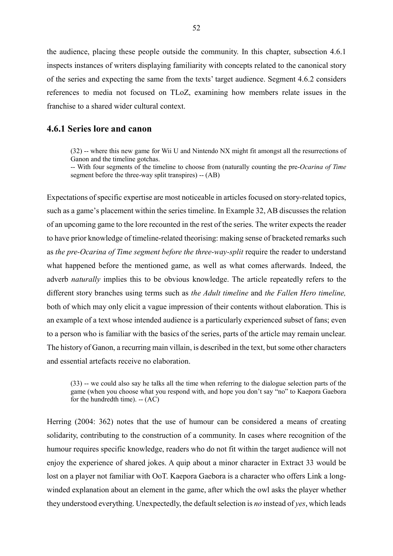the audience, placing these people outside the community. In this chapter, subsection 4.6.1 inspects instances of writers displaying familiarity with concepts related to the canonical story of the series and expecting the same from the texts' target audience. Segment 4.6.2 considers references to media not focused on TLoZ, examining how members relate issues in the franchise to a shared wider cultural context.

## **4.6.1 Series lore and canon**

(32) -- where this new game for Wii U and Nintendo NX might fit amongst all the resurrections of Ganon and the timeline gotchas.

-- With four segments of the timeline to choose from (naturally counting the pre-*Ocarina of Time* segment before the three-way split transpires) -- (AB)

Expectations of specific expertise are most noticeable in articles focused on story-related topics, such as a game's placement within the series timeline. In Example 32, AB discusses the relation of an upcoming game to the lore recounted in the rest of the series. The writer expects the reader to have prior knowledge of timeline-related theorising: making sense of bracketed remarks such as *the pre-Ocarina of Time segment before the three-way-split* require the reader to understand what happened before the mentioned game, as well as what comes afterwards. Indeed, the adverb *naturally* implies this to be obvious knowledge. The article repeatedly refers to the different story branches using terms such as *the Adult timeline* and *the Fallen Hero timeline,* both of which may only elicit a vague impression of their contents without elaboration. This is an example of a text whose intended audience is a particularly experienced subset of fans; even to a person who is familiar with the basics of the series, parts of the article may remain unclear. The history of Ganon, a recurring main villain, is described in the text, but some other characters and essential artefacts receive no elaboration.

(33) -- we could also say he talks all the time when referring to the dialogue selection parts of the game (when you choose what you respond with, and hope you don't say "no" to Kaepora Gaebora for the hundredth time). -- (AC)

Herring (2004: 362) notes that the use of humour can be considered a means of creating solidarity, contributing to the construction of a community. In cases where recognition of the humour requires specific knowledge, readers who do not fit within the target audience will not enjoy the experience of shared jokes. A quip about a minor character in Extract 33 would be lost on a player not familiar with OoT. Kaepora Gaebora is a character who offers Link a longwinded explanation about an element in the game, after which the owl asks the player whether they understood everything. Unexpectedly, the default selection is *no* instead of *yes*, which leads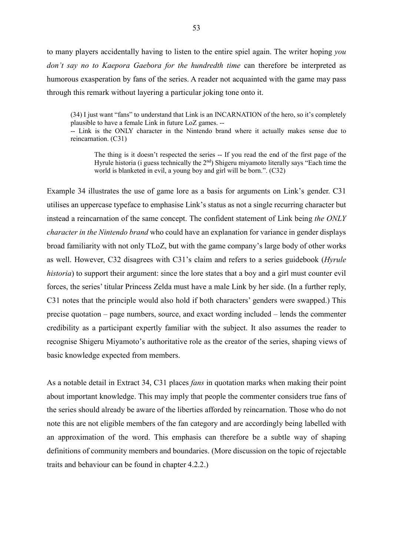to many players accidentally having to listen to the entire spiel again. The writer hoping *you don't say no to Kaepora Gaebora for the hundredth time* can therefore be interpreted as humorous exasperation by fans of the series. A reader not acquainted with the game may pass through this remark without layering a particular joking tone onto it.

(34) I just want "fans" to understand that Link is an INCARNATION of the hero, so it's completely plausible to have a female Link in future LoZ games. --

-- Link is the ONLY character in the Nintendo brand where it actually makes sense due to reincarnation. (C31)

The thing is it doesn't respected the series -- If you read the end of the first page of the Hyrule historia (i guess technically the 2<sup>nd</sup>) Shigeru miyamoto literally says "Each time the world is blanketed in evil, a young boy and girl will be born.". (C32)

Example 34 illustrates the use of game lore as a basis for arguments on Link's gender. C31 utilises an uppercase typeface to emphasise Link's status as not a single recurring character but instead a reincarnation of the same concept. The confident statement of Link being *the ONLY character in the Nintendo brand* who could have an explanation for variance in gender displays broad familiarity with not only TLoZ, but with the game company's large body of other works as well. However, C32 disagrees with C31's claim and refers to a series guidebook (*Hyrule historia*) to support their argument: since the lore states that a boy and a girl must counter evil forces, the series' titular Princess Zelda must have a male Link by her side. (In a further reply, C31 notes that the principle would also hold if both characters' genders were swapped.) This precise quotation – page numbers, source, and exact wording included – lends the commenter credibility as a participant expertly familiar with the subject. It also assumes the reader to recognise Shigeru Miyamoto's authoritative role as the creator of the series, shaping views of basic knowledge expected from members.

As a notable detail in Extract 34, C31 places *fans* in quotation marks when making their point about important knowledge. This may imply that people the commenter considers true fans of the series should already be aware of the liberties afforded by reincarnation. Those who do not note this are not eligible members of the fan category and are accordingly being labelled with an approximation of the word. This emphasis can therefore be a subtle way of shaping definitions of community members and boundaries. (More discussion on the topic of rejectable traits and behaviour can be found in chapter 4.2.2.)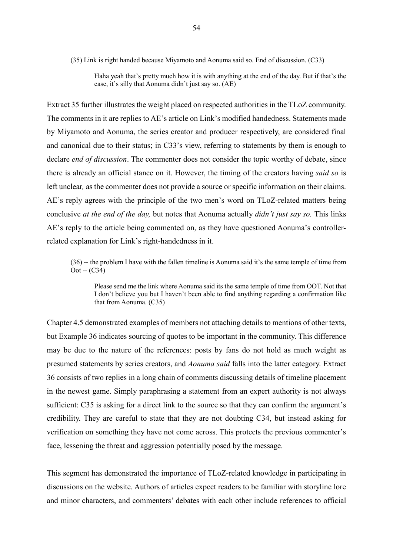(35) Link is right handed because Miyamoto and Aonuma said so. End of discussion. (C33)

Haha yeah that's pretty much how it is with anything at the end of the day. But if that's the case, it's silly that Aonuma didn't just say so. (AE)

Extract 35 further illustrates the weight placed on respected authorities in the TLoZ community. The comments in it are replies to AE's article on Link's modified handedness. Statements made by Miyamoto and Aonuma, the series creator and producer respectively, are considered final and canonical due to their status; in C33's view, referring to statements by them is enough to declare *end of discussion*. The commenter does not consider the topic worthy of debate, since there is already an official stance on it. However, the timing of the creators having *said so* is left unclear*,* as the commenter does not provide a source or specific information on their claims. AE's reply agrees with the principle of the two men's word on TLoZ-related matters being conclusive *at the end of the day,* but notes that Aonuma actually *didn't just say so.* This links AE's reply to the article being commented on, as they have questioned Aonuma's controllerrelated explanation for Link's right-handedness in it.

(36) -- the problem I have with the fallen timeline is Aonuma said it's the same temple of time from  $Oct - (C34)$ 

Please send me the link where Aonuma said its the same temple of time from OOT. Not that I don't believe you but I haven't been able to find anything regarding a confirmation like that from Aonuma. (C35)

Chapter 4.5 demonstrated examples of members not attaching details to mentions of other texts, but Example 36 indicates sourcing of quotes to be important in the community. This difference may be due to the nature of the references: posts by fans do not hold as much weight as presumed statements by series creators, and *Aonuma said* falls into the latter category. Extract 36 consists of two replies in a long chain of comments discussing details of timeline placement in the newest game. Simply paraphrasing a statement from an expert authority is not always sufficient: C35 is asking for a direct link to the source so that they can confirm the argument's credibility. They are careful to state that they are not doubting C34, but instead asking for verification on something they have not come across. This protects the previous commenter's face, lessening the threat and aggression potentially posed by the message.

This segment has demonstrated the importance of TLoZ-related knowledge in participating in discussions on the website. Authors of articles expect readers to be familiar with storyline lore and minor characters, and commenters' debates with each other include references to official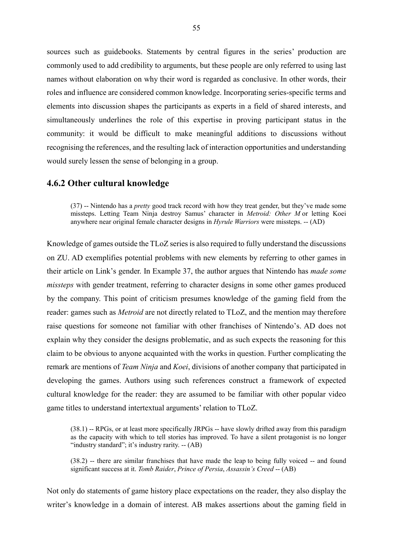sources such as guidebooks. Statements by central figures in the series' production are commonly used to add credibility to arguments, but these people are only referred to using last names without elaboration on why their word is regarded as conclusive. In other words, their roles and influence are considered common knowledge. Incorporating series-specific terms and elements into discussion shapes the participants as experts in a field of shared interests, and simultaneously underlines the role of this expertise in proving participant status in the community: it would be difficult to make meaningful additions to discussions without recognising the references, and the resulting lack of interaction opportunities and understanding would surely lessen the sense of belonging in a group.

#### **4.6.2 Other cultural knowledge**

(37) -- Nintendo has a *pretty* good track record with how they treat gender, but they've made some missteps. Letting Team Ninja destroy Samus' character in *Metroid: Other M* or letting Koei anywhere near original female character designs in *Hyrule Warriors* were missteps. -- (AD)

Knowledge of games outside the TLoZ series is also required to fully understand the discussions on ZU. AD exemplifies potential problems with new elements by referring to other games in their article on Link's gender. In Example 37, the author argues that Nintendo has *made some missteps* with gender treatment, referring to character designs in some other games produced by the company. This point of criticism presumes knowledge of the gaming field from the reader: games such as *Metroid* are not directly related to TLoZ, and the mention may therefore raise questions for someone not familiar with other franchises of Nintendo's. AD does not explain why they consider the designs problematic, and as such expects the reasoning for this claim to be obvious to anyone acquainted with the works in question. Further complicating the remark are mentions of *Team Ninja* and *Koei*, divisions of another company that participated in developing the games. Authors using such references construct a framework of expected cultural knowledge for the reader: they are assumed to be familiar with other popular video game titles to understand intertextual arguments' relation to TLoZ.

(38.1) -- RPGs, or at least more specifically JRPGs -- have slowly drifted away from this paradigm as the capacity with which to tell stories has improved. To have a silent protagonist is no longer "industry standard"; it's industry rarity. -- (AB)

(38.2) -- there are similar franchises that have made the leap to being fully voiced -- and found significant success at it. *Tomb Raider*, *Prince of Persia*, *Assassin's Creed* -- (AB)

Not only do statements of game history place expectations on the reader, they also display the writer's knowledge in a domain of interest. AB makes assertions about the gaming field in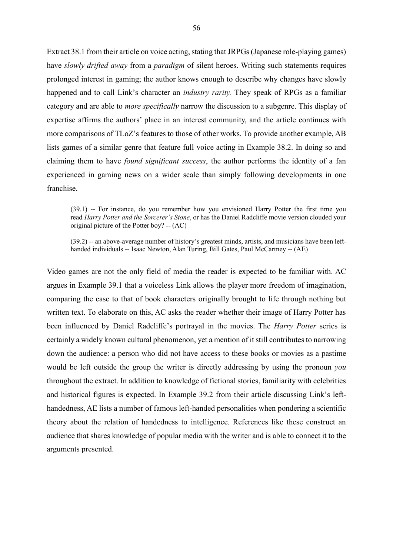Extract 38.1 from their article on voice acting, stating that JRPGs (Japanese role-playing games) have *slowly drifted away* from a *paradigm* of silent heroes. Writing such statements requires prolonged interest in gaming; the author knows enough to describe why changes have slowly happened and to call Link's character an *industry rarity.* They speak of RPGs as a familiar category and are able to *more specifically* narrow the discussion to a subgenre. This display of expertise affirms the authors' place in an interest community, and the article continues with more comparisons of TLoZ's features to those of other works. To provide another example, AB lists games of a similar genre that feature full voice acting in Example 38.2. In doing so and claiming them to have *found significant success*, the author performs the identity of a fan experienced in gaming news on a wider scale than simply following developments in one franchise.

(39.1) -- For instance, do you remember how you envisioned Harry Potter the first time you read *Harry Potter and the Sorcerer's Stone*, or has the Daniel Radcliffe movie version clouded your original picture of the Potter boy? -- (AC)

(39.2) -- an above-average number of history's greatest minds, artists, and musicians have been lefthanded individuals -- Isaac Newton, Alan Turing, Bill Gates, Paul McCartney -- (AE)

Video games are not the only field of media the reader is expected to be familiar with. AC argues in Example 39.1 that a voiceless Link allows the player more freedom of imagination, comparing the case to that of book characters originally brought to life through nothing but written text. To elaborate on this, AC asks the reader whether their image of Harry Potter has been influenced by Daniel Radcliffe's portrayal in the movies. The *Harry Potter* series is certainly a widely known cultural phenomenon, yet a mention of it still contributes to narrowing down the audience: a person who did not have access to these books or movies as a pastime would be left outside the group the writer is directly addressing by using the pronoun *you* throughout the extract. In addition to knowledge of fictional stories, familiarity with celebrities and historical figures is expected. In Example 39.2 from their article discussing Link's lefthandedness, AE lists a number of famous left-handed personalities when pondering a scientific theory about the relation of handedness to intelligence. References like these construct an audience that shares knowledge of popular media with the writer and is able to connect it to the arguments presented.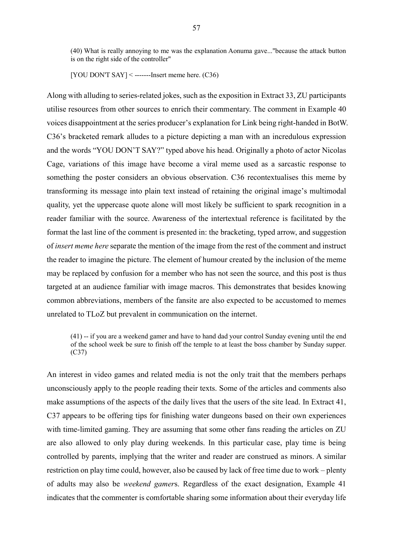(40) What is really annoying to me was the explanation Aonuma gave..."because the attack button is on the right side of the controller"

[YOU DON'T SAY] < --------Insert meme here.  $(C36)$ 

Along with alluding to series-related jokes, such as the exposition in Extract 33, ZU participants utilise resources from other sources to enrich their commentary. The comment in Example 40 voices disappointment at the series producer's explanation for Link being right-handed in BotW. C36's bracketed remark alludes to a picture depicting a man with an incredulous expression and the words "YOU DON'T SAY?" typed above his head. Originally a photo of actor Nicolas Cage, variations of this image have become a viral meme used as a sarcastic response to something the poster considers an obvious observation. C36 recontextualises this meme by transforming its message into plain text instead of retaining the original image's multimodal quality, yet the uppercase quote alone will most likely be sufficient to spark recognition in a reader familiar with the source. Awareness of the intertextual reference is facilitated by the format the last line of the comment is presented in: the bracketing, typed arrow, and suggestion of *insert meme here* separate the mention of the image from the rest of the comment and instruct the reader to imagine the picture. The element of humour created by the inclusion of the meme may be replaced by confusion for a member who has not seen the source, and this post is thus targeted at an audience familiar with image macros. This demonstrates that besides knowing common abbreviations, members of the fansite are also expected to be accustomed to memes unrelated to TLoZ but prevalent in communication on the internet.

(41) -- if you are a weekend gamer and have to hand dad your control Sunday evening until the end of the school week be sure to finish off the temple to at least the boss chamber by Sunday supper. (C37)

An interest in video games and related media is not the only trait that the members perhaps unconsciously apply to the people reading their texts. Some of the articles and comments also make assumptions of the aspects of the daily lives that the users of the site lead. In Extract 41, C37 appears to be offering tips for finishing water dungeons based on their own experiences with time-limited gaming. They are assuming that some other fans reading the articles on ZU are also allowed to only play during weekends. In this particular case, play time is being controlled by parents, implying that the writer and reader are construed as minors. A similar restriction on play time could, however, also be caused by lack of free time due to work – plenty of adults may also be *weekend gamer*s. Regardless of the exact designation, Example 41 indicates that the commenter is comfortable sharing some information about their everyday life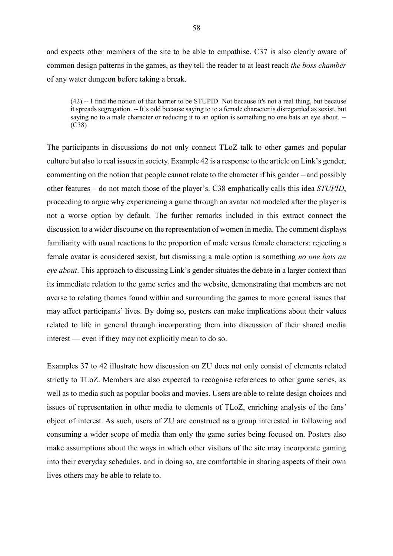and expects other members of the site to be able to empathise. C37 is also clearly aware of common design patterns in the games, as they tell the reader to at least reach *the boss chamber*  of any water dungeon before taking a break.

(42) -- I find the notion of that barrier to be STUPID. Not because it's not a real thing, but because it spreads segregation. -- It's odd because saying to to a female character is disregarded as sexist, but saying no to a male character or reducing it to an option is something no one bats an eye about. -- (C38)

The participants in discussions do not only connect TLoZ talk to other games and popular culture but also to real issues in society. Example 42 is a response to the article on Link's gender, commenting on the notion that people cannot relate to the character if his gender – and possibly other features – do not match those of the player's. C38 emphatically calls this idea *STUPID*, proceeding to argue why experiencing a game through an avatar not modeled after the player is not a worse option by default. The further remarks included in this extract connect the discussion to a wider discourse on the representation of women in media. The comment displays familiarity with usual reactions to the proportion of male versus female characters: rejecting a female avatar is considered sexist, but dismissing a male option is something *no one bats an eye about*. This approach to discussing Link's gender situates the debate in a larger context than its immediate relation to the game series and the website, demonstrating that members are not averse to relating themes found within and surrounding the games to more general issues that may affect participants' lives. By doing so, posters can make implications about their values related to life in general through incorporating them into discussion of their shared media interest — even if they may not explicitly mean to do so.

Examples 37 to 42 illustrate how discussion on ZU does not only consist of elements related strictly to TLoZ. Members are also expected to recognise references to other game series, as well as to media such as popular books and movies. Users are able to relate design choices and issues of representation in other media to elements of TLoZ, enriching analysis of the fans' object of interest. As such, users of ZU are construed as a group interested in following and consuming a wider scope of media than only the game series being focused on. Posters also make assumptions about the ways in which other visitors of the site may incorporate gaming into their everyday schedules, and in doing so, are comfortable in sharing aspects of their own lives others may be able to relate to.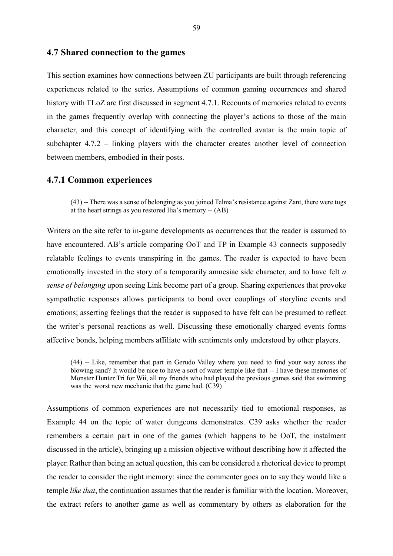#### **4.7 Shared connection to the games**

This section examines how connections between ZU participants are built through referencing experiences related to the series. Assumptions of common gaming occurrences and shared history with TLoZ are first discussed in segment 4.7.1. Recounts of memories related to events in the games frequently overlap with connecting the player's actions to those of the main character, and this concept of identifying with the controlled avatar is the main topic of subchapter 4.7.2 – linking players with the character creates another level of connection between members, embodied in their posts.

#### **4.7.1 Common experiences**

(43) -- There was a sense of belonging as you joined Telma's resistance against Zant, there were tugs at the heart strings as you restored Ilia's memory -- (AB)

Writers on the site refer to in-game developments as occurrences that the reader is assumed to have encountered. AB's article comparing OoT and TP in Example 43 connects supposedly relatable feelings to events transpiring in the games. The reader is expected to have been emotionally invested in the story of a temporarily amnesiac side character, and to have felt *a sense of belonging* upon seeing Link become part of a group. Sharing experiences that provoke sympathetic responses allows participants to bond over couplings of storyline events and emotions; asserting feelings that the reader is supposed to have felt can be presumed to reflect the writer's personal reactions as well. Discussing these emotionally charged events forms affective bonds, helping members affiliate with sentiments only understood by other players.

(44) -- Like, remember that part in Gerudo Valley where you need to find your way across the blowing sand? It would be nice to have a sort of water temple like that -- I have these memories of Monster Hunter Tri for Wii, all my friends who had played the previous games said that swimming was the worst new mechanic that the game had. (C39)

Assumptions of common experiences are not necessarily tied to emotional responses, as Example 44 on the topic of water dungeons demonstrates. C39 asks whether the reader remembers a certain part in one of the games (which happens to be OoT, the instalment discussed in the article), bringing up a mission objective without describing how it affected the player. Rather than being an actual question, this can be considered a rhetorical device to prompt the reader to consider the right memory: since the commenter goes on to say they would like a temple *like that*, the continuation assumes that the reader is familiar with the location. Moreover, the extract refers to another game as well as commentary by others as elaboration for the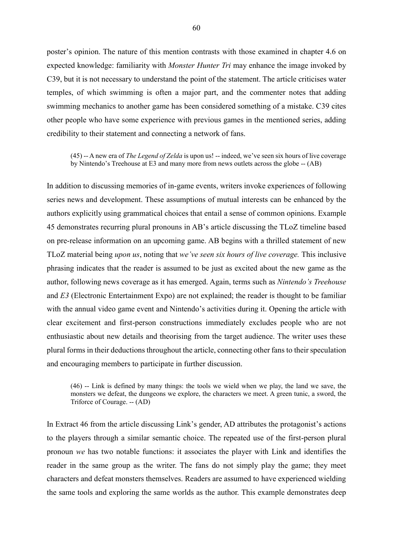poster's opinion. The nature of this mention contrasts with those examined in chapter 4.6 on expected knowledge: familiarity with *Monster Hunter Tri* may enhance the image invoked by C39, but it is not necessary to understand the point of the statement. The article criticises water temples, of which swimming is often a major part, and the commenter notes that adding swimming mechanics to another game has been considered something of a mistake. C39 cites other people who have some experience with previous games in the mentioned series, adding credibility to their statement and connecting a network of fans.

(45) -- A new era of *The Legend of Zelda* is upon us! -- indeed, we've seen six hours of live coverage by Nintendo's Treehouse at E3 and many more from news outlets across the globe -- (AB)

In addition to discussing memories of in-game events, writers invoke experiences of following series news and development. These assumptions of mutual interests can be enhanced by the authors explicitly using grammatical choices that entail a sense of common opinions. Example 45 demonstrates recurring plural pronouns in AB's article discussing the TLoZ timeline based on pre-release information on an upcoming game. AB begins with a thrilled statement of new TLoZ material being *upon us*, noting that *we've seen six hours of live coverage.* This inclusive phrasing indicates that the reader is assumed to be just as excited about the new game as the author, following news coverage as it has emerged. Again, terms such as *Nintendo's Treehouse*  and *E3* (Electronic Entertainment Expo) are not explained; the reader is thought to be familiar with the annual video game event and Nintendo's activities during it. Opening the article with clear excitement and first-person constructions immediately excludes people who are not enthusiastic about new details and theorising from the target audience. The writer uses these plural forms in their deductions throughout the article, connecting other fans to their speculation and encouraging members to participate in further discussion.

(46) -- Link is defined by many things: the tools we wield when we play, the land we save, the monsters we defeat, the dungeons we explore, the characters we meet. A green tunic, a sword, the Triforce of Courage. -- (AD)

In Extract 46 from the article discussing Link's gender, AD attributes the protagonist's actions to the players through a similar semantic choice. The repeated use of the first-person plural pronoun *we* has two notable functions: it associates the player with Link and identifies the reader in the same group as the writer. The fans do not simply play the game; they meet characters and defeat monsters themselves. Readers are assumed to have experienced wielding the same tools and exploring the same worlds as the author. This example demonstrates deep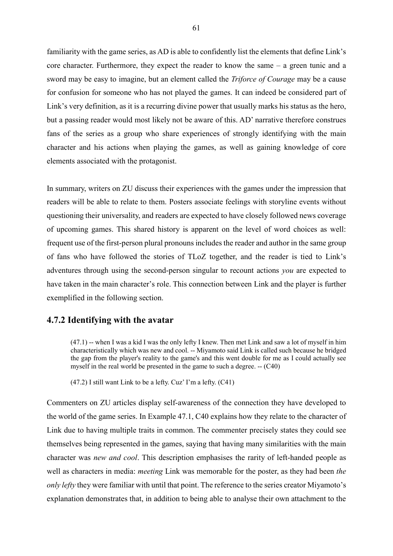familiarity with the game series, as AD is able to confidently list the elements that define Link's core character. Furthermore, they expect the reader to know the same – a green tunic and a sword may be easy to imagine, but an element called the *Triforce of Courage* may be a cause for confusion for someone who has not played the games. It can indeed be considered part of Link's very definition, as it is a recurring divine power that usually marks his status as the hero, but a passing reader would most likely not be aware of this. AD' narrative therefore construes fans of the series as a group who share experiences of strongly identifying with the main character and his actions when playing the games, as well as gaining knowledge of core elements associated with the protagonist.

In summary, writers on ZU discuss their experiences with the games under the impression that readers will be able to relate to them. Posters associate feelings with storyline events without questioning their universality, and readers are expected to have closely followed news coverage of upcoming games. This shared history is apparent on the level of word choices as well: frequent use of the first-person plural pronouns includes the reader and author in the same group of fans who have followed the stories of TLoZ together, and the reader is tied to Link's adventures through using the second-person singular to recount actions *you* are expected to have taken in the main character's role. This connection between Link and the player is further exemplified in the following section.

## **4.7.2 Identifying with the avatar**

(47.1) -- when I was a kid I was the only lefty I knew. Then met Link and saw a lot of myself in him characteristically which was new and cool. -- Miyamoto said Link is called such because he bridged the gap from the player's reality to the game's and this went double for me as I could actually see myself in the real world be presented in the game to such a degree. -- (C40)

(47.2) I still want Link to be a lefty. Cuz' I'm a lefty. (C41)

Commenters on ZU articles display self-awareness of the connection they have developed to the world of the game series. In Example 47.1, C40 explains how they relate to the character of Link due to having multiple traits in common. The commenter precisely states they could see themselves being represented in the games, saying that having many similarities with the main character was *new and cool*. This description emphasises the rarity of left-handed people as well as characters in media: *meeting* Link was memorable for the poster, as they had been *the only lefty* they were familiar with until that point. The reference to the series creator Miyamoto's explanation demonstrates that, in addition to being able to analyse their own attachment to the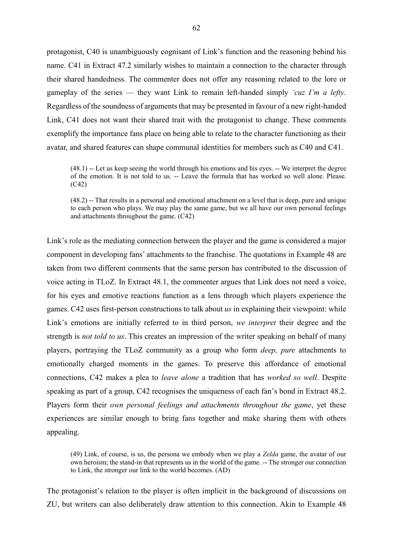protagonist, C40 is unambiguously cognisant of Link's function and the reasoning behind his name. C41 in Extract 47.2 similarly wishes to maintain a connection to the character through their shared handedness. The commenter does not offer any reasoning related to the lore or gameplay of the series — they want Link to remain left-handed simply *'cuz I'm a lefty*. Regardless of the soundness of arguments that may be presented in favour of a new right-handed Link, C41 does not want their shared trait with the protagonist to change. These comments exemplify the importance fans place on being able to relate to the character functioning as their avatar, and shared features can shape communal identities for members such as C40 and C41.

(48.1) -- Let us keep seeing the world through his emotions and his eyes. -- We interpret the degree of the emotion. It is not told to us. -- Leave the formula that has worked so well alone. Please. (C42)

(48.2) -- That results in a personal and emotional attachment on a level that is deep, pure and unique to each person who plays. We may play the same game, but we all have our own personal feelings and attachments throughout the game. (C42)

Link's role as the mediating connection between the player and the game is considered a major component in developing fans' attachments to the franchise. The quotations in Example 48 are taken from two different comments that the same person has contributed to the discussion of voice acting in TLoZ. In Extract 48.1, the commenter argues that Link does not need a voice, for his eyes and emotive reactions function as a lens through which players experience the games. C42 uses first-person constructions to talk about *us* in explaining their viewpoint: while Link's emotions are initially referred to in third person, *we interpret* their degree and the strength is *not told to us*. This creates an impression of the writer speaking on behalf of many players, portraying the TLoZ community as a group who form *deep, pure* attachments to emotionally charged moments in the games. To preserve this affordance of emotional connections, C42 makes a plea to *leave alone* a tradition that has *worked so well*. Despite speaking as part of a group, C42 recognises the uniqueness of each fan's bond in Extract 48.2. Players form their *own personal feelings and attachments throughout the game*, yet these experiences are similar enough to bring fans together and make sharing them with others appealing.

(49) Link, of course, is us, the persona we embody when we play a *Zelda* game, the avatar of our own heroism; the stand-in that represents us in the world of the game. -- The stronger our connection to Link, the stronger our link to the world becomes. (AD)

The protagonist's relation to the player is often implicit in the background of discussions on ZU, but writers can also deliberately draw attention to this connection. Akin to Example 48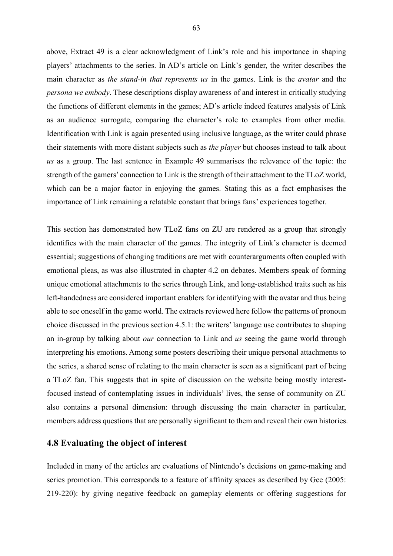above, Extract 49 is a clear acknowledgment of Link's role and his importance in shaping players' attachments to the series. In AD's article on Link's gender, the writer describes the main character as *the stand-in that represents us* in the games. Link is the *avatar* and the *persona we embody*. These descriptions display awareness of and interest in critically studying the functions of different elements in the games; AD's article indeed features analysis of Link as an audience surrogate, comparing the character's role to examples from other media. Identification with Link is again presented using inclusive language, as the writer could phrase their statements with more distant subjects such as *the player* but chooses instead to talk about *us* as a group. The last sentence in Example 49 summarises the relevance of the topic: the strength of the gamers' connection to Link is the strength of their attachment to the TLoZ world, which can be a major factor in enjoying the games. Stating this as a fact emphasises the importance of Link remaining a relatable constant that brings fans' experiences together.

This section has demonstrated how TLoZ fans on ZU are rendered as a group that strongly identifies with the main character of the games. The integrity of Link's character is deemed essential; suggestions of changing traditions are met with counterarguments often coupled with emotional pleas, as was also illustrated in chapter 4.2 on debates. Members speak of forming unique emotional attachments to the series through Link, and long-established traits such as his left-handedness are considered important enablers for identifying with the avatar and thus being able to see oneself in the game world. The extracts reviewed here follow the patterns of pronoun choice discussed in the previous section 4.5.1: the writers' language use contributes to shaping an in-group by talking about *our* connection to Link and *us* seeing the game world through interpreting his emotions. Among some posters describing their unique personal attachments to the series, a shared sense of relating to the main character is seen as a significant part of being a TLoZ fan. This suggests that in spite of discussion on the website being mostly interestfocused instead of contemplating issues in individuals' lives, the sense of community on ZU also contains a personal dimension: through discussing the main character in particular, members address questions that are personally significant to them and reveal their own histories.

#### **4.8 Evaluating the object of interest**

Included in many of the articles are evaluations of Nintendo's decisions on game-making and series promotion. This corresponds to a feature of affinity spaces as described by Gee (2005: 219-220): by giving negative feedback on gameplay elements or offering suggestions for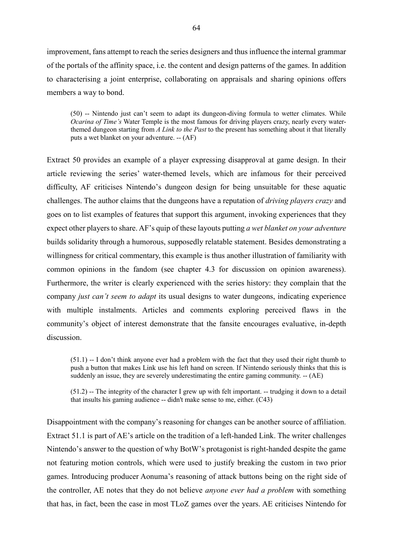improvement, fans attempt to reach the series designers and thus influence the internal grammar of the portals of the affinity space, i.e. the content and design patterns of the games. In addition to characterising a joint enterprise, collaborating on appraisals and sharing opinions offers members a way to bond.

(50) -- Nintendo just can't seem to adapt its dungeon-diving formula to wetter climates. While *Ocarina of Time's* Water Temple is the most famous for driving players crazy, nearly every waterthemed dungeon starting from *A Link to the Past* to the present has something about it that literally puts a wet blanket on your adventure. -- (AF)

Extract 50 provides an example of a player expressing disapproval at game design. In their article reviewing the series' water-themed levels, which are infamous for their perceived difficulty, AF criticises Nintendo's dungeon design for being unsuitable for these aquatic challenges. The author claims that the dungeons have a reputation of *driving players crazy* and goes on to list examples of features that support this argument, invoking experiences that they expect other players to share. AF's quip of these layouts putting *a wet blanket on your adventure*  builds solidarity through a humorous, supposedly relatable statement. Besides demonstrating a willingness for critical commentary, this example is thus another illustration of familiarity with common opinions in the fandom (see chapter 4.3 for discussion on opinion awareness). Furthermore, the writer is clearly experienced with the series history: they complain that the company *just can't seem to adapt* its usual designs to water dungeons, indicating experience with multiple instalments. Articles and comments exploring perceived flaws in the community's object of interest demonstrate that the fansite encourages evaluative, in-depth discussion.

(51.1) -- I don't think anyone ever had a problem with the fact that they used their right thumb to push a button that makes Link use his left hand on screen. If Nintendo seriously thinks that this is suddenly an issue, they are severely underestimating the entire gaming community. -- (AE)

(51.2) -- The integrity of the character I grew up with felt important. -- trudging it down to a detail that insults his gaming audience -- didn't make sense to me, either. (C43)

Disappointment with the company's reasoning for changes can be another source of affiliation. Extract 51.1 is part of AE's article on the tradition of a left-handed Link. The writer challenges Nintendo's answer to the question of why BotW's protagonist is right-handed despite the game not featuring motion controls, which were used to justify breaking the custom in two prior games. Introducing producer Aonuma's reasoning of attack buttons being on the right side of the controller, AE notes that they do not believe *anyone ever had a problem* with something that has, in fact, been the case in most TLoZ games over the years. AE criticises Nintendo for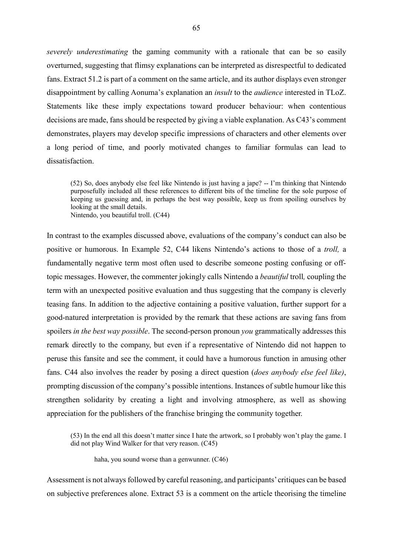*severely underestimating* the gaming community with a rationale that can be so easily overturned, suggesting that flimsy explanations can be interpreted as disrespectful to dedicated fans. Extract 51.2 is part of a comment on the same article, and its author displays even stronger disappointment by calling Aonuma's explanation an *insult* to the *audience* interested in TLoZ. Statements like these imply expectations toward producer behaviour: when contentious decisions are made, fans should be respected by giving a viable explanation. As C43's comment demonstrates, players may develop specific impressions of characters and other elements over a long period of time, and poorly motivated changes to familiar formulas can lead to dissatisfaction.

(52) So, does anybody else feel like Nintendo is just having a jape? -- I'm thinking that Nintendo purposefully included all these references to different bits of the timeline for the sole purpose of keeping us guessing and, in perhaps the best way possible, keep us from spoiling ourselves by looking at the small details. Nintendo, you beautiful troll. (C44)

In contrast to the examples discussed above, evaluations of the company's conduct can also be positive or humorous. In Example 52, C44 likens Nintendo's actions to those of a *troll,* a fundamentally negative term most often used to describe someone posting confusing or offtopic messages. However, the commenter jokingly calls Nintendo a *beautiful* troll*,* coupling the term with an unexpected positive evaluation and thus suggesting that the company is cleverly teasing fans. In addition to the adjective containing a positive valuation, further support for a good-natured interpretation is provided by the remark that these actions are saving fans from spoilers *in the best way possible*. The second-person pronoun *you* grammatically addresses this remark directly to the company, but even if a representative of Nintendo did not happen to peruse this fansite and see the comment, it could have a humorous function in amusing other fans. C44 also involves the reader by posing a direct question (*does anybody else feel like)*, prompting discussion of the company's possible intentions. Instances of subtle humour like this strengthen solidarity by creating a light and involving atmosphere, as well as showing appreciation for the publishers of the franchise bringing the community together.

(53) In the end all this doesn't matter since I hate the artwork, so I probably won't play the game. I did not play Wind Walker for that very reason. (C45)

haha, you sound worse than a genwunner. (C46)

Assessment is not always followed by careful reasoning, and participants' critiques can be based on subjective preferences alone. Extract 53 is a comment on the article theorising the timeline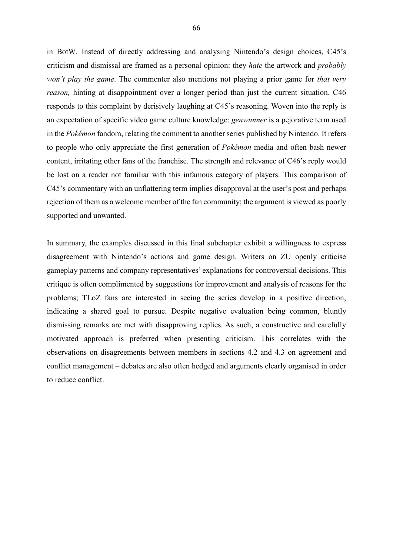in BotW*.* Instead of directly addressing and analysing Nintendo's design choices, C45's criticism and dismissal are framed as a personal opinion: they *hate* the artwork and *probably won't play the game*. The commenter also mentions not playing a prior game for *that very reason*, hinting at disappointment over a longer period than just the current situation. C46 responds to this complaint by derisively laughing at C45's reasoning. Woven into the reply is an expectation of specific video game culture knowledge: *genwunner* is a pejorative term used in the *Pokémon* fandom, relating the comment to another series published by Nintendo. It refers to people who only appreciate the first generation of *Pokémon* media and often bash newer content, irritating other fans of the franchise. The strength and relevance of C46's reply would be lost on a reader not familiar with this infamous category of players. This comparison of C45's commentary with an unflattering term implies disapproval at the user's post and perhaps rejection of them as a welcome member of the fan community; the argument is viewed as poorly supported and unwanted.

In summary, the examples discussed in this final subchapter exhibit a willingness to express disagreement with Nintendo's actions and game design. Writers on ZU openly criticise gameplay patterns and company representatives' explanations for controversial decisions. This critique is often complimented by suggestions for improvement and analysis of reasons for the problems; TLoZ fans are interested in seeing the series develop in a positive direction, indicating a shared goal to pursue. Despite negative evaluation being common, bluntly dismissing remarks are met with disapproving replies. As such, a constructive and carefully motivated approach is preferred when presenting criticism. This correlates with the observations on disagreements between members in sections 4.2 and 4.3 on agreement and conflict management – debates are also often hedged and arguments clearly organised in order to reduce conflict.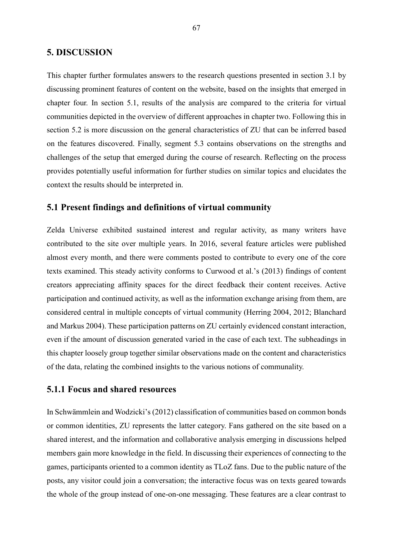### **5. DISCUSSION**

This chapter further formulates answers to the research questions presented in section 3.1 by discussing prominent features of content on the website, based on the insights that emerged in chapter four. In section 5.1, results of the analysis are compared to the criteria for virtual communities depicted in the overview of different approaches in chapter two. Following this in section 5.2 is more discussion on the general characteristics of ZU that can be inferred based on the features discovered. Finally, segment 5.3 contains observations on the strengths and challenges of the setup that emerged during the course of research. Reflecting on the process provides potentially useful information for further studies on similar topics and elucidates the context the results should be interpreted in.

#### **5.1 Present findings and definitions of virtual community**

Zelda Universe exhibited sustained interest and regular activity, as many writers have contributed to the site over multiple years. In 2016, several feature articles were published almost every month, and there were comments posted to contribute to every one of the core texts examined. This steady activity conforms to Curwood et al.'s (2013) findings of content creators appreciating affinity spaces for the direct feedback their content receives. Active participation and continued activity, as well as the information exchange arising from them, are considered central in multiple concepts of virtual community (Herring 2004, 2012; Blanchard and Markus 2004). These participation patterns on ZU certainly evidenced constant interaction, even if the amount of discussion generated varied in the case of each text. The subheadings in this chapter loosely group together similar observations made on the content and characteristics of the data, relating the combined insights to the various notions of communality.

## **5.1.1 Focus and shared resources**

In Schwämmlein and Wodzicki's (2012) classification of communities based on common bonds or common identities, ZU represents the latter category. Fans gathered on the site based on a shared interest, and the information and collaborative analysis emerging in discussions helped members gain more knowledge in the field. In discussing their experiences of connecting to the games, participants oriented to a common identity as TLoZ fans. Due to the public nature of the posts, any visitor could join a conversation; the interactive focus was on texts geared towards the whole of the group instead of one-on-one messaging. These features are a clear contrast to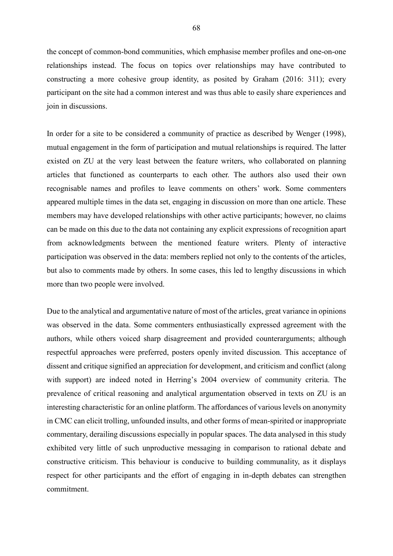the concept of common-bond communities, which emphasise member profiles and one-on-one relationships instead. The focus on topics over relationships may have contributed to constructing a more cohesive group identity, as posited by Graham (2016: 311); every participant on the site had a common interest and was thus able to easily share experiences and join in discussions.

In order for a site to be considered a community of practice as described by Wenger (1998), mutual engagement in the form of participation and mutual relationships is required. The latter existed on ZU at the very least between the feature writers, who collaborated on planning articles that functioned as counterparts to each other. The authors also used their own recognisable names and profiles to leave comments on others' work. Some commenters appeared multiple times in the data set, engaging in discussion on more than one article. These members may have developed relationships with other active participants; however, no claims can be made on this due to the data not containing any explicit expressions of recognition apart from acknowledgments between the mentioned feature writers. Plenty of interactive participation was observed in the data: members replied not only to the contents of the articles, but also to comments made by others. In some cases, this led to lengthy discussions in which more than two people were involved.

Due to the analytical and argumentative nature of most of the articles, great variance in opinions was observed in the data. Some commenters enthusiastically expressed agreement with the authors, while others voiced sharp disagreement and provided counterarguments; although respectful approaches were preferred, posters openly invited discussion. This acceptance of dissent and critique signified an appreciation for development, and criticism and conflict (along with support) are indeed noted in Herring's 2004 overview of community criteria. The prevalence of critical reasoning and analytical argumentation observed in texts on ZU is an interesting characteristic for an online platform. The affordances of various levels on anonymity in CMC can elicit trolling, unfounded insults, and other forms of mean-spirited or inappropriate commentary, derailing discussions especially in popular spaces. The data analysed in this study exhibited very little of such unproductive messaging in comparison to rational debate and constructive criticism. This behaviour is conducive to building communality, as it displays respect for other participants and the effort of engaging in in-depth debates can strengthen commitment.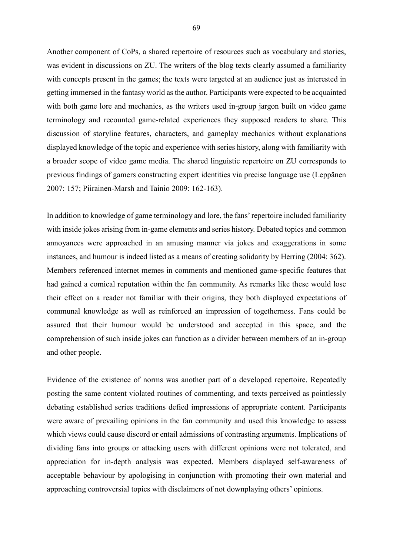Another component of CoPs, a shared repertoire of resources such as vocabulary and stories, was evident in discussions on ZU. The writers of the blog texts clearly assumed a familiarity with concepts present in the games; the texts were targeted at an audience just as interested in getting immersed in the fantasy world as the author. Participants were expected to be acquainted with both game lore and mechanics, as the writers used in-group jargon built on video game terminology and recounted game-related experiences they supposed readers to share. This discussion of storyline features, characters, and gameplay mechanics without explanations displayed knowledge of the topic and experience with series history, along with familiarity with a broader scope of video game media. The shared linguistic repertoire on ZU corresponds to previous findings of gamers constructing expert identities via precise language use (Leppänen 2007: 157; Piirainen-Marsh and Tainio 2009: 162-163).

In addition to knowledge of game terminology and lore, the fans' repertoire included familiarity with inside jokes arising from in-game elements and series history. Debated topics and common annoyances were approached in an amusing manner via jokes and exaggerations in some instances, and humour is indeed listed as a means of creating solidarity by Herring (2004: 362). Members referenced internet memes in comments and mentioned game-specific features that had gained a comical reputation within the fan community. As remarks like these would lose their effect on a reader not familiar with their origins, they both displayed expectations of communal knowledge as well as reinforced an impression of togetherness. Fans could be assured that their humour would be understood and accepted in this space, and the comprehension of such inside jokes can function as a divider between members of an in-group and other people.

Evidence of the existence of norms was another part of a developed repertoire. Repeatedly posting the same content violated routines of commenting, and texts perceived as pointlessly debating established series traditions defied impressions of appropriate content. Participants were aware of prevailing opinions in the fan community and used this knowledge to assess which views could cause discord or entail admissions of contrasting arguments. Implications of dividing fans into groups or attacking users with different opinions were not tolerated, and appreciation for in-depth analysis was expected. Members displayed self-awareness of acceptable behaviour by apologising in conjunction with promoting their own material and approaching controversial topics with disclaimers of not downplaying others' opinions.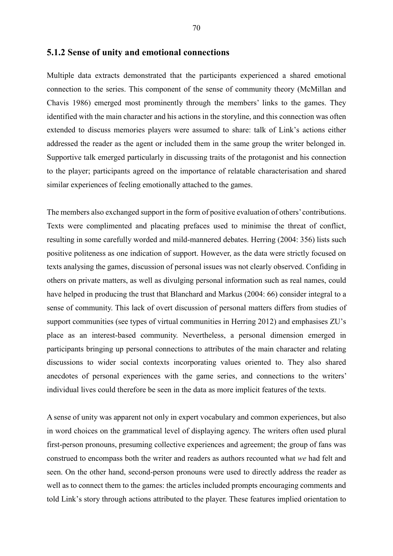Multiple data extracts demonstrated that the participants experienced a shared emotional connection to the series. This component of the sense of community theory (McMillan and Chavis 1986) emerged most prominently through the members' links to the games. They identified with the main character and his actions in the storyline, and this connection was often extended to discuss memories players were assumed to share: talk of Link's actions either addressed the reader as the agent or included them in the same group the writer belonged in. Supportive talk emerged particularly in discussing traits of the protagonist and his connection to the player; participants agreed on the importance of relatable characterisation and shared similar experiences of feeling emotionally attached to the games.

The members also exchanged support in the form of positive evaluation of others' contributions. Texts were complimented and placating prefaces used to minimise the threat of conflict, resulting in some carefully worded and mild-mannered debates. Herring (2004: 356) lists such positive politeness as one indication of support. However, as the data were strictly focused on texts analysing the games, discussion of personal issues was not clearly observed. Confiding in others on private matters, as well as divulging personal information such as real names, could have helped in producing the trust that Blanchard and Markus (2004: 66) consider integral to a sense of community. This lack of overt discussion of personal matters differs from studies of support communities (see types of virtual communities in Herring 2012) and emphasises ZU's place as an interest-based community. Nevertheless, a personal dimension emerged in participants bringing up personal connections to attributes of the main character and relating discussions to wider social contexts incorporating values oriented to. They also shared anecdotes of personal experiences with the game series, and connections to the writers' individual lives could therefore be seen in the data as more implicit features of the texts.

A sense of unity was apparent not only in expert vocabulary and common experiences, but also in word choices on the grammatical level of displaying agency. The writers often used plural first-person pronouns, presuming collective experiences and agreement; the group of fans was construed to encompass both the writer and readers as authors recounted what *we* had felt and seen. On the other hand, second-person pronouns were used to directly address the reader as well as to connect them to the games: the articles included prompts encouraging comments and told Link's story through actions attributed to the player. These features implied orientation to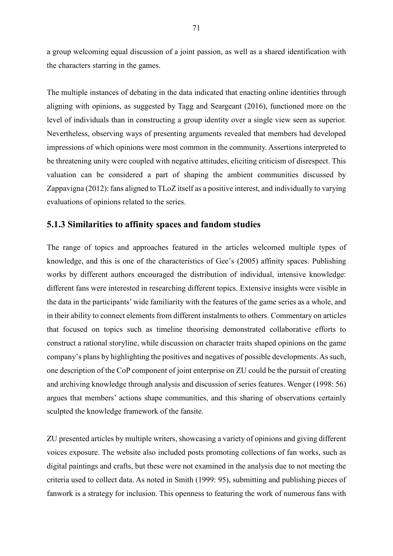a group welcoming equal discussion of a joint passion, as well as a shared identification with the characters starring in the games.

The multiple instances of debating in the data indicated that enacting online identities through aligning with opinions, as suggested by Tagg and Seargeant (2016), functioned more on the level of individuals than in constructing a group identity over a single view seen as superior. Nevertheless, observing ways of presenting arguments revealed that members had developed impressions of which opinions were most common in the community. Assertions interpreted to be threatening unity were coupled with negative attitudes, eliciting criticism of disrespect. This valuation can be considered a part of shaping the ambient communities discussed by Zappavigna (2012): fans aligned to TLoZ itself as a positive interest, and individually to varying evaluations of opinions related to the series.

### **5.1.3 Similarities to affinity spaces and fandom studies**

The range of topics and approaches featured in the articles welcomed multiple types of knowledge, and this is one of the characteristics of Gee's (2005) affinity spaces. Publishing works by different authors encouraged the distribution of individual, intensive knowledge: different fans were interested in researching different topics. Extensive insights were visible in the data in the participants' wide familiarity with the features of the game series as a whole, and in their ability to connect elements from different instalments to others. Commentary on articles that focused on topics such as timeline theorising demonstrated collaborative efforts to construct a rational storyline, while discussion on character traits shaped opinions on the game company's plans by highlighting the positives and negatives of possible developments. As such, one description of the CoP component of joint enterprise on ZU could be the pursuit of creating and archiving knowledge through analysis and discussion of series features. Wenger (1998: 56) argues that members' actions shape communities, and this sharing of observations certainly sculpted the knowledge framework of the fansite.

ZU presented articles by multiple writers, showcasing a variety of opinions and giving different voices exposure. The website also included posts promoting collections of fan works, such as digital paintings and crafts, but these were not examined in the analysis due to not meeting the criteria used to collect data. As noted in Smith (1999: 95), submitting and publishing pieces of fanwork is a strategy for inclusion. This openness to featuring the work of numerous fans with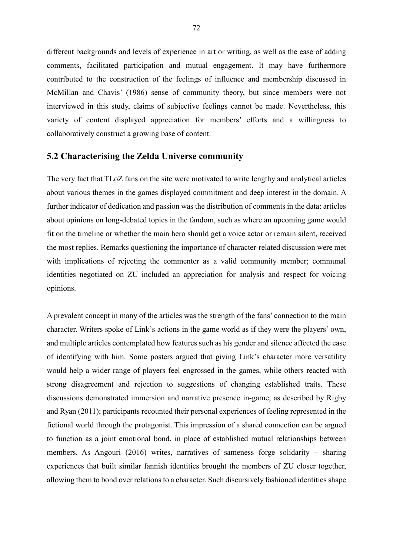different backgrounds and levels of experience in art or writing, as well as the ease of adding comments, facilitated participation and mutual engagement. It may have furthermore contributed to the construction of the feelings of influence and membership discussed in McMillan and Chavis' (1986) sense of community theory, but since members were not interviewed in this study, claims of subjective feelings cannot be made. Nevertheless, this variety of content displayed appreciation for members' efforts and a willingness to collaboratively construct a growing base of content.

## **5.2 Characterising the Zelda Universe community**

The very fact that TLoZ fans on the site were motivated to write lengthy and analytical articles about various themes in the games displayed commitment and deep interest in the domain. A further indicator of dedication and passion was the distribution of comments in the data: articles about opinions on long-debated topics in the fandom, such as where an upcoming game would fit on the timeline or whether the main hero should get a voice actor or remain silent, received the most replies. Remarks questioning the importance of character-related discussion were met with implications of rejecting the commenter as a valid community member; communal identities negotiated on ZU included an appreciation for analysis and respect for voicing opinions.

A prevalent concept in many of the articles was the strength of the fans' connection to the main character. Writers spoke of Link's actions in the game world as if they were the players' own, and multiple articles contemplated how features such as his gender and silence affected the ease of identifying with him. Some posters argued that giving Link's character more versatility would help a wider range of players feel engrossed in the games, while others reacted with strong disagreement and rejection to suggestions of changing established traits. These discussions demonstrated immersion and narrative presence in-game, as described by Rigby and Ryan (2011); participants recounted their personal experiences of feeling represented in the fictional world through the protagonist. This impression of a shared connection can be argued to function as a joint emotional bond, in place of established mutual relationships between members. As Angouri (2016) writes, narratives of sameness forge solidarity – sharing experiences that built similar fannish identities brought the members of ZU closer together, allowing them to bond over relations to a character. Such discursively fashioned identities shape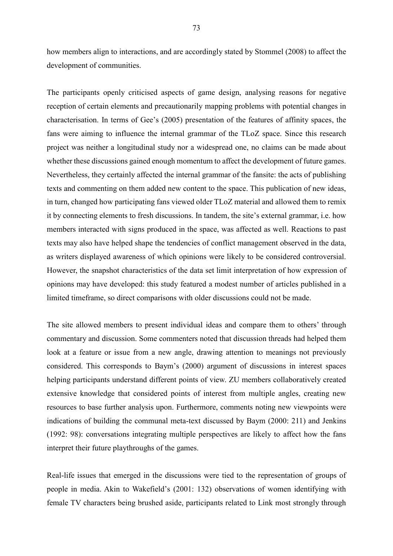how members align to interactions, and are accordingly stated by Stommel (2008) to affect the development of communities.

The participants openly criticised aspects of game design, analysing reasons for negative reception of certain elements and precautionarily mapping problems with potential changes in characterisation. In terms of Gee's (2005) presentation of the features of affinity spaces, the fans were aiming to influence the internal grammar of the TLoZ space. Since this research project was neither a longitudinal study nor a widespread one, no claims can be made about whether these discussions gained enough momentum to affect the development of future games. Nevertheless, they certainly affected the internal grammar of the fansite: the acts of publishing texts and commenting on them added new content to the space. This publication of new ideas, in turn, changed how participating fans viewed older TLoZ material and allowed them to remix it by connecting elements to fresh discussions. In tandem, the site's external grammar, i.e. how members interacted with signs produced in the space, was affected as well. Reactions to past texts may also have helped shape the tendencies of conflict management observed in the data, as writers displayed awareness of which opinions were likely to be considered controversial. However, the snapshot characteristics of the data set limit interpretation of how expression of opinions may have developed: this study featured a modest number of articles published in a limited timeframe, so direct comparisons with older discussions could not be made.

The site allowed members to present individual ideas and compare them to others' through commentary and discussion. Some commenters noted that discussion threads had helped them look at a feature or issue from a new angle, drawing attention to meanings not previously considered. This corresponds to Baym's (2000) argument of discussions in interest spaces helping participants understand different points of view. ZU members collaboratively created extensive knowledge that considered points of interest from multiple angles, creating new resources to base further analysis upon. Furthermore, comments noting new viewpoints were indications of building the communal meta-text discussed by Baym (2000: 211) and Jenkins (1992: 98): conversations integrating multiple perspectives are likely to affect how the fans interpret their future playthroughs of the games.

Real-life issues that emerged in the discussions were tied to the representation of groups of people in media. Akin to Wakefield's (2001: 132) observations of women identifying with female TV characters being brushed aside, participants related to Link most strongly through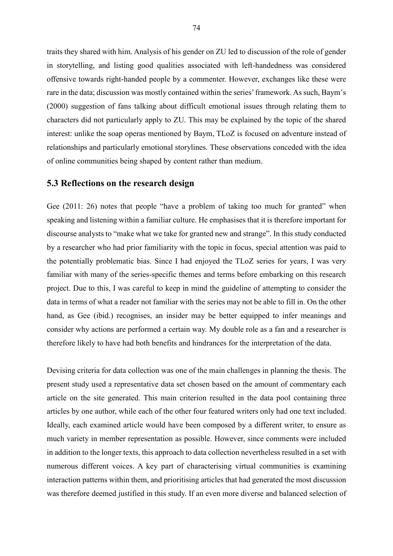traits they shared with him. Analysis of his gender on ZU led to discussion of the role of gender in storytelling, and listing good qualities associated with left-handedness was considered offensive towards right-handed people by a commenter. However, exchanges like these were rare in the data; discussion was mostly contained within the series' framework. As such, Baym's (2000) suggestion of fans talking about difficult emotional issues through relating them to characters did not particularly apply to ZU. This may be explained by the topic of the shared interest: unlike the soap operas mentioned by Baym, TLoZ is focused on adventure instead of relationships and particularly emotional storylines. These observations conceded with the idea of online communities being shaped by content rather than medium.

## **5.3 Reflections on the research design**

Gee (2011: 26) notes that people "have a problem of taking too much for granted" when speaking and listening within a familiar culture. He emphasises that it is therefore important for discourse analysts to "make what we take for granted new and strange". In this study conducted by a researcher who had prior familiarity with the topic in focus, special attention was paid to the potentially problematic bias. Since I had enjoyed the TLoZ series for years, I was very familiar with many of the series-specific themes and terms before embarking on this research project. Due to this, I was careful to keep in mind the guideline of attempting to consider the data in terms of what a reader not familiar with the series may not be able to fill in. On the other hand, as Gee (ibid.) recognises, an insider may be better equipped to infer meanings and consider why actions are performed a certain way. My double role as a fan and a researcher is therefore likely to have had both benefits and hindrances for the interpretation of the data.

Devising criteria for data collection was one of the main challenges in planning the thesis. The present study used a representative data set chosen based on the amount of commentary each article on the site generated. This main criterion resulted in the data pool containing three articles by one author, while each of the other four featured writers only had one text included. Ideally, each examined article would have been composed by a different writer, to ensure as much variety in member representation as possible. However, since comments were included in addition to the longer texts, this approach to data collection nevertheless resulted in a set with numerous different voices. A key part of characterising virtual communities is examining interaction patterns within them, and prioritising articles that had generated the most discussion was therefore deemed justified in this study. If an even more diverse and balanced selection of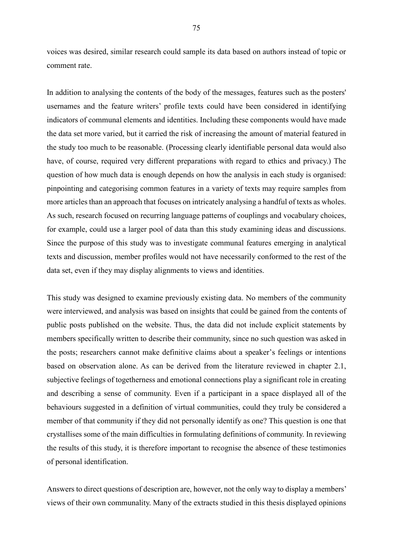voices was desired, similar research could sample its data based on authors instead of topic or comment rate.

In addition to analysing the contents of the body of the messages, features such as the posters' usernames and the feature writers' profile texts could have been considered in identifying indicators of communal elements and identities. Including these components would have made the data set more varied, but it carried the risk of increasing the amount of material featured in the study too much to be reasonable. (Processing clearly identifiable personal data would also have, of course, required very different preparations with regard to ethics and privacy.) The question of how much data is enough depends on how the analysis in each study is organised: pinpointing and categorising common features in a variety of texts may require samples from more articles than an approach that focuses on intricately analysing a handful of texts as wholes. As such, research focused on recurring language patterns of couplings and vocabulary choices, for example, could use a larger pool of data than this study examining ideas and discussions. Since the purpose of this study was to investigate communal features emerging in analytical texts and discussion, member profiles would not have necessarily conformed to the rest of the data set, even if they may display alignments to views and identities.

This study was designed to examine previously existing data. No members of the community were interviewed, and analysis was based on insights that could be gained from the contents of public posts published on the website. Thus, the data did not include explicit statements by members specifically written to describe their community, since no such question was asked in the posts; researchers cannot make definitive claims about a speaker's feelings or intentions based on observation alone. As can be derived from the literature reviewed in chapter 2.1, subjective feelings of togetherness and emotional connections play a significant role in creating and describing a sense of community. Even if a participant in a space displayed all of the behaviours suggested in a definition of virtual communities, could they truly be considered a member of that community if they did not personally identify as one? This question is one that crystallises some of the main difficulties in formulating definitions of community. In reviewing the results of this study, it is therefore important to recognise the absence of these testimonies of personal identification.

Answers to direct questions of description are, however, not the only way to display a members' views of their own communality. Many of the extracts studied in this thesis displayed opinions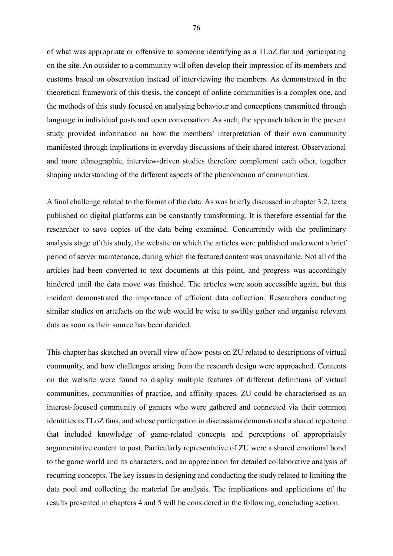of what was appropriate or offensive to someone identifying as a TLoZ fan and participating on the site. An outsider to a community will often develop their impression of its members and customs based on observation instead of interviewing the members. As demonstrated in the theoretical framework of this thesis, the concept of online communities is a complex one, and the methods of this study focused on analysing behaviour and conceptions transmitted through language in individual posts and open conversation. As such, the approach taken in the present study provided information on how the members' interpretation of their own community manifested through implications in everyday discussions of their shared interest. Observational and more ethnographic, interview-driven studies therefore complement each other, together shaping understanding of the different aspects of the phenomenon of communities.

A final challenge related to the format of the data. As was briefly discussed in chapter 3.2, texts published on digital platforms can be constantly transforming. It is therefore essential for the researcher to save copies of the data being examined. Concurrently with the preliminary analysis stage of this study, the website on which the articles were published underwent a brief period of server maintenance, during which the featured content was unavailable. Not all of the articles had been converted to text documents at this point, and progress was accordingly hindered until the data move was finished. The articles were soon accessible again, but this incident demonstrated the importance of efficient data collection. Researchers conducting similar studies on artefacts on the web would be wise to swiftly gather and organise relevant data as soon as their source has been decided.

This chapter has sketched an overall view of how posts on ZU related to descriptions of virtual community, and how challenges arising from the research design were approached. Contents on the website were found to display multiple features of different definitions of virtual communities, communities of practice, and affinity spaces. ZU could be characterised as an interest-focused community of gamers who were gathered and connected via their common identities as TLoZ fans, and whose participation in discussions demonstrated a shared repertoire that included knowledge of game-related concepts and perceptions of appropriately argumentative content to post. Particularly representative of ZU were a shared emotional bond to the game world and its characters, and an appreciation for detailed collaborative analysis of recurring concepts. The key issues in designing and conducting the study related to limiting the data pool and collecting the material for analysis. The implications and applications of the results presented in chapters 4 and 5 will be considered in the following, concluding section.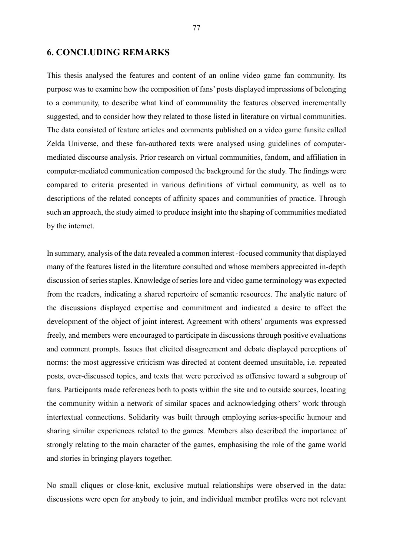## **6. CONCLUDING REMARKS**

This thesis analysed the features and content of an online video game fan community. Its purpose was to examine how the composition of fans' posts displayed impressions of belonging to a community, to describe what kind of communality the features observed incrementally suggested, and to consider how they related to those listed in literature on virtual communities. The data consisted of feature articles and comments published on a video game fansite called Zelda Universe, and these fan-authored texts were analysed using guidelines of computermediated discourse analysis. Prior research on virtual communities, fandom, and affiliation in computer-mediated communication composed the background for the study. The findings were compared to criteria presented in various definitions of virtual community, as well as to descriptions of the related concepts of affinity spaces and communities of practice. Through such an approach, the study aimed to produce insight into the shaping of communities mediated by the internet.

In summary, analysis of the data revealed a common interest -focused community that displayed many of the features listed in the literature consulted and whose members appreciated in-depth discussion of series staples. Knowledge of series lore and video game terminology was expected from the readers, indicating a shared repertoire of semantic resources. The analytic nature of the discussions displayed expertise and commitment and indicated a desire to affect the development of the object of joint interest. Agreement with others' arguments was expressed freely, and members were encouraged to participate in discussions through positive evaluations and comment prompts. Issues that elicited disagreement and debate displayed perceptions of norms: the most aggressive criticism was directed at content deemed unsuitable, i.e. repeated posts, over-discussed topics, and texts that were perceived as offensive toward a subgroup of fans. Participants made references both to posts within the site and to outside sources, locating the community within a network of similar spaces and acknowledging others' work through intertextual connections. Solidarity was built through employing series-specific humour and sharing similar experiences related to the games. Members also described the importance of strongly relating to the main character of the games, emphasising the role of the game world and stories in bringing players together.

No small cliques or close-knit, exclusive mutual relationships were observed in the data: discussions were open for anybody to join, and individual member profiles were not relevant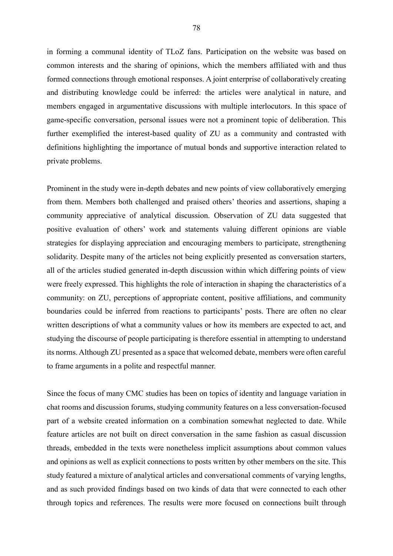in forming a communal identity of TLoZ fans. Participation on the website was based on common interests and the sharing of opinions, which the members affiliated with and thus formed connections through emotional responses. A joint enterprise of collaboratively creating and distributing knowledge could be inferred: the articles were analytical in nature, and members engaged in argumentative discussions with multiple interlocutors. In this space of game-specific conversation, personal issues were not a prominent topic of deliberation. This further exemplified the interest-based quality of ZU as a community and contrasted with definitions highlighting the importance of mutual bonds and supportive interaction related to private problems.

Prominent in the study were in-depth debates and new points of view collaboratively emerging from them. Members both challenged and praised others' theories and assertions, shaping a community appreciative of analytical discussion. Observation of ZU data suggested that positive evaluation of others' work and statements valuing different opinions are viable strategies for displaying appreciation and encouraging members to participate, strengthening solidarity. Despite many of the articles not being explicitly presented as conversation starters, all of the articles studied generated in-depth discussion within which differing points of view were freely expressed. This highlights the role of interaction in shaping the characteristics of a community: on ZU, perceptions of appropriate content, positive affiliations, and community boundaries could be inferred from reactions to participants' posts. There are often no clear written descriptions of what a community values or how its members are expected to act, and studying the discourse of people participating is therefore essential in attempting to understand its norms. Although ZU presented as a space that welcomed debate, members were often careful to frame arguments in a polite and respectful manner.

Since the focus of many CMC studies has been on topics of identity and language variation in chat rooms and discussion forums, studying community features on a less conversation-focused part of a website created information on a combination somewhat neglected to date. While feature articles are not built on direct conversation in the same fashion as casual discussion threads, embedded in the texts were nonetheless implicit assumptions about common values and opinions as well as explicit connections to posts written by other members on the site. This study featured a mixture of analytical articles and conversational comments of varying lengths, and as such provided findings based on two kinds of data that were connected to each other through topics and references. The results were more focused on connections built through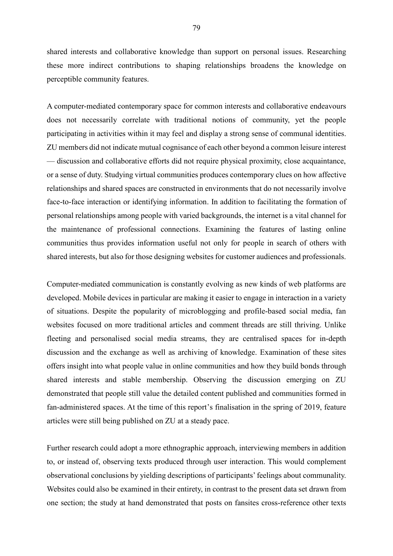shared interests and collaborative knowledge than support on personal issues. Researching these more indirect contributions to shaping relationships broadens the knowledge on perceptible community features.

A computer-mediated contemporary space for common interests and collaborative endeavours does not necessarily correlate with traditional notions of community, yet the people participating in activities within it may feel and display a strong sense of communal identities. ZU members did not indicate mutual cognisance of each other beyond a common leisure interest — discussion and collaborative efforts did not require physical proximity, close acquaintance, or a sense of duty. Studying virtual communities produces contemporary clues on how affective relationships and shared spaces are constructed in environments that do not necessarily involve face-to-face interaction or identifying information. In addition to facilitating the formation of personal relationships among people with varied backgrounds, the internet is a vital channel for the maintenance of professional connections. Examining the features of lasting online communities thus provides information useful not only for people in search of others with shared interests, but also for those designing websites for customer audiences and professionals.

Computer-mediated communication is constantly evolving as new kinds of web platforms are developed. Mobile devices in particular are making it easier to engage in interaction in a variety of situations. Despite the popularity of microblogging and profile-based social media, fan websites focused on more traditional articles and comment threads are still thriving. Unlike fleeting and personalised social media streams, they are centralised spaces for in-depth discussion and the exchange as well as archiving of knowledge. Examination of these sites offers insight into what people value in online communities and how they build bonds through shared interests and stable membership. Observing the discussion emerging on ZU demonstrated that people still value the detailed content published and communities formed in fan-administered spaces. At the time of this report's finalisation in the spring of 2019, feature articles were still being published on ZU at a steady pace.

Further research could adopt a more ethnographic approach, interviewing members in addition to, or instead of, observing texts produced through user interaction. This would complement observational conclusions by yielding descriptions of participants' feelings about communality. Websites could also be examined in their entirety, in contrast to the present data set drawn from one section; the study at hand demonstrated that posts on fansites cross-reference other texts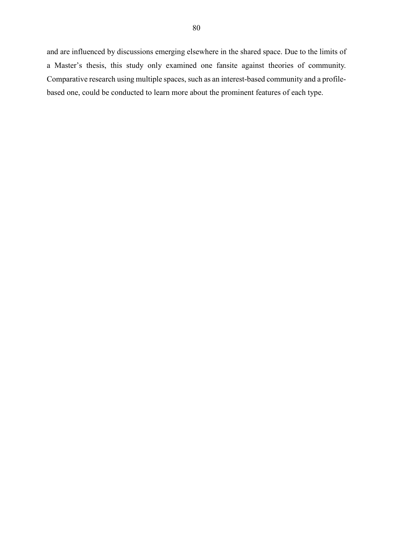and are influenced by discussions emerging elsewhere in the shared space. Due to the limits of a Master's thesis, this study only examined one fansite against theories of community. Comparative research using multiple spaces, such as an interest-based community and a profilebased one, could be conducted to learn more about the prominent features of each type.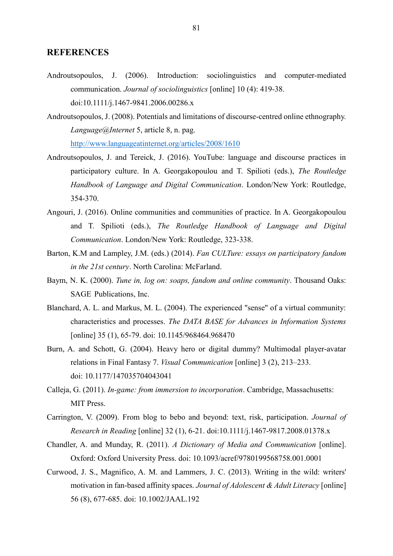## **REFERENCES**

- Androutsopoulos, J. (2006). Introduction: sociolinguistics and computer-mediated communication. *Journal of sociolinguistics* [online] 10 (4): 419-38. doi:10.1111/j.1467-9841.2006.00286.x
- Androutsopoulos, J. (2008). Potentials and limitations of discourse-centred online ethnography. *Language@Internet* 5, article 8, n. pag. <http://www.languageatinternet.org/articles/2008/1610>
- Androutsopoulos, J. and Tereick, J. (2016). YouTube: language and discourse practices in participatory culture. In A. Georgakopoulou and T. Spilioti (eds.), *The Routledge Handbook of Language and Digital Communication*. London/New York: Routledge, 354-370.
- Angouri, J. (2016). Online communities and communities of practice. In A. Georgakopoulou and T. Spilioti (eds.), *The Routledge Handbook of Language and Digital Communication*. London/New York: Routledge, 323-338.
- Barton, K.M and Lampley, J.M. (eds.) (2014). *Fan CULTure: essays on participatory fandom in the 21st century*. North Carolina: McFarland.
- Baym, N. K. (2000). *Tune in, log on: soaps, fandom and online community*. Thousand Oaks: SAGE Publications, Inc.
- Blanchard, A. L. and Markus, M. L. (2004). The experienced "sense" of a virtual community: characteristics and processes. *The DATA BASE for Advances in Information Systems*  [online] 35 (1), 65-79. doi: 10.1145/968464.968470
- Burn, A. and Schott, G. (2004). Heavy hero or digital dummy? Multimodal player-avatar relations in Final Fantasy 7. *Visual Communication* [online] 3 (2), 213–233. doi: 10.1177/147035704043041
- Calleja, G. (2011). *In-game: from immersion to incorporation*. Cambridge, Massachusetts: MIT Press.
- Carrington, V. (2009). From blog to bebo and beyond: text, risk, participation. *Journal of Research in Reading* [online] 32 (1), 6-21. doi:10.1111/j.1467-9817.2008.01378.x
- Chandler, A. and Munday, R. (2011). *A Dictionary of Media and Communication* [online]. Oxford: Oxford University Press. doi: 10.1093/acref/9780199568758.001.0001
- Curwood, J. S., Magnifico, A. M. and Lammers, J. C. (2013). Writing in the wild: writers' motivation in fan-based affinity spaces. *Journal of Adolescent & Adult Literacy* [online] 56 (8), 677-685. doi: 10.1002/JAAL.192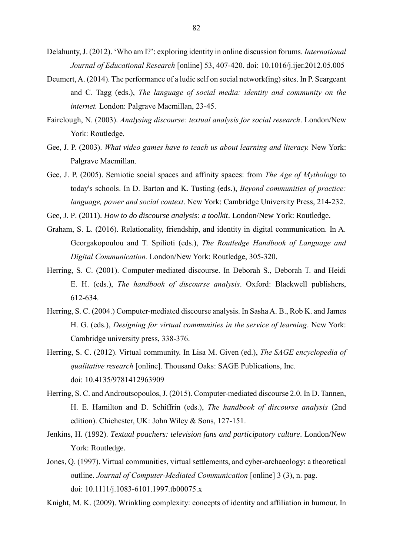- Delahunty, J. (2012). 'Who am I?': exploring identity in online discussion forums. *International Journal of Educational Research* [online] 53, 407-420. doi: 10.1016/j.ijer.2012.05.005
- Deumert, A. (2014). The performance of a ludic self on social network(ing) sites. In P. Seargeant and C. Tagg (eds.), *The language of social media: identity and community on the internet.* London: Palgrave Macmillan, 23-45.
- Fairclough, N. (2003). *Analysing discourse: textual analysis for social research*. London/New York: Routledge.
- Gee, J. P. (2003). *What video games have to teach us about learning and literacy.* New York: Palgrave Macmillan.
- Gee, J. P. (2005). Semiotic social spaces and affinity spaces: from *The Age of Mythology* to today's schools. In D. Barton and K. Tusting (eds.), *Beyond communities of practice: language, power and social context*. New York: Cambridge University Press, 214-232.
- Gee, J. P. (2011). *How to do discourse analysis: a toolkit*. London/New York: Routledge.
- Graham, S. L. (2016). Relationality, friendship, and identity in digital communication. In A. Georgakopoulou and T. Spilioti (eds.), *The Routledge Handbook of Language and Digital Communication.* London/New York: Routledge, 305-320.
- Herring, S. C. (2001). Computer-mediated discourse. In Deborah S., Deborah T. and Heidi E. H. (eds.), *The handbook of discourse analysis*. Oxford: Blackwell publishers, 612-634.
- Herring, S. C. (2004.) Computer-mediated discourse analysis. In Sasha A. B., Rob K. and James H. G. (eds.), *Designing for virtual communities in the service of learning*. New York: Cambridge university press, 338-376.
- Herring, S. C. (2012). Virtual community. In Lisa M. Given (ed.), *The SAGE encyclopedia of qualitative research* [online]. Thousand Oaks: SAGE Publications, Inc. doi: 10.4135/9781412963909
- Herring, S. C. and Androutsopoulos, J. (2015). Computer-mediated discourse 2.0. In D. Tannen, H. E. Hamilton and D. Schiffrin (eds.), *The handbook of discourse analysis* (2nd edition). Chichester, UK: John Wiley & Sons, 127-151.
- Jenkins, H. (1992). *Textual poachers: television fans and participatory culture*. London/New York: Routledge.
- Jones, Q. (1997). Virtual communities, virtual settlements, and cyber-archaeology: a theoretical outline. *Journal of Computer-Mediated Communication* [online] 3 (3), n. pag. doi: 10.1111/j.1083-6101.1997.tb00075.x

Knight, M. K. (2009). Wrinkling complexity: concepts of identity and affiliation in humour. In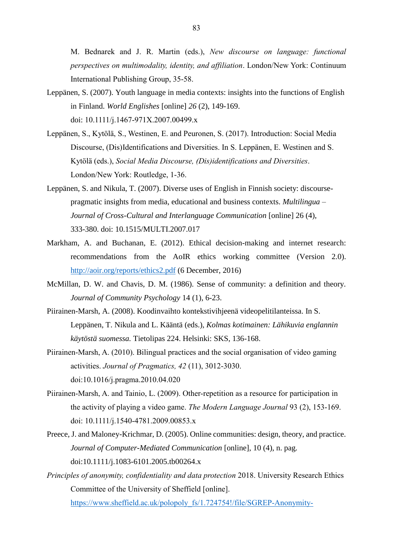M. Bednarek and J. R. Martin (eds.), *New discourse on language: functional perspectives on multimodality, identity, and affiliation*. London/New York: Continuum International Publishing Group, 35-58.

- Leppänen, S. (2007). Youth language in media contexts: insights into the functions of English in Finland. *World Englishes* [online] *26* (2), 149-169. doi: 10.1111/j.1467-971X.2007.00499.x
- Leppänen, S., Kytölä, S., Westinen, E. and Peuronen, S. (2017). Introduction: Social Media Discourse, (Dis)Identifications and Diversities. In S. Leppänen, E. Westinen and S. Kytölä (eds.), *Social Media Discourse, (Dis)identifications and Diversities*. London/New York: Routledge, 1-36.
- Leppänen, S. and Nikula, T. (2007). Diverse uses of English in Finnish society: discoursepragmatic insights from media, educational and business contexts. *Multilingua – Journal of Cross-Cultural and Interlanguage Communication* [online] 26 (4), 333-380. doi: 10.1515/MULTI.2007.017
- Markham, A. and Buchanan, E. (2012). Ethical decision-making and internet research: recommendations from the AoIR ethics working committee (Version 2.0). <http://aoir.org/reports/ethics2.pdf> (6 December, 2016)
- McMillan, D. W. and Chavis, D. M. (1986). Sense of community: a definition and theory. *Journal of Community Psychology* 14 (1), 6-23.
- Piirainen-Marsh, A. (2008). Koodinvaihto kontekstivihjeenä videopelitilanteissa. In S. Leppänen, T. Nikula and L. Kääntä (eds.), *Kolmas kotimainen: Lähikuvia englannin käytöstä suomessa.* Tietolipas 224. Helsinki: SKS, 136-168.
- Piirainen-Marsh, A. (2010). Bilingual practices and the social organisation of video gaming activities. *Journal of Pragmatics, 42* (11), 3012-3030. doi:10.1016/j.pragma.2010.04.020
- Piirainen-Marsh, A. and Tainio, L. (2009). Other-repetition as a resource for participation in the activity of playing a video game. *The Modern Language Journal* 93 (2), 153-169. doi: 10.1111/j.1540-4781.2009.00853.x
- Preece, J. and Maloney-Krichmar, D. (2005). Online communities: design, theory, and practice. *Journal of Computer-Mediated Communication* [online], 10 (4), n. pag. doi:10.1111/j.1083-6101.2005.tb00264.x
- *Principles of anonymity, confidentiality and data protection* 2018. University Research Ethics Committee of the University of Sheffield [online].

[https://www.sheffield.ac.uk/polopoly\\_fs/1.724754!/file/SGREP-Anonymity-](https://www.sheffield.ac.uk/polopoly_fs/1.724754!/file/SGREP-Anonymity-%09Confidentiality-DataProtection.pdf)